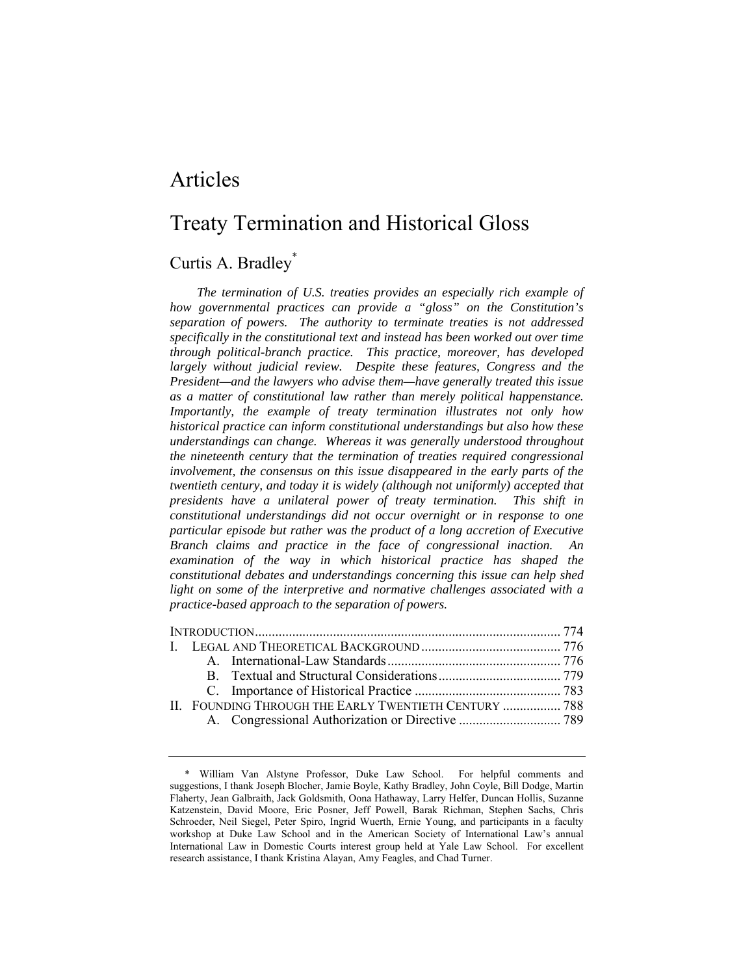# Articles

## Treaty Termination and Historical Gloss

## Curtis A. Bradley\*

*The termination of U.S. treaties provides an especially rich example of how governmental practices can provide a "gloss" on the Constitution's separation of powers. The authority to terminate treaties is not addressed specifically in the constitutional text and instead has been worked out over time through political-branch practice. This practice, moreover, has developed largely without judicial review. Despite these features, Congress and the President—and the lawyers who advise them—have generally treated this issue as a matter of constitutional law rather than merely political happenstance. Importantly, the example of treaty termination illustrates not only how historical practice can inform constitutional understandings but also how these understandings can change. Whereas it was generally understood throughout the nineteenth century that the termination of treaties required congressional involvement, the consensus on this issue disappeared in the early parts of the twentieth century, and today it is widely (although not uniformly) accepted that presidents have a unilateral power of treaty termination. This shift in constitutional understandings did not occur overnight or in response to one particular episode but rather was the product of a long accretion of Executive Branch claims and practice in the face of congressional inaction. An examination of the way in which historical practice has shaped the constitutional debates and understandings concerning this issue can help shed light on some of the interpretive and normative challenges associated with a practice-based approach to the separation of powers.* 

|  | II. FOUNDING THROUGH THE EARLY TWENTIETH CENTURY  788 |  |  |  |
|--|-------------------------------------------------------|--|--|--|
|  |                                                       |  |  |  |

 <sup>\*</sup> William Van Alstyne Professor, Duke Law School. For helpful comments and suggestions, I thank Joseph Blocher, Jamie Boyle, Kathy Bradley, John Coyle, Bill Dodge, Martin Flaherty, Jean Galbraith, Jack Goldsmith, Oona Hathaway, Larry Helfer, Duncan Hollis, Suzanne Katzenstein, David Moore, Eric Posner, Jeff Powell, Barak Richman, Stephen Sachs, Chris Schroeder, Neil Siegel, Peter Spiro, Ingrid Wuerth, Ernie Young, and participants in a faculty workshop at Duke Law School and in the American Society of International Law's annual International Law in Domestic Courts interest group held at Yale Law School. For excellent research assistance, I thank Kristina Alayan, Amy Feagles, and Chad Turner.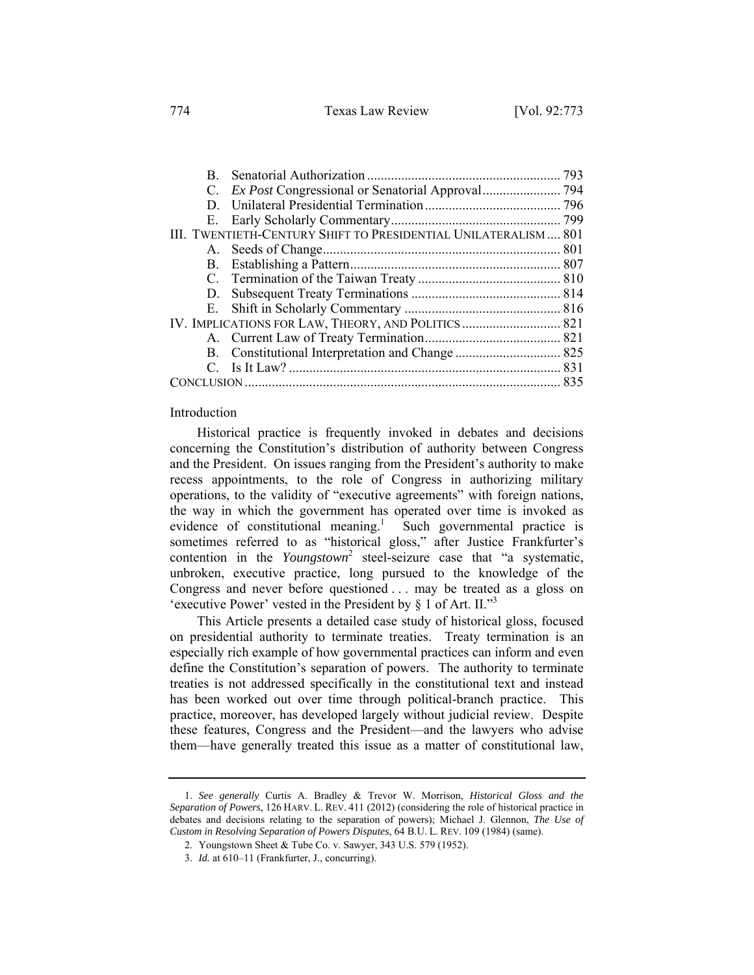774 Texas Law Review [Vol. 92:773

| III. TWENTIETH-CENTURY SHIFT TO PRESIDENTIAL UNILATERALISM 801 |  |  |  |
|----------------------------------------------------------------|--|--|--|
|                                                                |  |  |  |
|                                                                |  |  |  |
|                                                                |  |  |  |
|                                                                |  |  |  |
|                                                                |  |  |  |
|                                                                |  |  |  |
|                                                                |  |  |  |
|                                                                |  |  |  |
|                                                                |  |  |  |
|                                                                |  |  |  |
|                                                                |  |  |  |
|                                                                |  |  |  |
|                                                                |  |  |  |
|                                                                |  |  |  |

### Introduction

Historical practice is frequently invoked in debates and decisions concerning the Constitution's distribution of authority between Congress and the President. On issues ranging from the President's authority to make recess appointments, to the role of Congress in authorizing military operations, to the validity of "executive agreements" with foreign nations, the way in which the government has operated over time is invoked as evidence of constitutional meaning. $<sup>1</sup>$ </sup> Such governmental practice is sometimes referred to as "historical gloss," after Justice Frankfurter's contention in the *Youngstown*<sup>2</sup> steel-seizure case that "a systematic, unbroken, executive practice, long pursued to the knowledge of the Congress and never before questioned . . . may be treated as a gloss on 'executive Power' vested in the President by  $\S$  1 of Art. II."<sup>3</sup>

This Article presents a detailed case study of historical gloss, focused on presidential authority to terminate treaties. Treaty termination is an especially rich example of how governmental practices can inform and even define the Constitution's separation of powers. The authority to terminate treaties is not addressed specifically in the constitutional text and instead has been worked out over time through political-branch practice. This practice, moreover, has developed largely without judicial review. Despite these features, Congress and the President—and the lawyers who advise them—have generally treated this issue as a matter of constitutional law,

<sup>1.</sup> *See generally* Curtis A. Bradley & Trevor W. Morrison, *Historical Gloss and the Separation of Powers*, 126 HARV. L. REV. 411 (2012) (considering the role of historical practice in debates and decisions relating to the separation of powers); Michael J. Glennon, *The Use of Custom in Resolving Separation of Powers Disputes*, 64 B.U. L. REV. 109 (1984) (same).

<sup>2.</sup> Youngstown Sheet & Tube Co. v. Sawyer, 343 U.S. 579 (1952).

<sup>3.</sup> *Id.* at 610–11 (Frankfurter, J., concurring).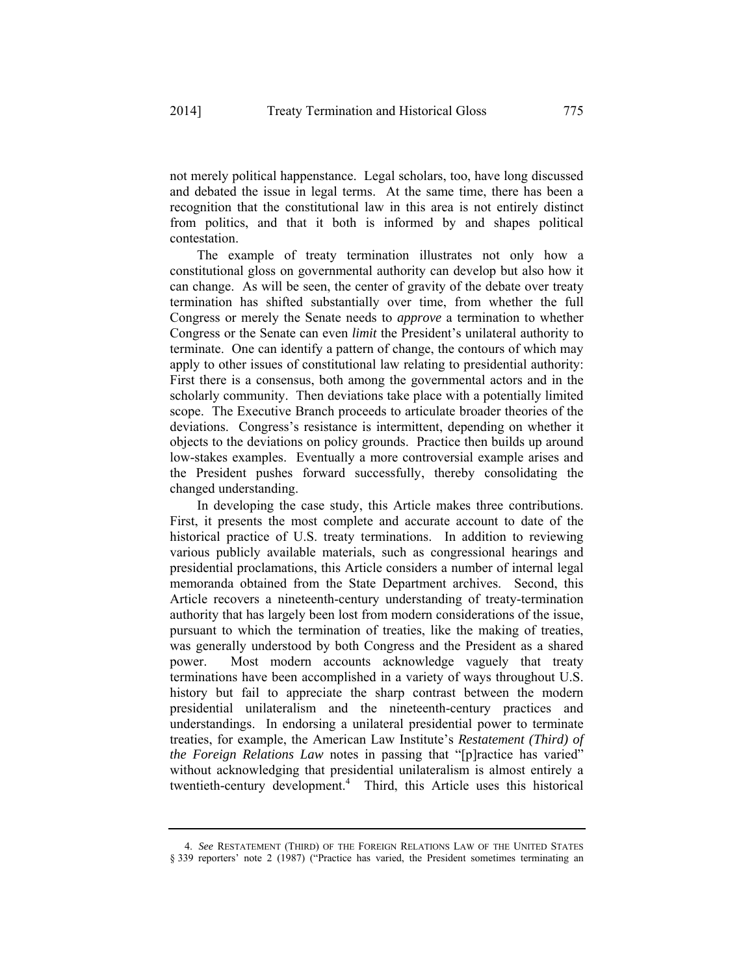not merely political happenstance. Legal scholars, too, have long discussed and debated the issue in legal terms. At the same time, there has been a recognition that the constitutional law in this area is not entirely distinct from politics, and that it both is informed by and shapes political contestation.

The example of treaty termination illustrates not only how a constitutional gloss on governmental authority can develop but also how it can change. As will be seen, the center of gravity of the debate over treaty termination has shifted substantially over time, from whether the full Congress or merely the Senate needs to *approve* a termination to whether Congress or the Senate can even *limit* the President's unilateral authority to terminate. One can identify a pattern of change, the contours of which may apply to other issues of constitutional law relating to presidential authority: First there is a consensus, both among the governmental actors and in the scholarly community. Then deviations take place with a potentially limited scope. The Executive Branch proceeds to articulate broader theories of the deviations. Congress's resistance is intermittent, depending on whether it objects to the deviations on policy grounds. Practice then builds up around low-stakes examples. Eventually a more controversial example arises and the President pushes forward successfully, thereby consolidating the changed understanding.

In developing the case study, this Article makes three contributions. First, it presents the most complete and accurate account to date of the historical practice of U.S. treaty terminations. In addition to reviewing various publicly available materials, such as congressional hearings and presidential proclamations, this Article considers a number of internal legal memoranda obtained from the State Department archives. Second, this Article recovers a nineteenth-century understanding of treaty-termination authority that has largely been lost from modern considerations of the issue, pursuant to which the termination of treaties, like the making of treaties, was generally understood by both Congress and the President as a shared power. Most modern accounts acknowledge vaguely that treaty terminations have been accomplished in a variety of ways throughout U.S. history but fail to appreciate the sharp contrast between the modern presidential unilateralism and the nineteenth-century practices and understandings. In endorsing a unilateral presidential power to terminate treaties, for example, the American Law Institute's *Restatement (Third) of the Foreign Relations Law* notes in passing that "[p]ractice has varied" without acknowledging that presidential unilateralism is almost entirely a twentieth-century development.4 Third, this Article uses this historical

<sup>4.</sup> *See* RESTATEMENT (THIRD) OF THE FOREIGN RELATIONS LAW OF THE UNITED STATES § 339 reporters' note 2 (1987) ("Practice has varied, the President sometimes terminating an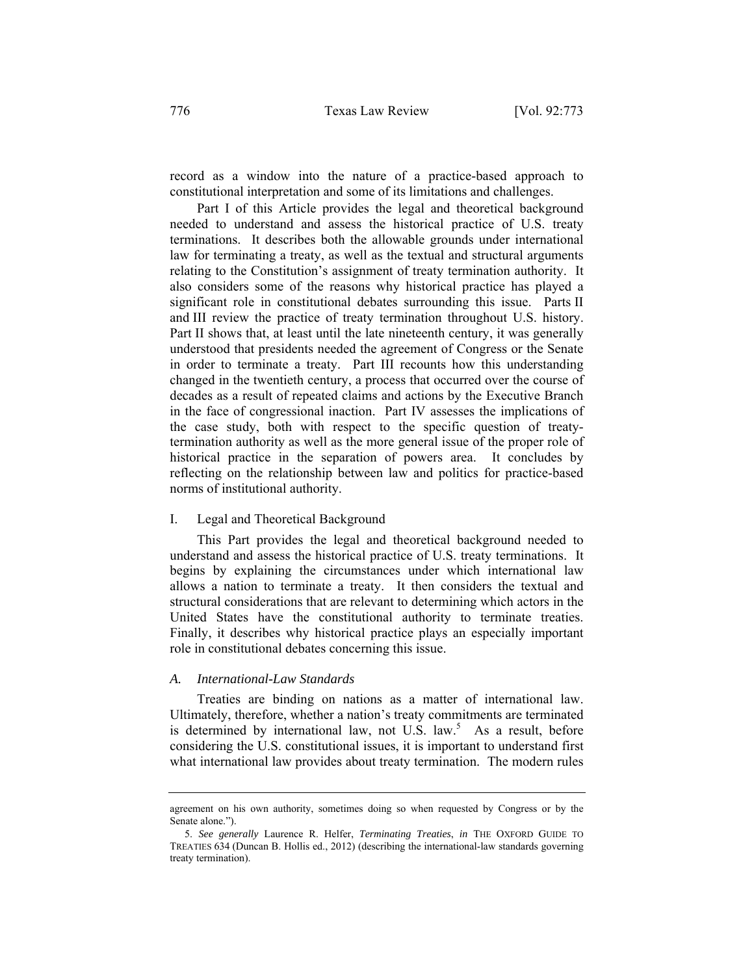record as a window into the nature of a practice-based approach to constitutional interpretation and some of its limitations and challenges.

Part I of this Article provides the legal and theoretical background needed to understand and assess the historical practice of U.S. treaty terminations. It describes both the allowable grounds under international law for terminating a treaty, as well as the textual and structural arguments relating to the Constitution's assignment of treaty termination authority. It also considers some of the reasons why historical practice has played a significant role in constitutional debates surrounding this issue. Parts II and III review the practice of treaty termination throughout U.S. history. Part II shows that, at least until the late nineteenth century, it was generally understood that presidents needed the agreement of Congress or the Senate in order to terminate a treaty. Part III recounts how this understanding changed in the twentieth century, a process that occurred over the course of decades as a result of repeated claims and actions by the Executive Branch in the face of congressional inaction. Part IV assesses the implications of the case study, both with respect to the specific question of treatytermination authority as well as the more general issue of the proper role of historical practice in the separation of powers area. It concludes by reflecting on the relationship between law and politics for practice-based norms of institutional authority.

#### I. Legal and Theoretical Background

This Part provides the legal and theoretical background needed to understand and assess the historical practice of U.S. treaty terminations. It begins by explaining the circumstances under which international law allows a nation to terminate a treaty. It then considers the textual and structural considerations that are relevant to determining which actors in the United States have the constitutional authority to terminate treaties. Finally, it describes why historical practice plays an especially important role in constitutional debates concerning this issue.

#### *A. International-Law Standards*

Treaties are binding on nations as a matter of international law. Ultimately, therefore, whether a nation's treaty commitments are terminated is determined by international law, not U.S. law.<sup>5</sup> As a result, before considering the U.S. constitutional issues, it is important to understand first what international law provides about treaty termination. The modern rules

agreement on his own authority, sometimes doing so when requested by Congress or by the Senate alone.").

<sup>5.</sup> *See generally* Laurence R. Helfer, *Terminating Treaties*, *in* THE OXFORD GUIDE TO TREATIES 634 (Duncan B. Hollis ed., 2012) (describing the international-law standards governing treaty termination).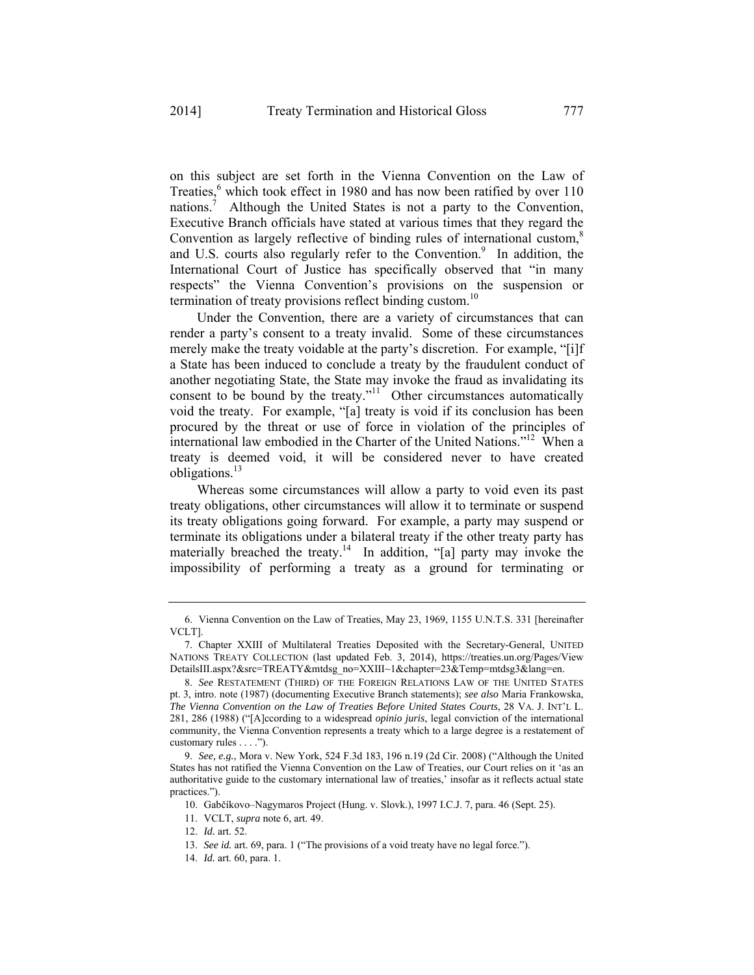on this subject are set forth in the Vienna Convention on the Law of Treaties,<sup>6</sup> which took effect in 1980 and has now been ratified by over 110 nations.<sup>7</sup> Although the United States is not a party to the Convention, Executive Branch officials have stated at various times that they regard the Convention as largely reflective of binding rules of international custom,<sup>8</sup> and U.S. courts also regularly refer to the Convention.<sup>9</sup> In addition, the International Court of Justice has specifically observed that "in many respects" the Vienna Convention's provisions on the suspension or termination of treaty provisions reflect binding custom.<sup>10</sup>

Under the Convention, there are a variety of circumstances that can render a party's consent to a treaty invalid. Some of these circumstances merely make the treaty voidable at the party's discretion. For example, "[i]f a State has been induced to conclude a treaty by the fraudulent conduct of another negotiating State, the State may invoke the fraud as invalidating its consent to be bound by the treaty."<sup>11</sup> Other circumstances automatically void the treaty. For example, "[a] treaty is void if its conclusion has been procured by the threat or use of force in violation of the principles of international law embodied in the Charter of the United Nations."12 When a treaty is deemed void, it will be considered never to have created obligations.<sup>13</sup>

Whereas some circumstances will allow a party to void even its past treaty obligations, other circumstances will allow it to terminate or suspend its treaty obligations going forward. For example, a party may suspend or terminate its obligations under a bilateral treaty if the other treaty party has materially breached the treaty.<sup>14</sup> In addition, "[a] party may invoke the impossibility of performing a treaty as a ground for terminating or

<sup>6.</sup> Vienna Convention on the Law of Treaties, May 23, 1969, 1155 U.N.T.S. 331 [hereinafter VCLT].

<sup>7.</sup> Chapter XXIII of Multilateral Treaties Deposited with the Secretary-General, UNITED NATIONS TREATY COLLECTION (last updated Feb. 3, 2014), https://treaties.un.org/Pages/View DetailsIII.aspx?&src=TREATY&mtdsg\_no=XXIII~1&chapter=23&Temp=mtdsg3&lang=en.

<sup>8.</sup> *See* RESTATEMENT (THIRD) OF THE FOREIGN RELATIONS LAW OF THE UNITED STATES pt. 3, intro. note (1987) (documenting Executive Branch statements); *see also* Maria Frankowska, *The Vienna Convention on the Law of Treaties Before United States Courts*, 28 VA. J. INT'L L. 281, 286 (1988) ("[A]ccording to a widespread *opinio juris*, legal conviction of the international community, the Vienna Convention represents a treaty which to a large degree is a restatement of customary rules . . . .").

<sup>9.</sup> *See, e.g.*, Mora v. New York, 524 F.3d 183, 196 n.19 (2d Cir. 2008) ("Although the United States has not ratified the Vienna Convention on the Law of Treaties, our Court relies on it 'as an authoritative guide to the customary international law of treaties,' insofar as it reflects actual state practices.").

<sup>10.</sup> Gabčíkovo–Nagymaros Project (Hung. v. Slovk.), 1997 I.C.J. 7, para. 46 (Sept. 25).

<sup>11.</sup> VCLT, *supra* note 6, art. 49.

<sup>12.</sup> *Id.* art. 52.

<sup>13.</sup> *See id.* art. 69, para. 1 ("The provisions of a void treaty have no legal force.").

<sup>14.</sup> *Id.* art. 60, para. 1.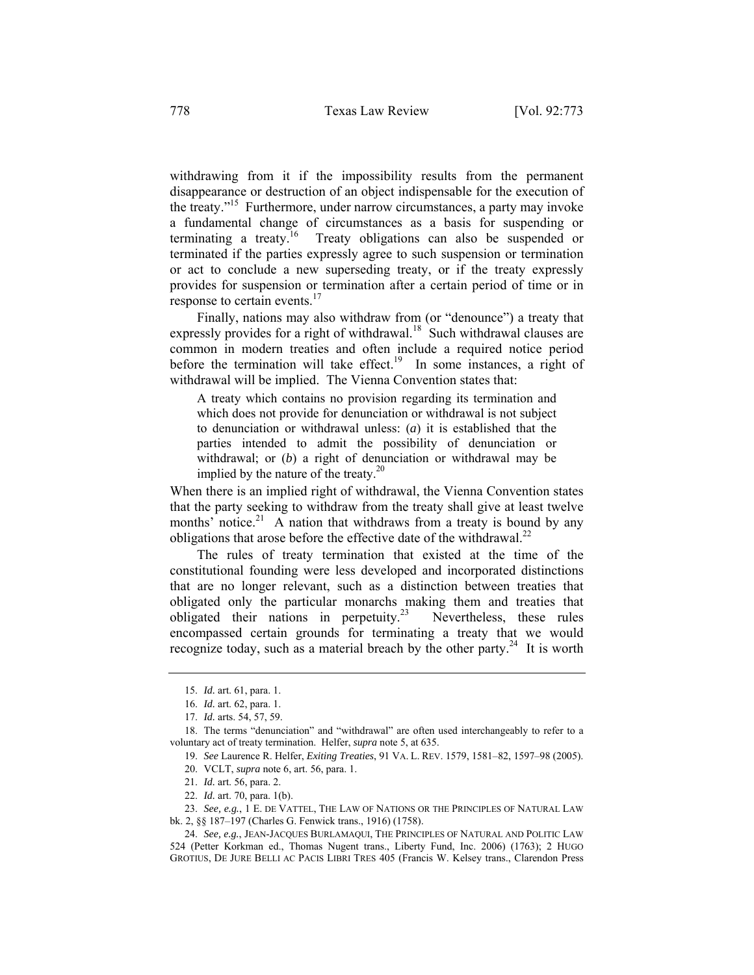withdrawing from it if the impossibility results from the permanent disappearance or destruction of an object indispensable for the execution of the treaty."15 Furthermore, under narrow circumstances, a party may invoke a fundamental change of circumstances as a basis for suspending or terminating a treaty.16 Treaty obligations can also be suspended or terminated if the parties expressly agree to such suspension or termination or act to conclude a new superseding treaty, or if the treaty expressly provides for suspension or termination after a certain period of time or in response to certain events.<sup>17</sup>

Finally, nations may also withdraw from (or "denounce") a treaty that expressly provides for a right of withdrawal.<sup>18</sup> Such withdrawal clauses are common in modern treaties and often include a required notice period before the termination will take effect.<sup>19</sup> In some instances, a right of withdrawal will be implied. The Vienna Convention states that:

A treaty which contains no provision regarding its termination and which does not provide for denunciation or withdrawal is not subject to denunciation or withdrawal unless: (*a*) it is established that the parties intended to admit the possibility of denunciation or withdrawal; or (*b*) a right of denunciation or withdrawal may be implied by the nature of the treaty. $20$ 

When there is an implied right of withdrawal, the Vienna Convention states that the party seeking to withdraw from the treaty shall give at least twelve months' notice.<sup>21</sup> A nation that withdraws from a treaty is bound by any obligations that arose before the effective date of the withdrawal. $^{22}$ 

The rules of treaty termination that existed at the time of the constitutional founding were less developed and incorporated distinctions that are no longer relevant, such as a distinction between treaties that obligated only the particular monarchs making them and treaties that obligated their nations in perpetuity.<sup>23</sup> Nevertheless, these rules encompassed certain grounds for terminating a treaty that we would recognize today, such as a material breach by the other party.<sup>24</sup> It is worth

<sup>15.</sup> *Id.* art. 61, para. 1.

<sup>16.</sup> *Id.* art. 62, para. 1.

<sup>17.</sup> *Id.* arts. 54, 57, 59.

<sup>18.</sup> The terms "denunciation" and "withdrawal" are often used interchangeably to refer to a voluntary act of treaty termination. Helfer, *supra* note 5, at 635.

<sup>19.</sup> *See* Laurence R. Helfer, *Exiting Treaties*, 91 VA. L. REV. 1579, 1581–82, 1597–98 (2005).

<sup>20.</sup> VCLT, *supra* note 6, art. 56, para. 1.

<sup>21.</sup> *Id.* art. 56, para. 2.

<sup>22.</sup> *Id.* art. 70, para. 1(b).

<sup>23.</sup> *See, e.g.*, 1 E. DE VATTEL, THE LAW OF NATIONS OR THE PRINCIPLES OF NATURAL LAW bk. 2, §§ 187–197 (Charles G. Fenwick trans., 1916) (1758).

<sup>24.</sup> *See, e.g.*, JEAN-JACQUES BURLAMAQUI, THE PRINCIPLES OF NATURAL AND POLITIC LAW 524 (Petter Korkman ed., Thomas Nugent trans., Liberty Fund, Inc. 2006) (1763); 2 HUGO GROTIUS, DE JURE BELLI AC PACIS LIBRI TRES 405 (Francis W. Kelsey trans., Clarendon Press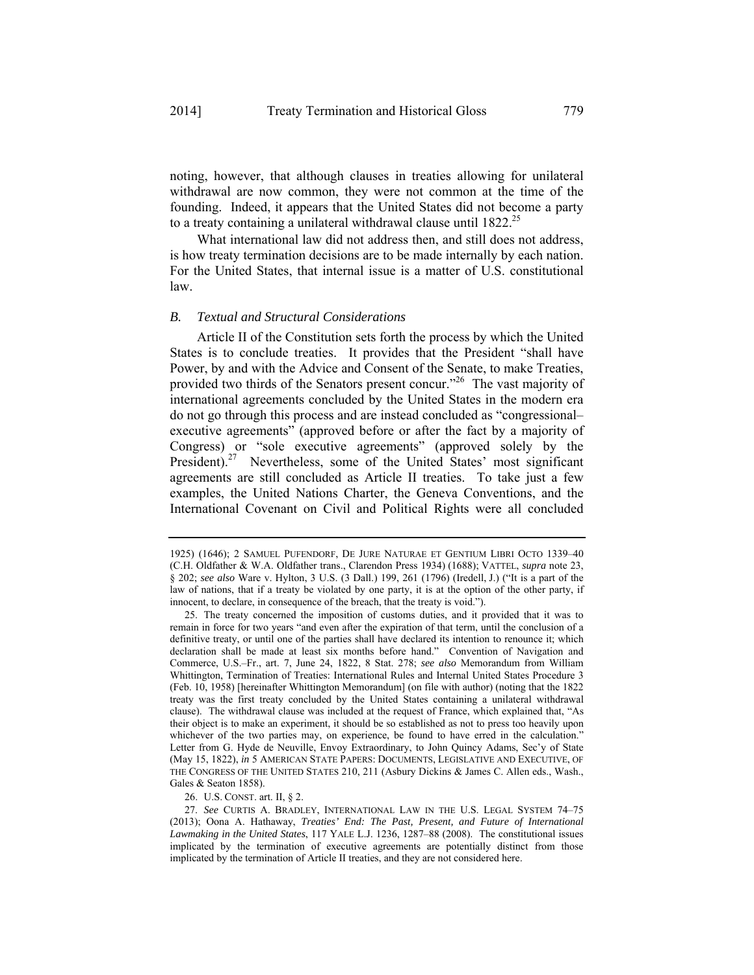noting, however, that although clauses in treaties allowing for unilateral withdrawal are now common, they were not common at the time of the founding. Indeed, it appears that the United States did not become a party to a treaty containing a unilateral withdrawal clause until 1822.<sup>25</sup>

What international law did not address then, and still does not address, is how treaty termination decisions are to be made internally by each nation. For the United States, that internal issue is a matter of U.S. constitutional law.

#### *B. Textual and Structural Considerations*

Article II of the Constitution sets forth the process by which the United States is to conclude treaties. It provides that the President "shall have Power, by and with the Advice and Consent of the Senate, to make Treaties, provided two thirds of the Senators present concur."26 The vast majority of international agreements concluded by the United States in the modern era do not go through this process and are instead concluded as "congressional– executive agreements" (approved before or after the fact by a majority of Congress) or "sole executive agreements" (approved solely by the President).<sup>27</sup> Nevertheless, some of the United States' most significant agreements are still concluded as Article II treaties. To take just a few examples, the United Nations Charter, the Geneva Conventions, and the International Covenant on Civil and Political Rights were all concluded

26. U.S. CONST. art. II, § 2.

<sup>1925) (1646); 2</sup> SAMUEL PUFENDORF, DE JURE NATURAE ET GENTIUM LIBRI OCTO 1339–40 (C.H. Oldfather & W.A. Oldfather trans., Clarendon Press 1934) (1688); VATTEL, *supra* note 23, § 202; *see also* Ware v. Hylton, 3 U.S. (3 Dall.) 199, 261 (1796) (Iredell, J.) ("It is a part of the law of nations, that if a treaty be violated by one party, it is at the option of the other party, if innocent, to declare, in consequence of the breach, that the treaty is void.").

<sup>25.</sup> The treaty concerned the imposition of customs duties, and it provided that it was to remain in force for two years "and even after the expiration of that term, until the conclusion of a definitive treaty, or until one of the parties shall have declared its intention to renounce it; which declaration shall be made at least six months before hand." Convention of Navigation and Commerce, U.S.–Fr., art. 7, June 24, 1822, 8 Stat. 278; *see also* Memorandum from William Whittington, Termination of Treaties: International Rules and Internal United States Procedure 3 (Feb. 10, 1958) [hereinafter Whittington Memorandum] (on file with author) (noting that the 1822 treaty was the first treaty concluded by the United States containing a unilateral withdrawal clause). The withdrawal clause was included at the request of France, which explained that, "As their object is to make an experiment, it should be so established as not to press too heavily upon whichever of the two parties may, on experience, be found to have erred in the calculation." Letter from G. Hyde de Neuville, Envoy Extraordinary, to John Quincy Adams, Sec'y of State (May 15, 1822), *in* 5 AMERICAN STATE PAPERS: DOCUMENTS, LEGISLATIVE AND EXECUTIVE, OF THE CONGRESS OF THE UNITED STATES 210, 211 (Asbury Dickins & James C. Allen eds., Wash., Gales & Seaton 1858).

<sup>27.</sup> *See* CURTIS A. BRADLEY, INTERNATIONAL LAW IN THE U.S. LEGAL SYSTEM 74–75 (2013); Oona A. Hathaway, *Treaties' End: The Past, Present, and Future of International Lawmaking in the United States*, 117 YALE L.J. 1236, 1287–88 (2008). The constitutional issues implicated by the termination of executive agreements are potentially distinct from those implicated by the termination of Article II treaties, and they are not considered here.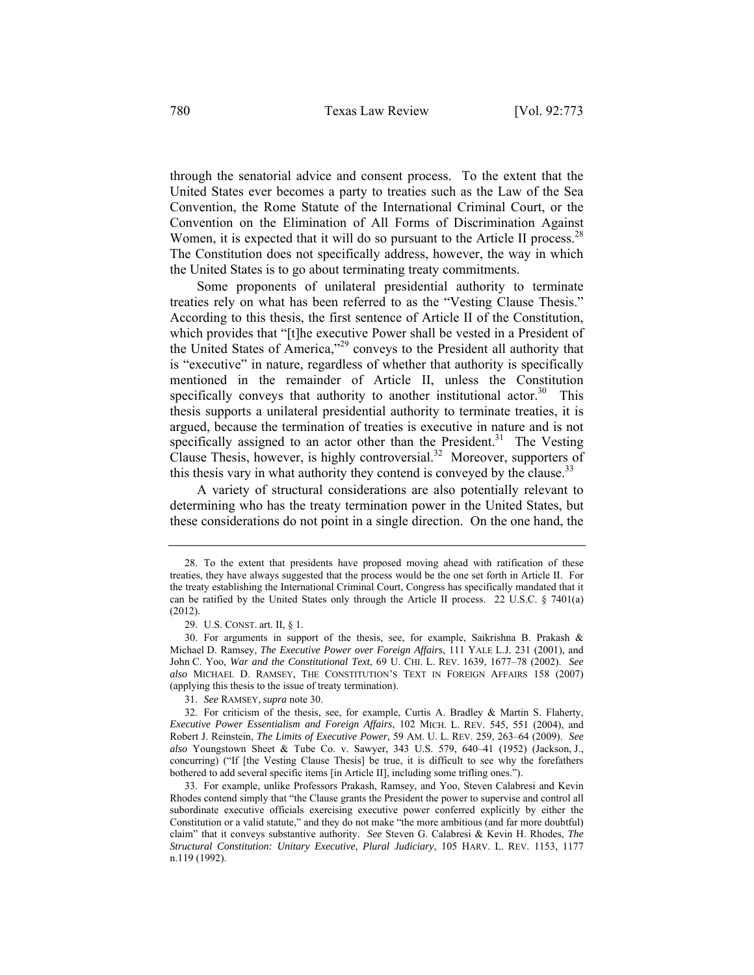through the senatorial advice and consent process. To the extent that the United States ever becomes a party to treaties such as the Law of the Sea Convention, the Rome Statute of the International Criminal Court, or the Convention on the Elimination of All Forms of Discrimination Against Women, it is expected that it will do so pursuant to the Article II process.<sup>28</sup> The Constitution does not specifically address, however, the way in which the United States is to go about terminating treaty commitments.

Some proponents of unilateral presidential authority to terminate treaties rely on what has been referred to as the "Vesting Clause Thesis." According to this thesis, the first sentence of Article II of the Constitution, which provides that "[t]he executive Power shall be vested in a President of the United States of America,"<sup>29</sup> conveys to the President all authority that is "executive" in nature, regardless of whether that authority is specifically mentioned in the remainder of Article II, unless the Constitution specifically conveys that authority to another institutional actor.<sup>30</sup> This thesis supports a unilateral presidential authority to terminate treaties, it is argued, because the termination of treaties is executive in nature and is not specifically assigned to an actor other than the President.<sup>31</sup> The Vesting Clause Thesis, however, is highly controversial.<sup>32</sup> Moreover, supporters of this thesis vary in what authority they contend is conveyed by the clause.<sup>33</sup>

A variety of structural considerations are also potentially relevant to determining who has the treaty termination power in the United States, but these considerations do not point in a single direction. On the one hand, the

31. *See* RAMSEY, *supra* note 30.

<sup>28.</sup> To the extent that presidents have proposed moving ahead with ratification of these treaties, they have always suggested that the process would be the one set forth in Article II. For the treaty establishing the International Criminal Court, Congress has specifically mandated that it can be ratified by the United States only through the Article II process. 22 U.S.C. § 7401(a) (2012).

<sup>29.</sup> U.S. CONST. art. II, § 1.

<sup>30.</sup> For arguments in support of the thesis, see, for example, Saikrishna B. Prakash & Michael D. Ramsey, *The Executive Power over Foreign Affairs*, 111 YALE L.J. 231 (2001), and John C. Yoo, *War and the Constitutional Text*, 69 U. CHI. L. REV. 1639, 1677–78 (2002). *See also* MICHAEL D. RAMSEY, THE CONSTITUTION'S TEXT IN FOREIGN AFFAIRS 158 (2007) (applying this thesis to the issue of treaty termination).

<sup>32.</sup> For criticism of the thesis, see, for example, Curtis A. Bradley & Martin S. Flaherty, *Executive Power Essentialism and Foreign Affairs*, 102 MICH. L. REV. 545, 551 (2004), and Robert J. Reinstein, *The Limits of Executive Power*, 59 AM. U. L. REV. 259, 263–64 (2009). *See also* Youngstown Sheet & Tube Co. v. Sawyer, 343 U.S. 579, 640–41 (1952) (Jackson, J., concurring) ("If [the Vesting Clause Thesis] be true, it is difficult to see why the forefathers bothered to add several specific items [in Article II], including some trifling ones.").

<sup>33.</sup> For example, unlike Professors Prakash, Ramsey, and Yoo, Steven Calabresi and Kevin Rhodes contend simply that "the Clause grants the President the power to supervise and control all subordinate executive officials exercising executive power conferred explicitly by either the Constitution or a valid statute," and they do not make "the more ambitious (and far more doubtful) claim" that it conveys substantive authority. *See* Steven G. Calabresi & Kevin H. Rhodes, *The Structural Constitution: Unitary Executive, Plural Judiciary*, 105 HARV. L. REV. 1153, 1177 n.119 (1992).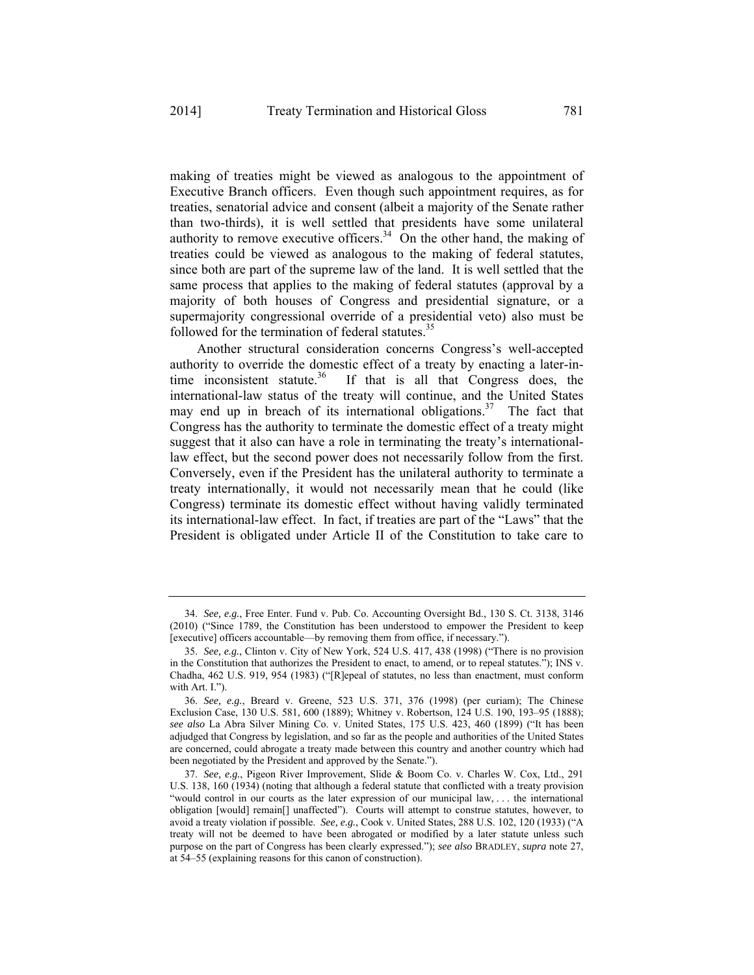making of treaties might be viewed as analogous to the appointment of Executive Branch officers. Even though such appointment requires, as for treaties, senatorial advice and consent (albeit a majority of the Senate rather than two-thirds), it is well settled that presidents have some unilateral authority to remove executive officers.<sup>34</sup> On the other hand, the making of treaties could be viewed as analogous to the making of federal statutes, since both are part of the supreme law of the land. It is well settled that the same process that applies to the making of federal statutes (approval by a majority of both houses of Congress and presidential signature, or a supermajority congressional override of a presidential veto) also must be followed for the termination of federal statutes.<sup>35</sup>

Another structural consideration concerns Congress's well-accepted authority to override the domestic effect of a treaty by enacting a later-intime inconsistent statute.<sup>36</sup> If that is all that Congress does, the international-law status of the treaty will continue, and the United States may end up in breach of its international obligations.<sup>37</sup> The fact that Congress has the authority to terminate the domestic effect of a treaty might suggest that it also can have a role in terminating the treaty's internationallaw effect, but the second power does not necessarily follow from the first. Conversely, even if the President has the unilateral authority to terminate a treaty internationally, it would not necessarily mean that he could (like Congress) terminate its domestic effect without having validly terminated its international-law effect. In fact, if treaties are part of the "Laws" that the President is obligated under Article II of the Constitution to take care to

<sup>34.</sup> *See, e.g.*, Free Enter. Fund v. Pub. Co. Accounting Oversight Bd., 130 S. Ct. 3138, 3146 (2010) ("Since 1789, the Constitution has been understood to empower the President to keep [executive] officers accountable—by removing them from office, if necessary.").

<sup>35.</sup> *See, e.g.*, Clinton v. City of New York, 524 U.S. 417, 438 (1998) ("There is no provision in the Constitution that authorizes the President to enact, to amend, or to repeal statutes."); INS v. Chadha, 462 U.S. 919, 954 (1983) ("[R]epeal of statutes, no less than enactment, must conform with Art. I.").

<sup>36.</sup> *See, e.g.*, Breard v. Greene, 523 U.S. 371, 376 (1998) (per curiam); The Chinese Exclusion Case, 130 U.S. 581, 600 (1889); Whitney v. Robertson, 124 U.S. 190, 193–95 (1888); *see also* La Abra Silver Mining Co. v. United States, 175 U.S. 423, 460 (1899) ("It has been adjudged that Congress by legislation, and so far as the people and authorities of the United States are concerned, could abrogate a treaty made between this country and another country which had been negotiated by the President and approved by the Senate.").

<sup>37.</sup> *See, e.g.*, Pigeon River Improvement, Slide & Boom Co. v. Charles W. Cox, Ltd., 291 U.S. 138, 160 (1934) (noting that although a federal statute that conflicted with a treaty provision "would control in our courts as the later expression of our municipal law, . . . the international obligation [would] remain[] unaffected"). Courts will attempt to construe statutes, however, to avoid a treaty violation if possible. *See, e.g.*, Cook v. United States, 288 U.S. 102, 120 (1933) ("A treaty will not be deemed to have been abrogated or modified by a later statute unless such purpose on the part of Congress has been clearly expressed."); *see also* BRADLEY, *supra* note 27, at 54–55 (explaining reasons for this canon of construction).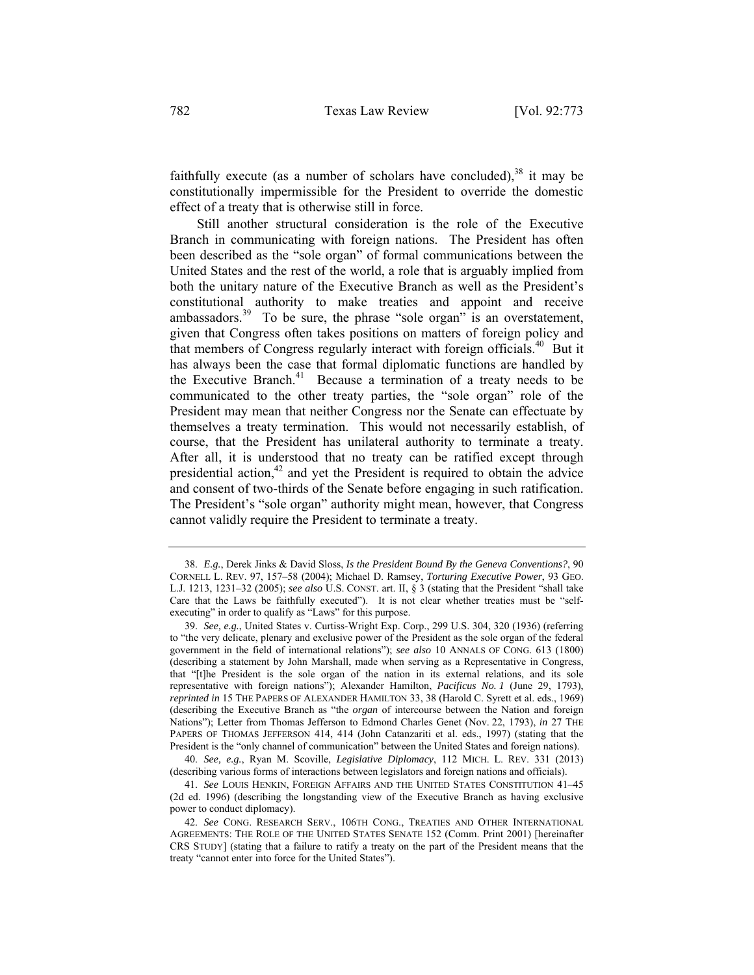faithfully execute (as a number of scholars have concluded), $38$  it may be constitutionally impermissible for the President to override the domestic effect of a treaty that is otherwise still in force.

Still another structural consideration is the role of the Executive Branch in communicating with foreign nations. The President has often been described as the "sole organ" of formal communications between the United States and the rest of the world, a role that is arguably implied from both the unitary nature of the Executive Branch as well as the President's constitutional authority to make treaties and appoint and receive ambassadors.<sup>39</sup> To be sure, the phrase "sole organ" is an overstatement, given that Congress often takes positions on matters of foreign policy and that members of Congress regularly interact with foreign officials.<sup>40</sup> But it has always been the case that formal diplomatic functions are handled by the Executive Branch.<sup>41</sup> Because a termination of a treaty needs to be communicated to the other treaty parties, the "sole organ" role of the President may mean that neither Congress nor the Senate can effectuate by themselves a treaty termination. This would not necessarily establish, of course, that the President has unilateral authority to terminate a treaty. After all, it is understood that no treaty can be ratified except through presidential action, $42$  and yet the President is required to obtain the advice and consent of two-thirds of the Senate before engaging in such ratification. The President's "sole organ" authority might mean, however, that Congress cannot validly require the President to terminate a treaty.

<sup>38.</sup> *E.g.*, Derek Jinks & David Sloss, *Is the President Bound By the Geneva Conventions?*, 90 CORNELL L. REV. 97, 157–58 (2004); Michael D. Ramsey, *Torturing Executive Power*, 93 GEO. L.J. 1213, 1231–32 (2005); *see also* U.S. CONST. art. II, § 3 (stating that the President "shall take Care that the Laws be faithfully executed"). It is not clear whether treaties must be "selfexecuting" in order to qualify as "Laws" for this purpose.

<sup>39.</sup> *See, e.g.*, United States v. Curtiss-Wright Exp. Corp., 299 U.S. 304, 320 (1936) (referring to "the very delicate, plenary and exclusive power of the President as the sole organ of the federal government in the field of international relations"); *see also* 10 ANNALS OF CONG. 613 (1800) (describing a statement by John Marshall, made when serving as a Representative in Congress, that "[t]he President is the sole organ of the nation in its external relations, and its sole representative with foreign nations"); Alexander Hamilton, *Pacificus No. 1* (June 29, 1793), *reprinted in* 15 THE PAPERS OF ALEXANDER HAMILTON 33, 38 (Harold C. Syrett et al. eds., 1969) (describing the Executive Branch as "the *organ* of intercourse between the Nation and foreign Nations"); Letter from Thomas Jefferson to Edmond Charles Genet (Nov. 22, 1793), *in* 27 THE PAPERS OF THOMAS JEFFERSON 414, 414 (John Catanzariti et al. eds., 1997) (stating that the President is the "only channel of communication" between the United States and foreign nations).

<sup>40.</sup> *See, e.g.*, Ryan M. Scoville, *Legislative Diplomacy*, 112 MICH. L. REV. 331 (2013) (describing various forms of interactions between legislators and foreign nations and officials).

<sup>41.</sup> *See* LOUIS HENKIN, FOREIGN AFFAIRS AND THE UNITED STATES CONSTITUTION 41–45 (2d ed. 1996) (describing the longstanding view of the Executive Branch as having exclusive power to conduct diplomacy).

<sup>42.</sup> *See* CONG. RESEARCH SERV., 106TH CONG., TREATIES AND OTHER INTERNATIONAL AGREEMENTS: THE ROLE OF THE UNITED STATES SENATE 152 (Comm. Print 2001) [hereinafter CRS STUDY] (stating that a failure to ratify a treaty on the part of the President means that the treaty "cannot enter into force for the United States").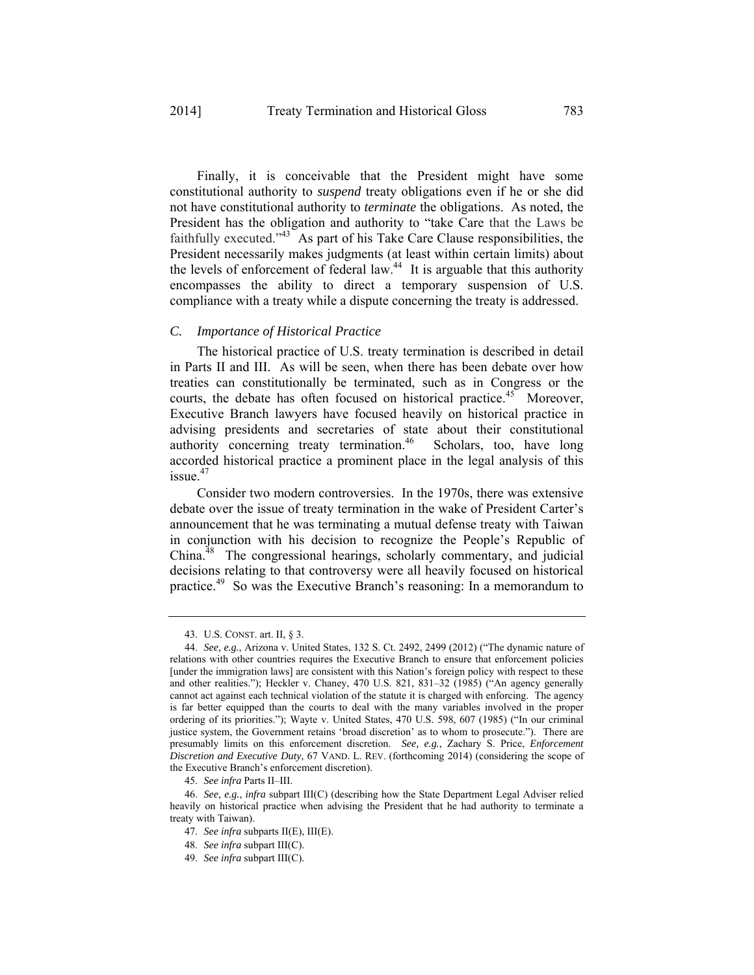Finally, it is conceivable that the President might have some constitutional authority to *suspend* treaty obligations even if he or she did not have constitutional authority to *terminate* the obligations. As noted, the President has the obligation and authority to "take Care that the Laws be faithfully executed." $43$  As part of his Take Care Clause responsibilities, the President necessarily makes judgments (at least within certain limits) about the levels of enforcement of federal law.<sup>44</sup> It is arguable that this authority encompasses the ability to direct a temporary suspension of U.S. compliance with a treaty while a dispute concerning the treaty is addressed.

### *C. Importance of Historical Practice*

The historical practice of U.S. treaty termination is described in detail in Parts II and III. As will be seen, when there has been debate over how treaties can constitutionally be terminated, such as in Congress or the courts, the debate has often focused on historical practice.<sup>45</sup> Moreover, Executive Branch lawyers have focused heavily on historical practice in advising presidents and secretaries of state about their constitutional authority concerning treaty termination.<sup>46</sup> Scholars, too, have long accorded historical practice a prominent place in the legal analysis of this issue.<sup>47</sup>

Consider two modern controversies. In the 1970s, there was extensive debate over the issue of treaty termination in the wake of President Carter's announcement that he was terminating a mutual defense treaty with Taiwan in conjunction with his decision to recognize the People's Republic of China.<sup>48</sup> The congressional hearings, scholarly commentary, and judicial decisions relating to that controversy were all heavily focused on historical practice.49 So was the Executive Branch's reasoning: In a memorandum to

<sup>43.</sup> U.S. CONST. art. II, § 3.

<sup>44.</sup> *See, e.g.*, Arizona v. United States, 132 S. Ct. 2492, 2499 (2012) ("The dynamic nature of relations with other countries requires the Executive Branch to ensure that enforcement policies [under the immigration laws] are consistent with this Nation's foreign policy with respect to these and other realities."); Heckler v. Chaney, 470 U.S. 821, 831–32 (1985) ("An agency generally cannot act against each technical violation of the statute it is charged with enforcing. The agency is far better equipped than the courts to deal with the many variables involved in the proper ordering of its priorities."); Wayte v. United States, 470 U.S. 598, 607 (1985) ("In our criminal justice system, the Government retains 'broad discretion' as to whom to prosecute."). There are presumably limits on this enforcement discretion. *See, e.g.*, Zachary S. Price, *Enforcement Discretion and Executive Duty*, 67 VAND. L. REV. (forthcoming 2014) (considering the scope of the Executive Branch's enforcement discretion).

<sup>45.</sup> *See infra* Parts II–III.

<sup>46.</sup> *See, e.g.*, *infra* subpart III(C) (describing how the State Department Legal Adviser relied heavily on historical practice when advising the President that he had authority to terminate a treaty with Taiwan).

<sup>47.</sup> *See infra* subparts II(E), III(E).

<sup>48.</sup> *See infra* subpart III(C).

<sup>49.</sup> *See infra* subpart III(C).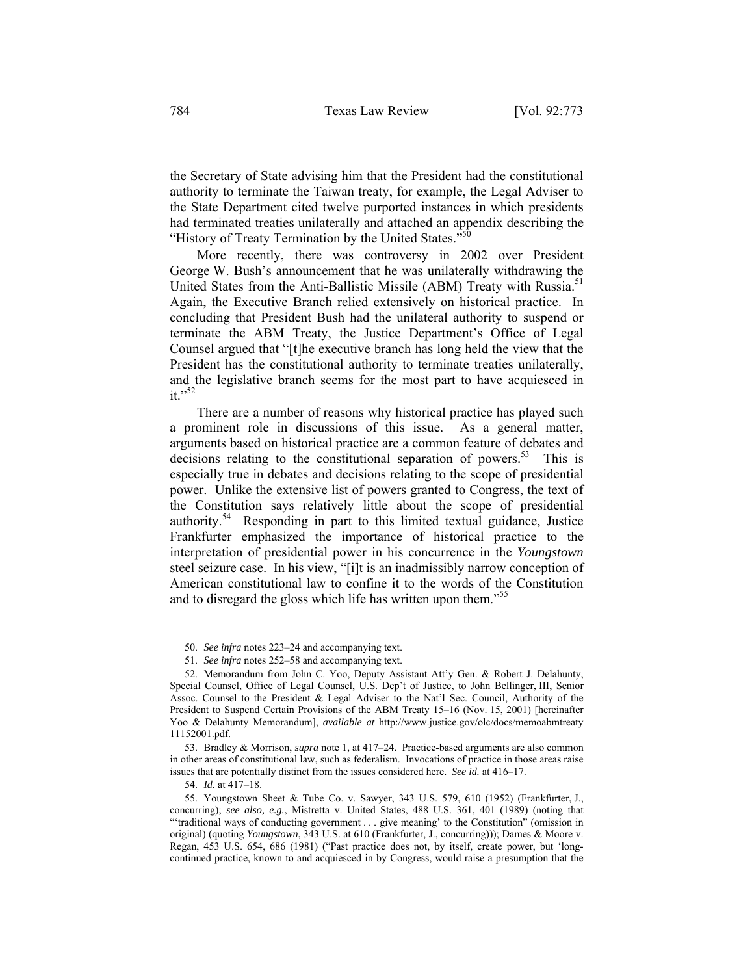the Secretary of State advising him that the President had the constitutional authority to terminate the Taiwan treaty, for example, the Legal Adviser to the State Department cited twelve purported instances in which presidents had terminated treaties unilaterally and attached an appendix describing the "History of Treaty Termination by the United States."<sup>50</sup>

More recently, there was controversy in 2002 over President George W. Bush's announcement that he was unilaterally withdrawing the United States from the Anti-Ballistic Missile (ABM) Treaty with Russia.<sup>51</sup> Again, the Executive Branch relied extensively on historical practice. In concluding that President Bush had the unilateral authority to suspend or terminate the ABM Treaty, the Justice Department's Office of Legal Counsel argued that "[t]he executive branch has long held the view that the President has the constitutional authority to terminate treaties unilaterally, and the legislative branch seems for the most part to have acquiesced in it."52

There are a number of reasons why historical practice has played such a prominent role in discussions of this issue. As a general matter, arguments based on historical practice are a common feature of debates and decisions relating to the constitutional separation of powers.<sup>53</sup> This is especially true in debates and decisions relating to the scope of presidential power. Unlike the extensive list of powers granted to Congress, the text of the Constitution says relatively little about the scope of presidential authority.54 Responding in part to this limited textual guidance, Justice Frankfurter emphasized the importance of historical practice to the interpretation of presidential power in his concurrence in the *Youngstown* steel seizure case. In his view, "[i]t is an inadmissibly narrow conception of American constitutional law to confine it to the words of the Constitution and to disregard the gloss which life has written upon them."<sup>55</sup>

54. *Id.* at 417–18.

<sup>50.</sup> *See infra* notes 223–24 and accompanying text.

<sup>51.</sup> *See infra* notes 252–58 and accompanying text.

<sup>52.</sup> Memorandum from John C. Yoo, Deputy Assistant Att'y Gen. & Robert J. Delahunty, Special Counsel, Office of Legal Counsel, U.S. Dep't of Justice, to John Bellinger, III, Senior Assoc. Counsel to the President & Legal Adviser to the Nat'l Sec. Council, Authority of the President to Suspend Certain Provisions of the ABM Treaty 15–16 (Nov. 15, 2001) [hereinafter Yoo & Delahunty Memorandum], *available at* http://www.justice.gov/olc/docs/memoabmtreaty 11152001.pdf.

<sup>53.</sup> Bradley & Morrison, *supra* note 1, at 417–24. Practice-based arguments are also common in other areas of constitutional law, such as federalism. Invocations of practice in those areas raise issues that are potentially distinct from the issues considered here. *See id.* at 416–17.

<sup>55.</sup> Youngstown Sheet & Tube Co. v. Sawyer, 343 U.S. 579, 610 (1952) (Frankfurter, J., concurring); *see also, e.g.*, Mistretta v. United States, 488 U.S. 361, 401 (1989) (noting that "'traditional ways of conducting government . . . give meaning' to the Constitution" (omission in original) (quoting *Youngstown*, 343 U.S. at 610 (Frankfurter, J., concurring))); Dames & Moore v. Regan, 453 U.S. 654, 686 (1981) ("Past practice does not, by itself, create power, but 'longcontinued practice, known to and acquiesced in by Congress, would raise a presumption that the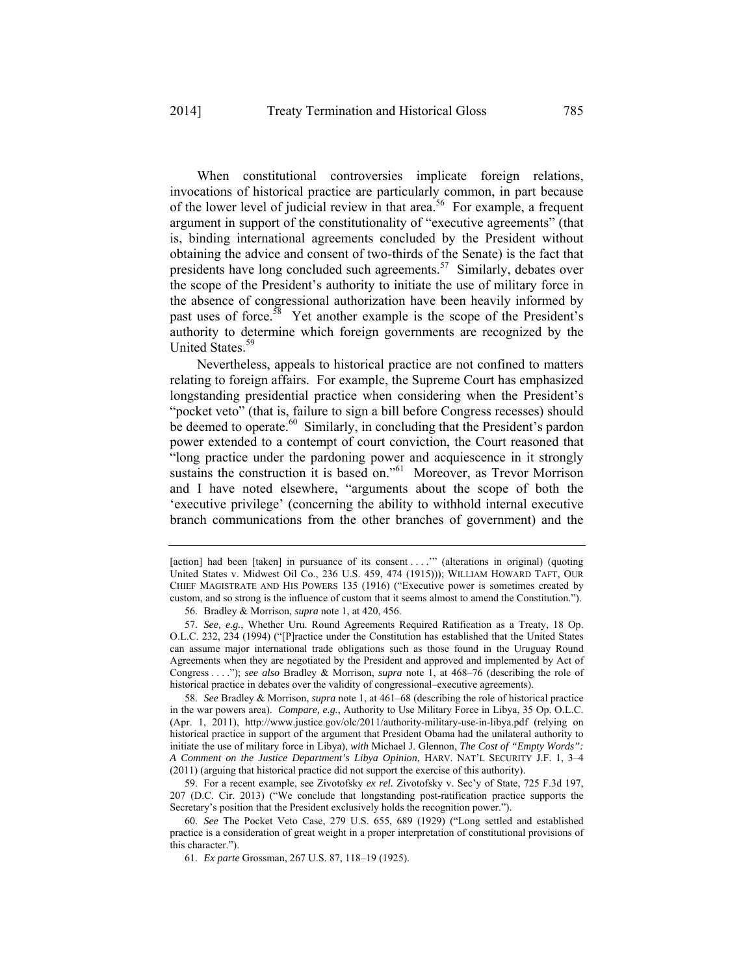When constitutional controversies implicate foreign relations, invocations of historical practice are particularly common, in part because of the lower level of judicial review in that area.<sup>56</sup> For example, a frequent argument in support of the constitutionality of "executive agreements" (that is, binding international agreements concluded by the President without obtaining the advice and consent of two-thirds of the Senate) is the fact that presidents have long concluded such agreements.<sup>57</sup> Similarly, debates over the scope of the President's authority to initiate the use of military force in the absence of congressional authorization have been heavily informed by past uses of force.<sup>58</sup> Yet another example is the scope of the President's authority to determine which foreign governments are recognized by the United States.<sup>59</sup>

Nevertheless, appeals to historical practice are not confined to matters relating to foreign affairs. For example, the Supreme Court has emphasized longstanding presidential practice when considering when the President's "pocket veto" (that is, failure to sign a bill before Congress recesses) should be deemed to operate.<sup>60</sup> Similarly, in concluding that the President's pardon power extended to a contempt of court conviction, the Court reasoned that "long practice under the pardoning power and acquiescence in it strongly sustains the construction it is based on."<sup>61</sup> Moreover, as Trevor Morrison and I have noted elsewhere, "arguments about the scope of both the 'executive privilege' (concerning the ability to withhold internal executive branch communications from the other branches of government) and the

58. *See* Bradley & Morrison, *supra* note 1, at 461–68 (describing the role of historical practice in the war powers area). *Compare, e.g.*, Authority to Use Military Force in Libya, 35 Op. O.L.C. (Apr. 1, 2011), http://www.justice.gov/olc/2011/authority-military-use-in-libya.pdf (relying on historical practice in support of the argument that President Obama had the unilateral authority to initiate the use of military force in Libya), *with* Michael J. Glennon, *The Cost of "Empty Words": A Comment on the Justice Department's Libya Opinion*, HARV. NAT'L SECURITY J.F. 1, 3–4 (2011) (arguing that historical practice did not support the exercise of this authority).

59. For a recent example, see Zivotofsky *ex rel.* Zivotofsky v. Sec'y of State, 725 F.3d 197, 207 (D.C. Cir. 2013) ("We conclude that longstanding post-ratification practice supports the Secretary's position that the President exclusively holds the recognition power.").

60. *See* The Pocket Veto Case, 279 U.S. 655, 689 (1929) ("Long settled and established practice is a consideration of great weight in a proper interpretation of constitutional provisions of this character.").

61. *Ex parte* Grossman, 267 U.S. 87, 118–19 (1925).

<sup>[</sup>action] had been [taken] in pursuance of its consent . . . . " (alterations in original) (quoting United States v. Midwest Oil Co., 236 U.S. 459, 474 (1915))); WILLIAM HOWARD TAFT, OUR CHIEF MAGISTRATE AND HIS POWERS 135 (1916) ("Executive power is sometimes created by custom, and so strong is the influence of custom that it seems almost to amend the Constitution.").

<sup>56.</sup> Bradley & Morrison, *supra* note 1, at 420, 456.

<sup>57.</sup> *See, e.g.*, Whether Uru. Round Agreements Required Ratification as a Treaty, 18 Op. O.L.C. 232, 234 (1994) ("[P]ractice under the Constitution has established that the United States can assume major international trade obligations such as those found in the Uruguay Round Agreements when they are negotiated by the President and approved and implemented by Act of Congress . . . ."); *see also* Bradley & Morrison, *supra* note 1, at 468–76 (describing the role of historical practice in debates over the validity of congressional–executive agreements).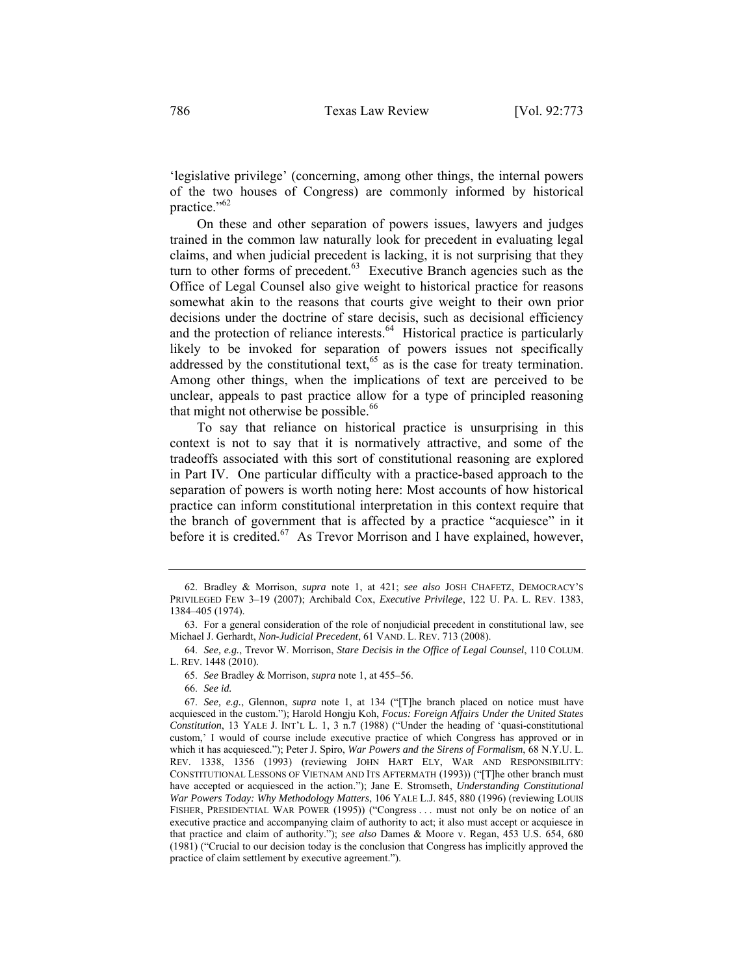'legislative privilege' (concerning, among other things, the internal powers of the two houses of Congress) are commonly informed by historical practice."<sup>62</sup>

On these and other separation of powers issues, lawyers and judges trained in the common law naturally look for precedent in evaluating legal claims, and when judicial precedent is lacking, it is not surprising that they turn to other forms of precedent.<sup>63</sup> Executive Branch agencies such as the Office of Legal Counsel also give weight to historical practice for reasons somewhat akin to the reasons that courts give weight to their own prior decisions under the doctrine of stare decisis, such as decisional efficiency and the protection of reliance interests.<sup>64</sup> Historical practice is particularly likely to be invoked for separation of powers issues not specifically addressed by the constitutional text,  $65$  as is the case for treaty termination. Among other things, when the implications of text are perceived to be unclear, appeals to past practice allow for a type of principled reasoning that might not otherwise be possible.<sup>66</sup>

To say that reliance on historical practice is unsurprising in this context is not to say that it is normatively attractive, and some of the tradeoffs associated with this sort of constitutional reasoning are explored in Part IV. One particular difficulty with a practice-based approach to the separation of powers is worth noting here: Most accounts of how historical practice can inform constitutional interpretation in this context require that the branch of government that is affected by a practice "acquiesce" in it before it is credited.<sup>67</sup> As Trevor Morrison and I have explained, however,

66. *See id.*

<sup>62.</sup> Bradley & Morrison, *supra* note 1, at 421; *see also* JOSH CHAFETZ, DEMOCRACY'S PRIVILEGED FEW 3–19 (2007); Archibald Cox, *Executive Privilege*, 122 U. PA. L. REV. 1383, 1384–405 (1974).

<sup>63.</sup> For a general consideration of the role of nonjudicial precedent in constitutional law, see Michael J. Gerhardt, *Non-Judicial Precedent*, 61 VAND. L. REV. 713 (2008).

<sup>64.</sup> *See, e.g.*, Trevor W. Morrison, *Stare Decisis in the Office of Legal Counsel*, 110 COLUM. L. REV. 1448 (2010).

<sup>65.</sup> *See* Bradley & Morrison, *supra* note 1, at 455–56.

<sup>67.</sup> *See, e.g.*, Glennon, *supra* note 1, at 134 ("[T]he branch placed on notice must have acquiesced in the custom."); Harold Hongju Koh, *Focus: Foreign Affairs Under the United States Constitution*, 13 YALE J. INT'L L. 1, 3 n.7 (1988) ("Under the heading of 'quasi-constitutional custom,' I would of course include executive practice of which Congress has approved or in which it has acquiesced."); Peter J. Spiro, *War Powers and the Sirens of Formalism*, 68 N.Y.U. L. REV. 1338, 1356 (1993) (reviewing JOHN HART ELY, WAR AND RESPONSIBILITY: CONSTITUTIONAL LESSONS OF VIETNAM AND ITS AFTERMATH (1993)) ("[T]he other branch must have accepted or acquiesced in the action."); Jane E. Stromseth, *Understanding Constitutional War Powers Today: Why Methodology Matters*, 106 YALE L.J. 845, 880 (1996) (reviewing LOUIS FISHER, PRESIDENTIAL WAR POWER (1995)) ("Congress . . . must not only be on notice of an executive practice and accompanying claim of authority to act; it also must accept or acquiesce in that practice and claim of authority."); *see also* Dames & Moore v. Regan, 453 U.S. 654, 680 (1981) ("Crucial to our decision today is the conclusion that Congress has implicitly approved the practice of claim settlement by executive agreement.").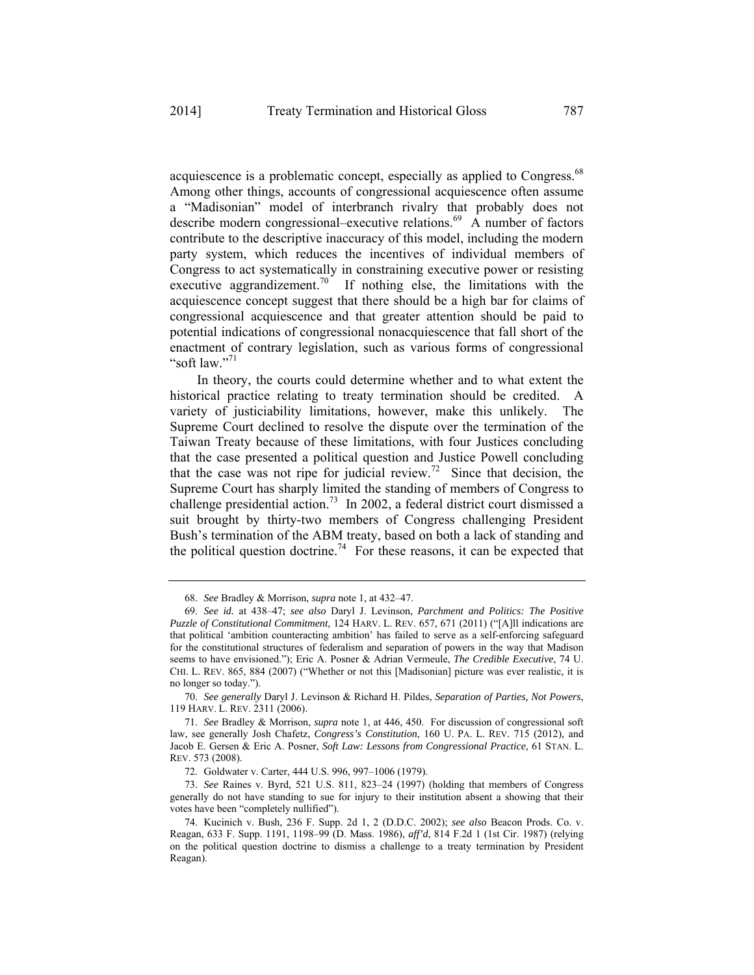acquiescence is a problematic concept, especially as applied to Congress.<sup>68</sup> Among other things, accounts of congressional acquiescence often assume a "Madisonian" model of interbranch rivalry that probably does not describe modern congressional–executive relations. $^{69}$  A number of factors contribute to the descriptive inaccuracy of this model, including the modern party system, which reduces the incentives of individual members of Congress to act systematically in constraining executive power or resisting executive aggrandizement.<sup>70</sup> If nothing else, the limitations with the acquiescence concept suggest that there should be a high bar for claims of congressional acquiescence and that greater attention should be paid to potential indications of congressional nonacquiescence that fall short of the enactment of contrary legislation, such as various forms of congressional "soft law."<sup>71</sup>

In theory, the courts could determine whether and to what extent the historical practice relating to treaty termination should be credited. A variety of justiciability limitations, however, make this unlikely. The Supreme Court declined to resolve the dispute over the termination of the Taiwan Treaty because of these limitations, with four Justices concluding that the case presented a political question and Justice Powell concluding that the case was not ripe for judicial review.<sup>72</sup> Since that decision, the Supreme Court has sharply limited the standing of members of Congress to challenge presidential action.73 In 2002, a federal district court dismissed a suit brought by thirty-two members of Congress challenging President Bush's termination of the ABM treaty, based on both a lack of standing and the political question doctrine.<sup>74</sup> For these reasons, it can be expected that

<sup>68.</sup> *See* Bradley & Morrison, *supra* note 1, at 432–47.

<sup>69.</sup> *See id.* at 438–47; *see also* Daryl J. Levinson, *Parchment and Politics: The Positive Puzzle of Constitutional Commitment*, 124 HARV. L. REV. 657, 671 (2011) ("[A]ll indications are that political 'ambition counteracting ambition' has failed to serve as a self-enforcing safeguard for the constitutional structures of federalism and separation of powers in the way that Madison seems to have envisioned."); Eric A. Posner & Adrian Vermeule, *The Credible Executive*, 74 U. CHI. L. REV. 865, 884 (2007) ("Whether or not this [Madisonian] picture was ever realistic, it is no longer so today.").

<sup>70.</sup> *See generally* Daryl J. Levinson & Richard H. Pildes, *Separation of Parties, Not Powers*, 119 HARV. L. REV. 2311 (2006).

<sup>71.</sup> *See* Bradley & Morrison, *supra* note 1, at 446, 450. For discussion of congressional soft law, see generally Josh Chafetz, *Congress's Constitution*, 160 U. PA. L. REV. 715 (2012), and Jacob E. Gersen & Eric A. Posner, *Soft Law: Lessons from Congressional Practice*, 61 STAN. L. REV. 573 (2008).

<sup>72.</sup> Goldwater v. Carter, 444 U.S. 996, 997–1006 (1979).

<sup>73.</sup> *See* Raines v. Byrd, 521 U.S. 811, 823–24 (1997) (holding that members of Congress generally do not have standing to sue for injury to their institution absent a showing that their votes have been "completely nullified").

<sup>74.</sup> Kucinich v. Bush, 236 F. Supp. 2d 1, 2 (D.D.C. 2002); *see also* Beacon Prods. Co. v. Reagan, 633 F. Supp. 1191, 1198–99 (D. Mass. 1986), *aff'd*, 814 F.2d 1 (1st Cir. 1987) (relying on the political question doctrine to dismiss a challenge to a treaty termination by President Reagan).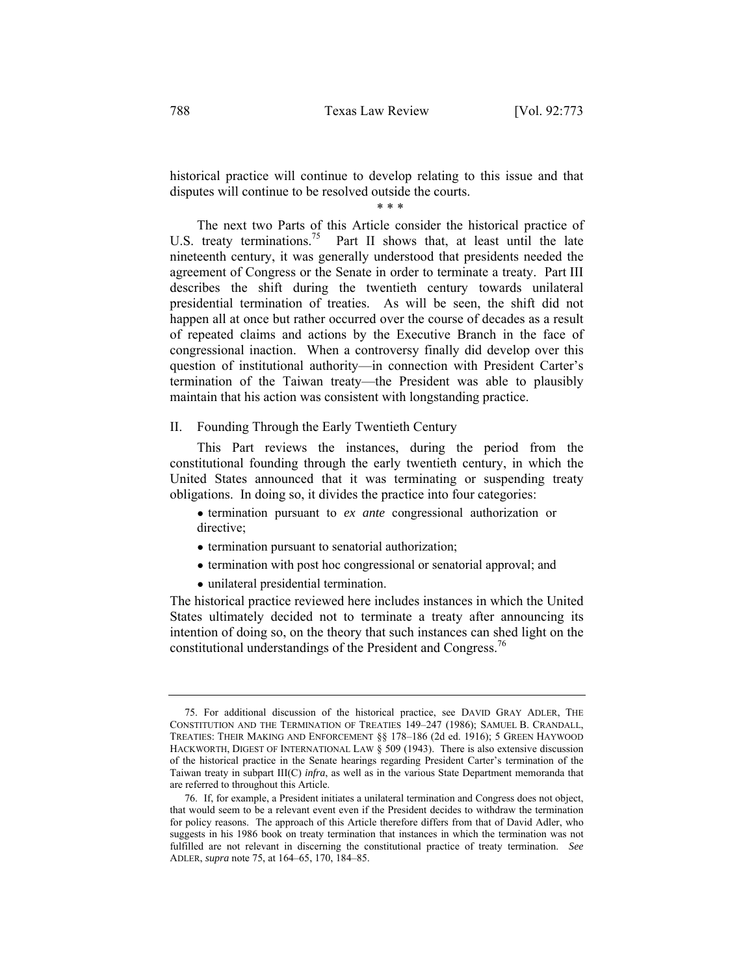historical practice will continue to develop relating to this issue and that disputes will continue to be resolved outside the courts.

\* \* \*

The next two Parts of this Article consider the historical practice of U.S. treaty terminations.<sup>75</sup> Part II shows that, at least until the late nineteenth century, it was generally understood that presidents needed the agreement of Congress or the Senate in order to terminate a treaty. Part III describes the shift during the twentieth century towards unilateral presidential termination of treaties. As will be seen, the shift did not happen all at once but rather occurred over the course of decades as a result of repeated claims and actions by the Executive Branch in the face of congressional inaction. When a controversy finally did develop over this question of institutional authority—in connection with President Carter's termination of the Taiwan treaty—the President was able to plausibly maintain that his action was consistent with longstanding practice.

## II. Founding Through the Early Twentieth Century

This Part reviews the instances, during the period from the constitutional founding through the early twentieth century, in which the United States announced that it was terminating or suspending treaty obligations. In doing so, it divides the practice into four categories:

● termination pursuant to *ex ante* congressional authorization or directive;

- termination pursuant to senatorial authorization;
- termination with post hoc congressional or senatorial approval; and
- unilateral presidential termination.

The historical practice reviewed here includes instances in which the United States ultimately decided not to terminate a treaty after announcing its intention of doing so, on the theory that such instances can shed light on the constitutional understandings of the President and Congress.<sup>76</sup>

<sup>75.</sup> For additional discussion of the historical practice, see DAVID GRAY ADLER, THE CONSTITUTION AND THE TERMINATION OF TREATIES 149–247 (1986); SAMUEL B. CRANDALL, TREATIES: THEIR MAKING AND ENFORCEMENT §§ 178–186 (2d ed. 1916); 5 GREEN HAYWOOD HACKWORTH, DIGEST OF INTERNATIONAL LAW § 509 (1943). There is also extensive discussion of the historical practice in the Senate hearings regarding President Carter's termination of the Taiwan treaty in subpart III(C) *infra*, as well as in the various State Department memoranda that are referred to throughout this Article.

<sup>76.</sup> If, for example, a President initiates a unilateral termination and Congress does not object, that would seem to be a relevant event even if the President decides to withdraw the termination for policy reasons. The approach of this Article therefore differs from that of David Adler, who suggests in his 1986 book on treaty termination that instances in which the termination was not fulfilled are not relevant in discerning the constitutional practice of treaty termination. *See* ADLER, *supra* note 75, at 164–65, 170, 184–85.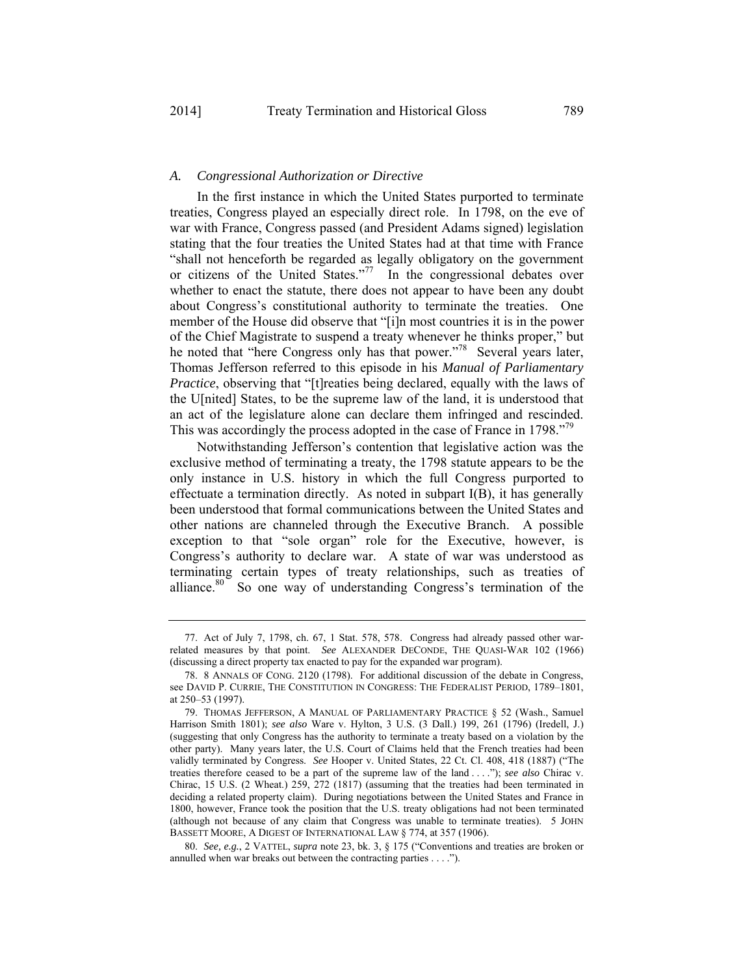#### *A. Congressional Authorization or Directive*

In the first instance in which the United States purported to terminate treaties, Congress played an especially direct role. In 1798, on the eve of war with France, Congress passed (and President Adams signed) legislation stating that the four treaties the United States had at that time with France "shall not henceforth be regarded as legally obligatory on the government or citizens of the United States."<sup>77</sup> In the congressional debates over whether to enact the statute, there does not appear to have been any doubt about Congress's constitutional authority to terminate the treaties. One member of the House did observe that "[i]n most countries it is in the power of the Chief Magistrate to suspend a treaty whenever he thinks proper," but he noted that "here Congress only has that power."<sup>78</sup> Several years later, Thomas Jefferson referred to this episode in his *Manual of Parliamentary Practice*, observing that "[t]reaties being declared, equally with the laws of the U[nited] States, to be the supreme law of the land, it is understood that an act of the legislature alone can declare them infringed and rescinded. This was accordingly the process adopted in the case of France in 1798."<sup>79</sup>

Notwithstanding Jefferson's contention that legislative action was the exclusive method of terminating a treaty, the 1798 statute appears to be the only instance in U.S. history in which the full Congress purported to effectuate a termination directly. As noted in subpart I(B), it has generally been understood that formal communications between the United States and other nations are channeled through the Executive Branch. A possible exception to that "sole organ" role for the Executive, however, is Congress's authority to declare war. A state of war was understood as terminating certain types of treaty relationships, such as treaties of alliance.<sup>80</sup> So one way of understanding Congress's termination of the

<sup>77.</sup> Act of July 7, 1798, ch. 67, 1 Stat. 578, 578. Congress had already passed other warrelated measures by that point. *See* ALEXANDER DECONDE, THE QUASI-WAR 102 (1966) (discussing a direct property tax enacted to pay for the expanded war program).

<sup>78. 8</sup> ANNALS OF CONG. 2120 (1798). For additional discussion of the debate in Congress, see DAVID P. CURRIE, THE CONSTITUTION IN CONGRESS: THE FEDERALIST PERIOD, 1789–1801, at 250–53 (1997).

<sup>79.</sup> THOMAS JEFFERSON, A MANUAL OF PARLIAMENTARY PRACTICE § 52 (Wash., Samuel Harrison Smith 1801); *see also* Ware v. Hylton, 3 U.S. (3 Dall.) 199, 261 (1796) (Iredell, J.) (suggesting that only Congress has the authority to terminate a treaty based on a violation by the other party). Many years later, the U.S. Court of Claims held that the French treaties had been validly terminated by Congress. *See* Hooper v. United States, 22 Ct. Cl. 408, 418 (1887) ("The treaties therefore ceased to be a part of the supreme law of the land . . . ."); *see also* Chirac v. Chirac, 15 U.S. (2 Wheat.) 259, 272 (1817) (assuming that the treaties had been terminated in deciding a related property claim). During negotiations between the United States and France in 1800, however, France took the position that the U.S. treaty obligations had not been terminated (although not because of any claim that Congress was unable to terminate treaties). 5 JOHN BASSETT MOORE, A DIGEST OF INTERNATIONAL LAW § 774, at 357 (1906).

<sup>80.</sup> *See, e.g.*, 2 VATTEL, *supra* note 23, bk. 3, § 175 ("Conventions and treaties are broken or annulled when war breaks out between the contracting parties . . . .").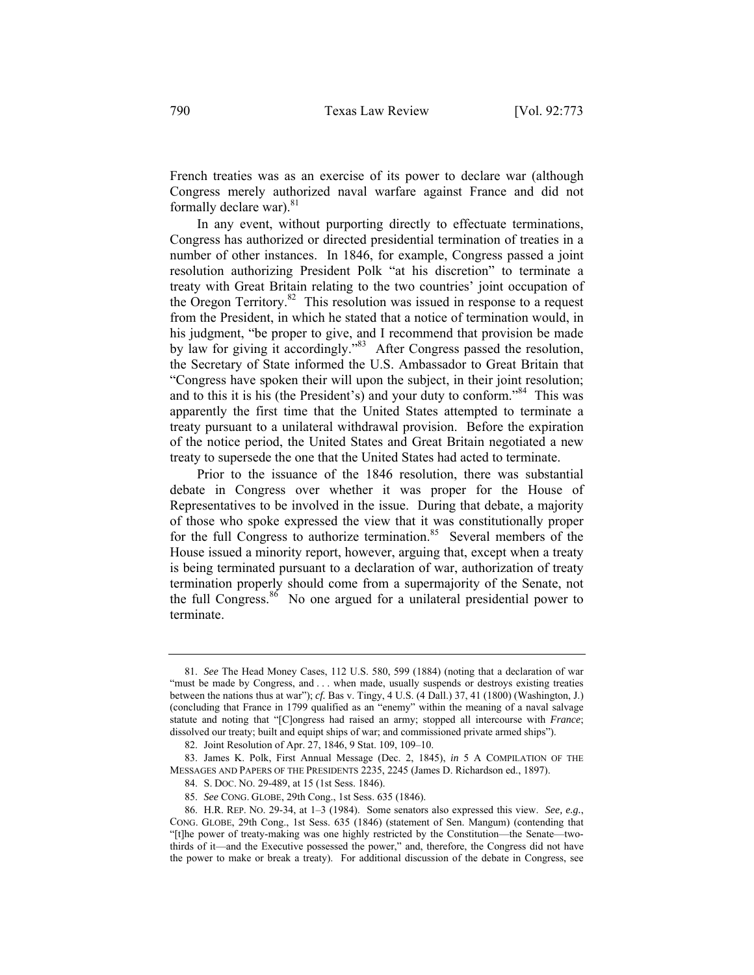French treaties was as an exercise of its power to declare war (although Congress merely authorized naval warfare against France and did not formally declare war).<sup>81</sup>

In any event, without purporting directly to effectuate terminations, Congress has authorized or directed presidential termination of treaties in a number of other instances. In 1846, for example, Congress passed a joint resolution authorizing President Polk "at his discretion" to terminate a treaty with Great Britain relating to the two countries' joint occupation of the Oregon Territory.<sup>82</sup> This resolution was issued in response to a request from the President, in which he stated that a notice of termination would, in his judgment, "be proper to give, and I recommend that provision be made by law for giving it accordingly.<sup>783</sup> After Congress passed the resolution, the Secretary of State informed the U.S. Ambassador to Great Britain that "Congress have spoken their will upon the subject, in their joint resolution; and to this it is his (the President's) and your duty to conform."84 This was apparently the first time that the United States attempted to terminate a treaty pursuant to a unilateral withdrawal provision. Before the expiration of the notice period, the United States and Great Britain negotiated a new treaty to supersede the one that the United States had acted to terminate.

Prior to the issuance of the 1846 resolution, there was substantial debate in Congress over whether it was proper for the House of Representatives to be involved in the issue. During that debate, a majority of those who spoke expressed the view that it was constitutionally proper for the full Congress to authorize termination.<sup>85</sup> Several members of the House issued a minority report, however, arguing that, except when a treaty is being terminated pursuant to a declaration of war, authorization of treaty termination properly should come from a supermajority of the Senate, not the full Congress. $86$  No one argued for a unilateral presidential power to terminate.

<sup>81.</sup> *See* The Head Money Cases, 112 U.S. 580, 599 (1884) (noting that a declaration of war "must be made by Congress, and . . . when made, usually suspends or destroys existing treaties between the nations thus at war"); *cf.* Bas v. Tingy, 4 U.S. (4 Dall.) 37, 41 (1800) (Washington, J.) (concluding that France in 1799 qualified as an "enemy" within the meaning of a naval salvage statute and noting that "[C]ongress had raised an army; stopped all intercourse with *France*; dissolved our treaty; built and equipt ships of war; and commissioned private armed ships").

<sup>82.</sup> Joint Resolution of Apr. 27, 1846, 9 Stat. 109, 109–10.

<sup>83.</sup> James K. Polk, First Annual Message (Dec. 2, 1845), *in* 5 A COMPILATION OF THE MESSAGES AND PAPERS OF THE PRESIDENTS 2235, 2245 (James D. Richardson ed., 1897).

<sup>84.</sup> S. DOC. NO. 29-489, at 15 (1st Sess. 1846).

<sup>85.</sup> *See* CONG. GLOBE, 29th Cong., 1st Sess. 635 (1846).

<sup>86.</sup> H.R. REP. NO. 29-34, at 1–3 (1984). Some senators also expressed this view. *See, e.g.*, CONG. GLOBE, 29th Cong., 1st Sess. 635 (1846) (statement of Sen. Mangum) (contending that "[t]he power of treaty-making was one highly restricted by the Constitution—the Senate—twothirds of it—and the Executive possessed the power," and, therefore, the Congress did not have the power to make or break a treaty). For additional discussion of the debate in Congress, see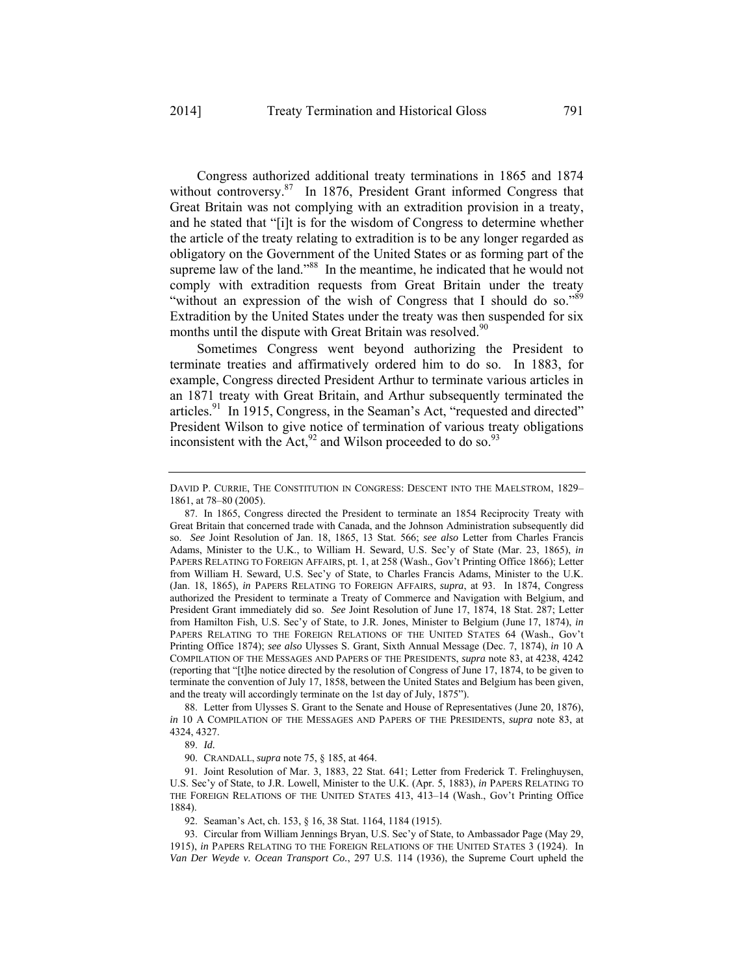Congress authorized additional treaty terminations in 1865 and 1874 without controversy.<sup>87</sup> In 1876, President Grant informed Congress that Great Britain was not complying with an extradition provision in a treaty, and he stated that "[i]t is for the wisdom of Congress to determine whether the article of the treaty relating to extradition is to be any longer regarded as obligatory on the Government of the United States or as forming part of the supreme law of the land."<sup>88</sup> In the meantime, he indicated that he would not comply with extradition requests from Great Britain under the treaty "without an expression of the wish of Congress that I should do so."<sup>89</sup> Extradition by the United States under the treaty was then suspended for six months until the dispute with Great Britain was resolved.<sup>90</sup>

Sometimes Congress went beyond authorizing the President to terminate treaties and affirmatively ordered him to do so. In 1883, for example, Congress directed President Arthur to terminate various articles in an 1871 treaty with Great Britain, and Arthur subsequently terminated the articles.<sup>91</sup> In 1915, Congress, in the Seaman's Act, "requested and directed" President Wilson to give notice of termination of various treaty obligations inconsistent with the  $Act<sub>2</sub><sup>92</sup>$  and Wilson proceeded to do so.<sup>93</sup>

88. Letter from Ulysses S. Grant to the Senate and House of Representatives (June 20, 1876), *in* 10 A COMPILATION OF THE MESSAGES AND PAPERS OF THE PRESIDENTS, *supra* note 83, at 4324, 4327.

89. *Id.*

92. Seaman's Act, ch. 153, § 16, 38 Stat. 1164, 1184 (1915).

93. Circular from William Jennings Bryan, U.S. Sec'y of State, to Ambassador Page (May 29, 1915), *in* PAPERS RELATING TO THE FOREIGN RELATIONS OF THE UNITED STATES 3 (1924). In *Van Der Weyde v. Ocean Transport Co.*, 297 U.S. 114 (1936), the Supreme Court upheld the

DAVID P. CURRIE, THE CONSTITUTION IN CONGRESS: DESCENT INTO THE MAELSTROM, 1829– 1861, at 78–80 (2005).

<sup>87.</sup> In 1865, Congress directed the President to terminate an 1854 Reciprocity Treaty with Great Britain that concerned trade with Canada, and the Johnson Administration subsequently did so. *See* Joint Resolution of Jan. 18, 1865, 13 Stat. 566; *see also* Letter from Charles Francis Adams, Minister to the U.K., to William H. Seward, U.S. Sec'y of State (Mar. 23, 1865), *in*  PAPERS RELATING TO FOREIGN AFFAIRS, pt. 1, at 258 (Wash., Gov't Printing Office 1866); Letter from William H. Seward, U.S. Sec'y of State, to Charles Francis Adams, Minister to the U.K. (Jan. 18, 1865), *in* PAPERS RELATING TO FOREIGN AFFAIRS, *supra*, at 93. In 1874, Congress authorized the President to terminate a Treaty of Commerce and Navigation with Belgium, and President Grant immediately did so. *See* Joint Resolution of June 17, 1874, 18 Stat. 287; Letter from Hamilton Fish, U.S. Sec'y of State, to J.R. Jones, Minister to Belgium (June 17, 1874), *in* PAPERS RELATING TO THE FOREIGN RELATIONS OF THE UNITED STATES 64 (Wash., Gov't Printing Office 1874); *see also* Ulysses S. Grant, Sixth Annual Message (Dec. 7, 1874), *in* 10 A COMPILATION OF THE MESSAGES AND PAPERS OF THE PRESIDENTS, *supra* note 83, at 4238, 4242 (reporting that "[t]he notice directed by the resolution of Congress of June 17, 1874, to be given to terminate the convention of July 17, 1858, between the United States and Belgium has been given, and the treaty will accordingly terminate on the 1st day of July, 1875").

<sup>90.</sup> CRANDALL, *supra* note 75, § 185, at 464.

<sup>91.</sup> Joint Resolution of Mar. 3, 1883, 22 Stat. 641; Letter from Frederick T. Frelinghuysen, U.S. Sec'y of State, to J.R. Lowell, Minister to the U.K. (Apr. 5, 1883), *in* PAPERS RELATING TO THE FOREIGN RELATIONS OF THE UNITED STATES 413, 413–14 (Wash., Gov't Printing Office 1884).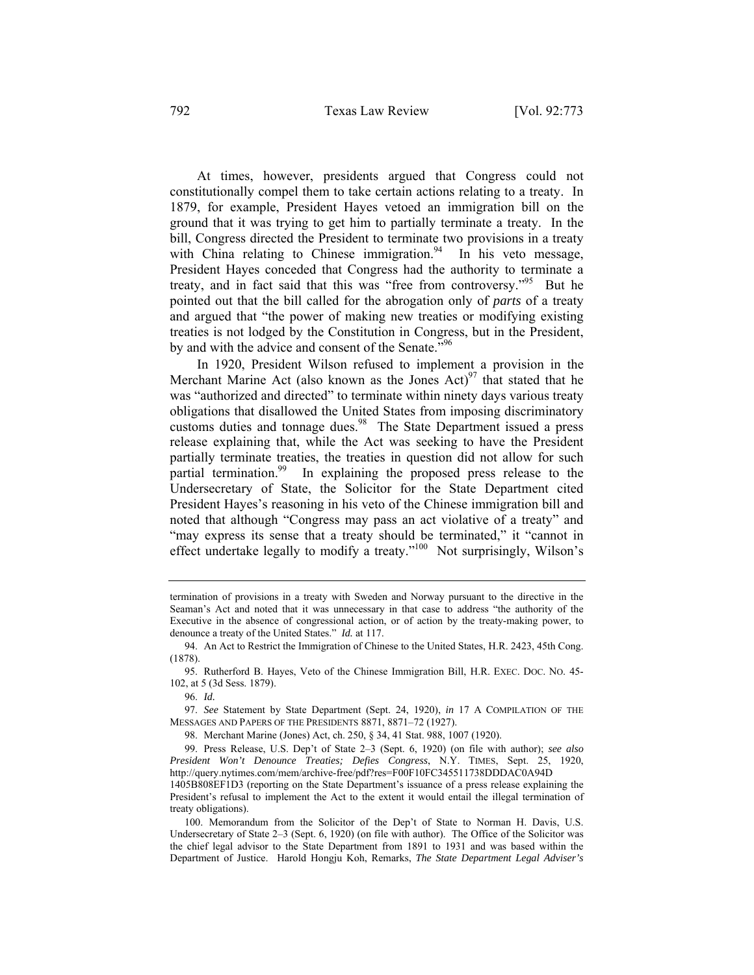At times, however, presidents argued that Congress could not constitutionally compel them to take certain actions relating to a treaty. In 1879, for example, President Hayes vetoed an immigration bill on the ground that it was trying to get him to partially terminate a treaty. In the bill, Congress directed the President to terminate two provisions in a treaty with China relating to Chinese immigration.<sup>94</sup> In his veto message, President Hayes conceded that Congress had the authority to terminate a treaty, and in fact said that this was "free from controversy."95 But he pointed out that the bill called for the abrogation only of *parts* of a treaty and argued that "the power of making new treaties or modifying existing treaties is not lodged by the Constitution in Congress, but in the President, by and with the advice and consent of the Senate."<sup>96</sup>

In 1920, President Wilson refused to implement a provision in the Merchant Marine Act (also known as the Jones Act)<sup>97</sup> that stated that he was "authorized and directed" to terminate within ninety days various treaty obligations that disallowed the United States from imposing discriminatory customs duties and tonnage dues.<sup>98</sup> The State Department issued a press release explaining that, while the Act was seeking to have the President partially terminate treaties, the treaties in question did not allow for such partial termination.<sup>99</sup> In explaining the proposed press release to the Undersecretary of State, the Solicitor for the State Department cited President Hayes's reasoning in his veto of the Chinese immigration bill and noted that although "Congress may pass an act violative of a treaty" and "may express its sense that a treaty should be terminated," it "cannot in effect undertake legally to modify a treaty."<sup>100</sup> Not surprisingly, Wilson's

96. *Id.*

97. *See* Statement by State Department (Sept. 24, 1920), *in* 17 A COMPILATION OF THE MESSAGES AND PAPERS OF THE PRESIDENTS 8871, 8871–72 (1927).

98. Merchant Marine (Jones) Act, ch. 250, § 34, 41 Stat. 988, 1007 (1920).

99. Press Release, U.S. Dep't of State 2–3 (Sept. 6, 1920) (on file with author); *see also President Won't Denounce Treaties; Defies Congress*, N.Y. TIMES, Sept. 25, 1920, http://query.nytimes.com/mem/archive-free/pdf?res=F00F10FC345511738DDDAC0A94D

1405B808EF1D3 (reporting on the State Department's issuance of a press release explaining the President's refusal to implement the Act to the extent it would entail the illegal termination of treaty obligations).

100. Memorandum from the Solicitor of the Dep't of State to Norman H. Davis, U.S. Undersecretary of State 2–3 (Sept. 6, 1920) (on file with author). The Office of the Solicitor was the chief legal advisor to the State Department from 1891 to 1931 and was based within the Department of Justice. Harold Hongju Koh, Remarks, *The State Department Legal Adviser's* 

termination of provisions in a treaty with Sweden and Norway pursuant to the directive in the Seaman's Act and noted that it was unnecessary in that case to address "the authority of the Executive in the absence of congressional action, or of action by the treaty-making power, to denounce a treaty of the United States." *Id.* at 117.

<sup>94.</sup> An Act to Restrict the Immigration of Chinese to the United States, H.R. 2423, 45th Cong. (1878).

<sup>95.</sup> Rutherford B. Hayes, Veto of the Chinese Immigration Bill, H.R. EXEC. DOC. NO. 45- 102, at 5 (3d Sess. 1879).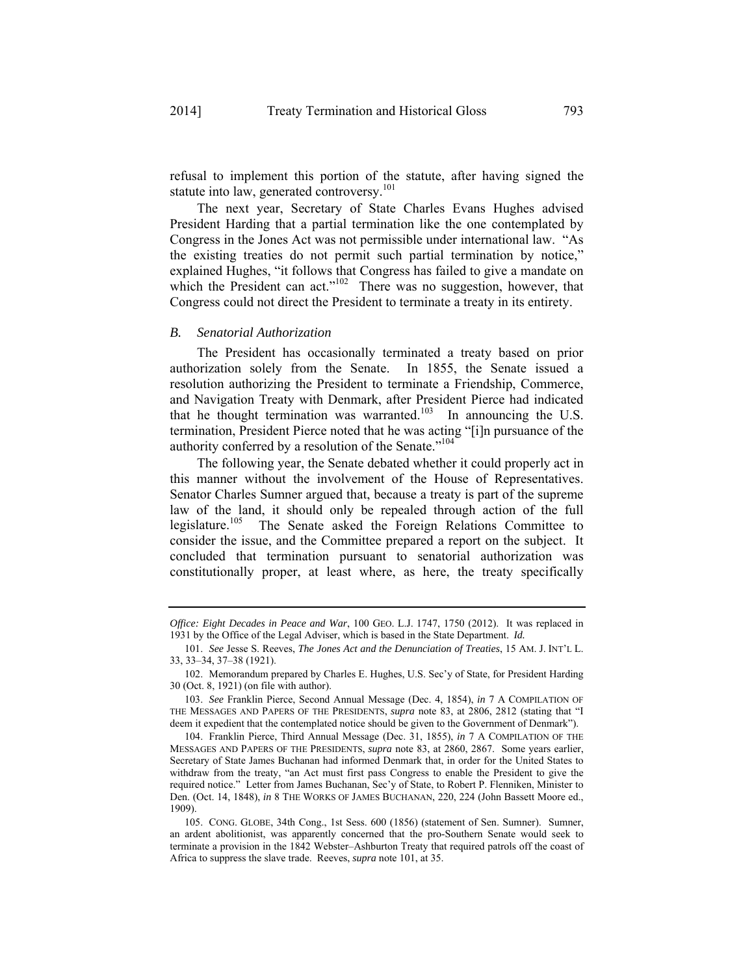refusal to implement this portion of the statute, after having signed the statute into law, generated controversy.<sup>101</sup>

The next year, Secretary of State Charles Evans Hughes advised President Harding that a partial termination like the one contemplated by Congress in the Jones Act was not permissible under international law. "As the existing treaties do not permit such partial termination by notice," explained Hughes, "it follows that Congress has failed to give a mandate on which the President can act."<sup>102</sup> There was no suggestion, however, that Congress could not direct the President to terminate a treaty in its entirety.

## *B. Senatorial Authorization*

The President has occasionally terminated a treaty based on prior authorization solely from the Senate. In 1855, the Senate issued a resolution authorizing the President to terminate a Friendship, Commerce, and Navigation Treaty with Denmark, after President Pierce had indicated that he thought termination was warranted.<sup>103</sup> In announcing the U.S. termination, President Pierce noted that he was acting "[i]n pursuance of the authority conferred by a resolution of the Senate."<sup>104</sup>

The following year, the Senate debated whether it could properly act in this manner without the involvement of the House of Representatives. Senator Charles Sumner argued that, because a treaty is part of the supreme law of the land, it should only be repealed through action of the full legislature.105 The Senate asked the Foreign Relations Committee to consider the issue, and the Committee prepared a report on the subject. It concluded that termination pursuant to senatorial authorization was constitutionally proper, at least where, as here, the treaty specifically

*Office: Eight Decades in Peace and War*, 100 GEO. L.J. 1747, 1750 (2012). It was replaced in 1931 by the Office of the Legal Adviser, which is based in the State Department. *Id.*

<sup>101.</sup> *See* Jesse S. Reeves, *The Jones Act and the Denunciation of Treaties*, 15 AM. J. INT'L L. 33, 33–34, 37–38 (1921).

<sup>102.</sup> Memorandum prepared by Charles E. Hughes, U.S. Sec'y of State, for President Harding 30 (Oct. 8, 1921) (on file with author).

<sup>103.</sup> *See* Franklin Pierce, Second Annual Message (Dec. 4, 1854), *in* 7 A COMPILATION OF THE MESSAGES AND PAPERS OF THE PRESIDENTS, *supra* note 83, at 2806, 2812 (stating that "I deem it expedient that the contemplated notice should be given to the Government of Denmark").

<sup>104.</sup> Franklin Pierce, Third Annual Message (Dec. 31, 1855), *in* 7 A COMPILATION OF THE MESSAGES AND PAPERS OF THE PRESIDENTS, *supra* note 83, at 2860, 2867. Some years earlier, Secretary of State James Buchanan had informed Denmark that, in order for the United States to withdraw from the treaty, "an Act must first pass Congress to enable the President to give the required notice." Letter from James Buchanan, Sec'y of State, to Robert P. Flenniken, Minister to Den. (Oct. 14, 1848), *in* 8 THE WORKS OF JAMES BUCHANAN, 220, 224 (John Bassett Moore ed., 1909).

<sup>105.</sup> CONG. GLOBE, 34th Cong., 1st Sess. 600 (1856) (statement of Sen. Sumner). Sumner, an ardent abolitionist, was apparently concerned that the pro-Southern Senate would seek to terminate a provision in the 1842 Webster–Ashburton Treaty that required patrols off the coast of Africa to suppress the slave trade. Reeves, *supra* note 101, at 35.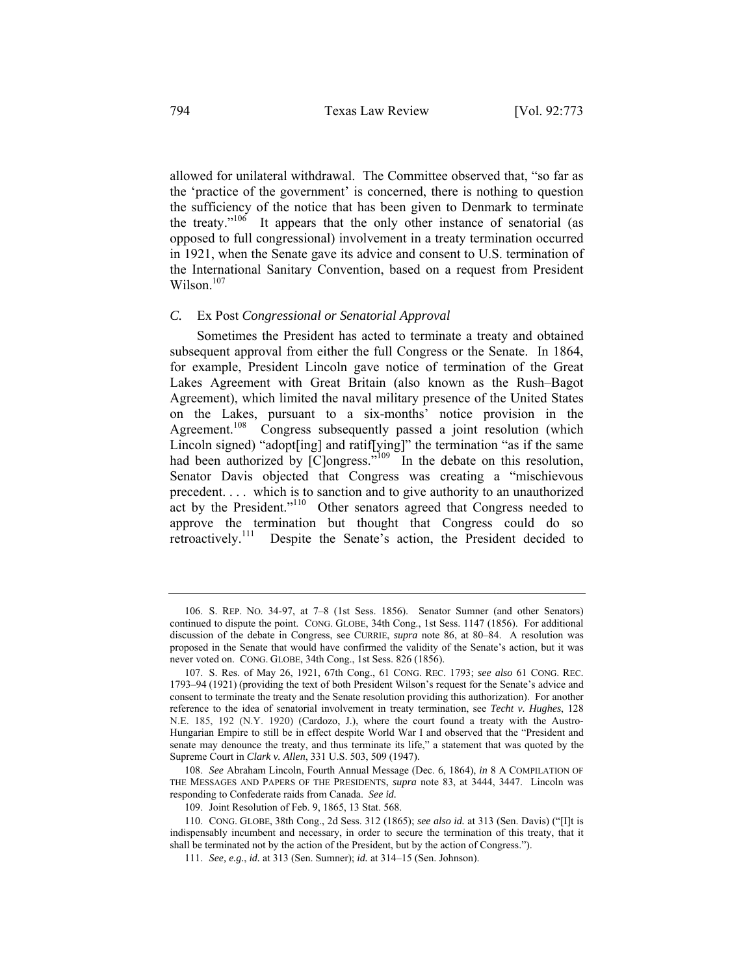allowed for unilateral withdrawal. The Committee observed that, "so far as the 'practice of the government' is concerned, there is nothing to question the sufficiency of the notice that has been given to Denmark to terminate the treaty."<sup>106</sup> It appears that the only other instance of senatorial (as opposed to full congressional) involvement in a treaty termination occurred in 1921, when the Senate gave its advice and consent to U.S. termination of the International Sanitary Convention, based on a request from President Wilson.<sup>107</sup>

#### *C.* Ex Post *Congressional or Senatorial Approval*

Sometimes the President has acted to terminate a treaty and obtained subsequent approval from either the full Congress or the Senate. In 1864, for example, President Lincoln gave notice of termination of the Great Lakes Agreement with Great Britain (also known as the Rush–Bagot Agreement), which limited the naval military presence of the United States on the Lakes, pursuant to a six-months' notice provision in the Agreement.<sup>108</sup> Congress subsequently passed a joint resolution (which Lincoln signed) "adopt[ing] and ratif[ying]" the termination "as if the same had been authorized by [C]ongress."<sup>109</sup> In the debate on this resolution, Senator Davis objected that Congress was creating a "mischievous precedent. . . . which is to sanction and to give authority to an unauthorized act by the President."110 Other senators agreed that Congress needed to approve the termination but thought that Congress could do so retroactively.111 Despite the Senate's action, the President decided to

<sup>106.</sup> S. REP. NO. 34-97, at 7–8 (1st Sess. 1856). Senator Sumner (and other Senators) continued to dispute the point. CONG. GLOBE, 34th Cong., 1st Sess. 1147 (1856). For additional discussion of the debate in Congress, see CURRIE, *supra* note 86, at 80–84. A resolution was proposed in the Senate that would have confirmed the validity of the Senate's action, but it was never voted on. CONG. GLOBE, 34th Cong., 1st Sess. 826 (1856).

<sup>107.</sup> S. Res. of May 26, 1921, 67th Cong., 61 CONG. REC. 1793; *see also* 61 CONG. REC. 1793–94 (1921) (providing the text of both President Wilson's request for the Senate's advice and consent to terminate the treaty and the Senate resolution providing this authorization). For another reference to the idea of senatorial involvement in treaty termination, see *Techt v. Hughes*, 128 N.E. 185, 192 (N.Y. 1920) (Cardozo, J.), where the court found a treaty with the Austro-Hungarian Empire to still be in effect despite World War I and observed that the "President and senate may denounce the treaty, and thus terminate its life," a statement that was quoted by the Supreme Court in *Clark v. Allen*, 331 U.S. 503, 509 (1947).

<sup>108.</sup> *See* Abraham Lincoln, Fourth Annual Message (Dec. 6, 1864), *in* 8 A COMPILATION OF THE MESSAGES AND PAPERS OF THE PRESIDENTS, *supra* note 83, at 3444, 3447. Lincoln was responding to Confederate raids from Canada. *See id.*

<sup>109.</sup> Joint Resolution of Feb. 9, 1865, 13 Stat. 568.

<sup>110.</sup> CONG. GLOBE, 38th Cong., 2d Sess. 312 (1865); *see also id.* at 313 (Sen. Davis) ("[I]t is indispensably incumbent and necessary, in order to secure the termination of this treaty, that it shall be terminated not by the action of the President, but by the action of Congress.").

<sup>111.</sup> *See, e.g.*, *id.* at 313 (Sen. Sumner); *id.* at 314–15 (Sen. Johnson).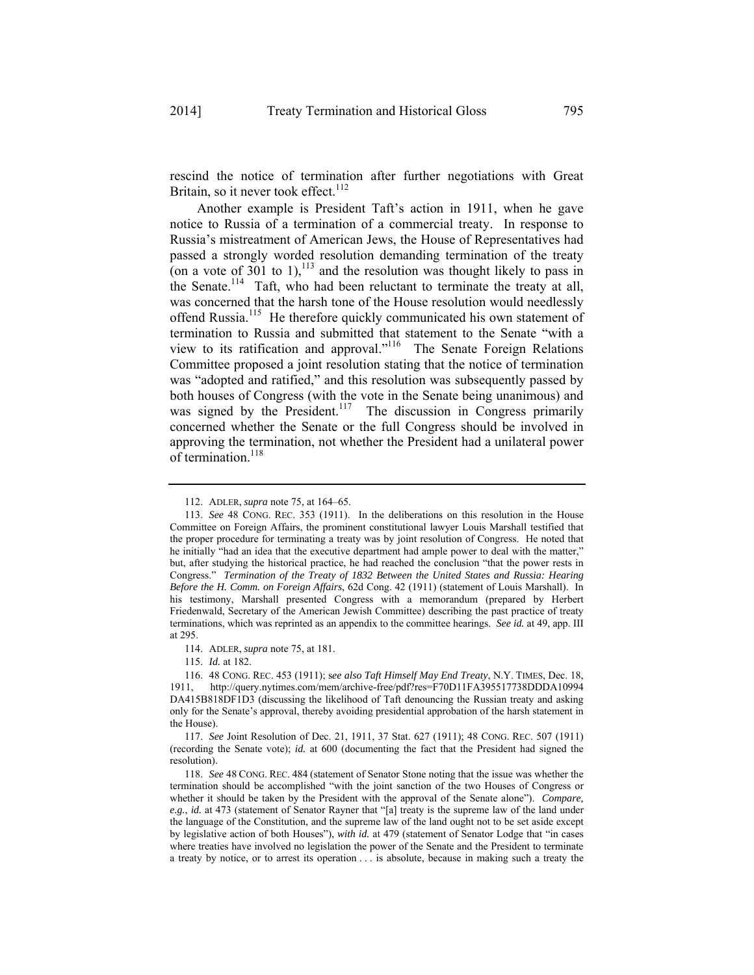rescind the notice of termination after further negotiations with Great Britain, so it never took effect.<sup>112</sup>

Another example is President Taft's action in 1911, when he gave notice to Russia of a termination of a commercial treaty. In response to Russia's mistreatment of American Jews, the House of Representatives had passed a strongly worded resolution demanding termination of the treaty (on a vote of  $301$  to 1),<sup>113</sup> and the resolution was thought likely to pass in the Senate.<sup>114</sup> Taft, who had been reluctant to terminate the treaty at all, was concerned that the harsh tone of the House resolution would needlessly offend Russia.<sup>115</sup> He therefore quickly communicated his own statement of termination to Russia and submitted that statement to the Senate "with a view to its ratification and approval."116 The Senate Foreign Relations Committee proposed a joint resolution stating that the notice of termination was "adopted and ratified," and this resolution was subsequently passed by both houses of Congress (with the vote in the Senate being unanimous) and was signed by the President.<sup>117</sup> The discussion in Congress primarily concerned whether the Senate or the full Congress should be involved in approving the termination, not whether the President had a unilateral power of termination.<sup>118</sup>

114. ADLER, *supra* note 75, at 181.

115. *Id.* at 182.

<sup>112.</sup> ADLER, *supra* note 75, at 164–65.

<sup>113.</sup> *See* 48 CONG. REC. 353 (1911). In the deliberations on this resolution in the House Committee on Foreign Affairs, the prominent constitutional lawyer Louis Marshall testified that the proper procedure for terminating a treaty was by joint resolution of Congress. He noted that he initially "had an idea that the executive department had ample power to deal with the matter," but, after studying the historical practice, he had reached the conclusion "that the power rests in Congress." *Termination of the Treaty of 1832 Between the United States and Russia: Hearing Before the H. Comm. on Foreign Affairs*, 62d Cong. 42 (1911) (statement of Louis Marshall). In his testimony, Marshall presented Congress with a memorandum (prepared by Herbert Friedenwald, Secretary of the American Jewish Committee) describing the past practice of treaty terminations, which was reprinted as an appendix to the committee hearings. *See id.* at 49, app. III at 295.

<sup>116. 48</sup> CONG. REC. 453 (1911); s*ee also Taft Himself May End Treaty*, N.Y. TIMES, Dec. 18, 1911, http://query.nytimes.com/mem/archive-free/pdf?res=F70D11FA395517738DDDA10994 DA415B818DF1D3 (discussing the likelihood of Taft denouncing the Russian treaty and asking only for the Senate's approval, thereby avoiding presidential approbation of the harsh statement in the House).

<sup>117.</sup> *See* Joint Resolution of Dec. 21, 1911, 37 Stat. 627 (1911); 48 CONG. REC. 507 (1911) (recording the Senate vote); *id.* at 600 (documenting the fact that the President had signed the resolution).

<sup>118.</sup> *See* 48 CONG. REC. 484 (statement of Senator Stone noting that the issue was whether the termination should be accomplished "with the joint sanction of the two Houses of Congress or whether it should be taken by the President with the approval of the Senate alone"). *Compare, e.g.*, *id.* at 473 (statement of Senator Rayner that "[a] treaty is the supreme law of the land under the language of the Constitution, and the supreme law of the land ought not to be set aside except by legislative action of both Houses"), *with id.* at 479 (statement of Senator Lodge that "in cases where treaties have involved no legislation the power of the Senate and the President to terminate a treaty by notice, or to arrest its operation . . . is absolute, because in making such a treaty the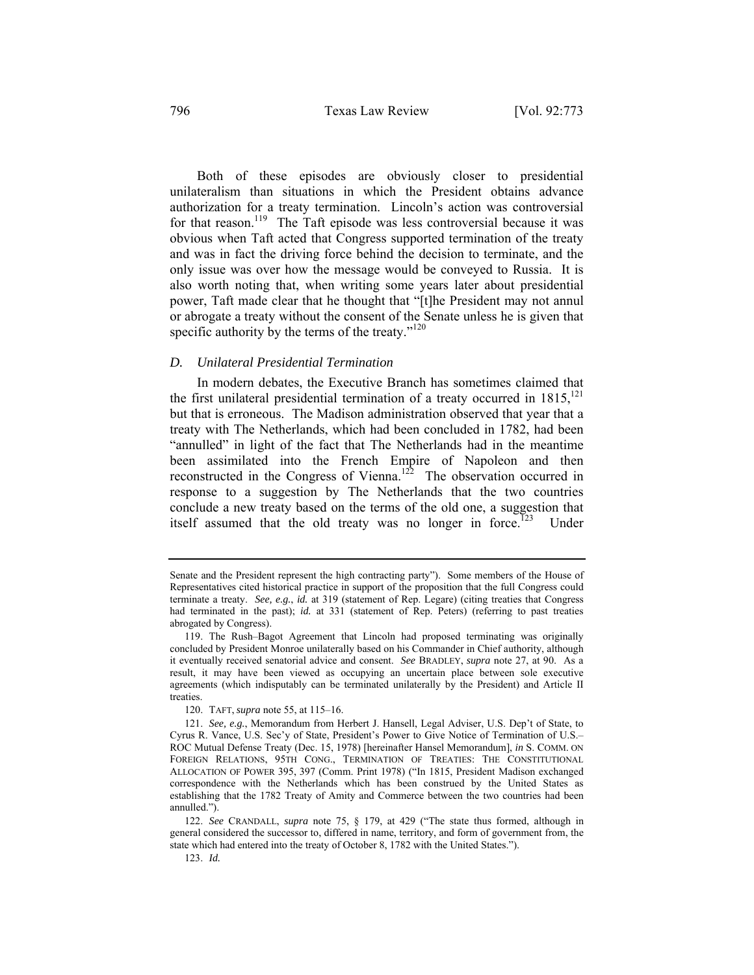Both of these episodes are obviously closer to presidential unilateralism than situations in which the President obtains advance authorization for a treaty termination. Lincoln's action was controversial for that reason.<sup>119</sup> The Taft episode was less controversial because it was obvious when Taft acted that Congress supported termination of the treaty and was in fact the driving force behind the decision to terminate, and the only issue was over how the message would be conveyed to Russia. It is also worth noting that, when writing some years later about presidential power, Taft made clear that he thought that "[t]he President may not annul or abrogate a treaty without the consent of the Senate unless he is given that specific authority by the terms of the treaty."<sup>120</sup>

### *D. Unilateral Presidential Termination*

In modern debates, the Executive Branch has sometimes claimed that the first unilateral presidential termination of a treaty occurred in  $1815$ , <sup>121</sup> but that is erroneous. The Madison administration observed that year that a treaty with The Netherlands, which had been concluded in 1782, had been "annulled" in light of the fact that The Netherlands had in the meantime been assimilated into the French Empire of Napoleon and then reconstructed in the Congress of Vienna.<sup>122</sup> The observation occurred in response to a suggestion by The Netherlands that the two countries conclude a new treaty based on the terms of the old one, a suggestion that itself assumed that the old treaty was no longer in force.<sup>123</sup> Under

123. *Id.*

Senate and the President represent the high contracting party"). Some members of the House of Representatives cited historical practice in support of the proposition that the full Congress could terminate a treaty. *See, e.g.*, *id.* at 319 (statement of Rep. Legare) (citing treaties that Congress had terminated in the past); *id.* at 331 (statement of Rep. Peters) (referring to past treaties abrogated by Congress).

<sup>119.</sup> The Rush–Bagot Agreement that Lincoln had proposed terminating was originally concluded by President Monroe unilaterally based on his Commander in Chief authority, although it eventually received senatorial advice and consent. *See* BRADLEY, *supra* note 27, at 90. As a result, it may have been viewed as occupying an uncertain place between sole executive agreements (which indisputably can be terminated unilaterally by the President) and Article II treaties.

<sup>120.</sup> TAFT, *supra* note 55, at 115–16.

<sup>121.</sup> *See, e.g.*, Memorandum from Herbert J. Hansell, Legal Adviser, U.S. Dep't of State, to Cyrus R. Vance, U.S. Sec'y of State, President's Power to Give Notice of Termination of U.S.– ROC Mutual Defense Treaty (Dec. 15, 1978) [hereinafter Hansel Memorandum], *in* S. COMM. ON FOREIGN RELATIONS, 95TH CONG., TERMINATION OF TREATIES: THE CONSTITUTIONAL ALLOCATION OF POWER 395, 397 (Comm. Print 1978) ("In 1815, President Madison exchanged correspondence with the Netherlands which has been construed by the United States as establishing that the 1782 Treaty of Amity and Commerce between the two countries had been annulled.").

<sup>122.</sup> *See* CRANDALL, *supra* note 75, § 179, at 429 ("The state thus formed, although in general considered the successor to, differed in name, territory, and form of government from, the state which had entered into the treaty of October 8, 1782 with the United States.").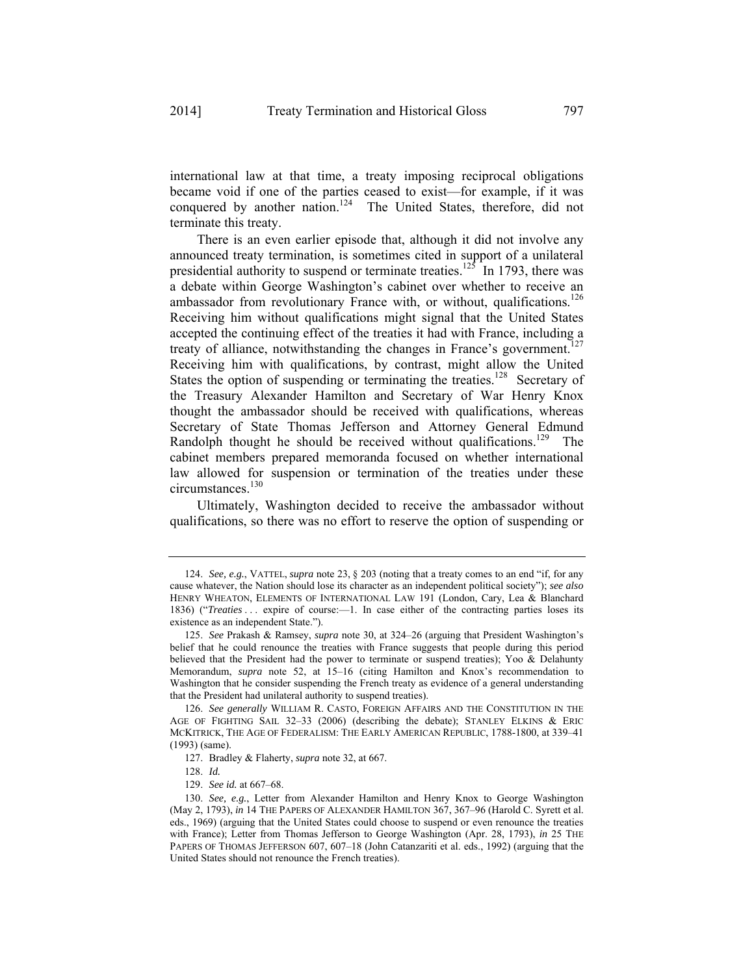international law at that time, a treaty imposing reciprocal obligations became void if one of the parties ceased to exist—for example, if it was conquered by another nation.<sup>124</sup> The United States, therefore, did not terminate this treaty.

There is an even earlier episode that, although it did not involve any announced treaty termination, is sometimes cited in support of a unilateral presidential authority to suspend or terminate treaties.<sup>125</sup> In 1793, there was a debate within George Washington's cabinet over whether to receive an ambassador from revolutionary France with, or without, qualifications.<sup>126</sup> Receiving him without qualifications might signal that the United States accepted the continuing effect of the treaties it had with France, including a treaty of alliance, notwithstanding the changes in France's government.<sup>127</sup> Receiving him with qualifications, by contrast, might allow the United States the option of suspending or terminating the treaties.<sup>128</sup> Secretary of the Treasury Alexander Hamilton and Secretary of War Henry Knox thought the ambassador should be received with qualifications, whereas Secretary of State Thomas Jefferson and Attorney General Edmund Randolph thought he should be received without qualifications.<sup>129</sup> The cabinet members prepared memoranda focused on whether international law allowed for suspension or termination of the treaties under these circumstances.<sup>130</sup>

Ultimately, Washington decided to receive the ambassador without qualifications, so there was no effort to reserve the option of suspending or

<sup>124.</sup> *See, e.g.*, VATTEL, *supra* note 23, § 203 (noting that a treaty comes to an end "if, for any cause whatever, the Nation should lose its character as an independent political society"); *see also* HENRY WHEATON, ELEMENTS OF INTERNATIONAL LAW 191 (London, Cary, Lea & Blanchard 1836) ("*Treaties* . . . expire of course:—1. In case either of the contracting parties loses its existence as an independent State.").

<sup>125.</sup> *See* Prakash & Ramsey, *supra* note 30, at 324–26 (arguing that President Washington's belief that he could renounce the treaties with France suggests that people during this period believed that the President had the power to terminate or suspend treaties); Yoo & Delahunty Memorandum, *supra* note 52, at 15–16 (citing Hamilton and Knox's recommendation to Washington that he consider suspending the French treaty as evidence of a general understanding that the President had unilateral authority to suspend treaties).

<sup>126.</sup> *See generally* WILLIAM R. CASTO, FOREIGN AFFAIRS AND THE CONSTITUTION IN THE AGE OF FIGHTING SAIL 32–33 (2006) (describing the debate); STANLEY ELKINS & ERIC MCKITRICK, THE AGE OF FEDERALISM: THE EARLY AMERICAN REPUBLIC, 1788-1800, at 339–41 (1993) (same).

<sup>127.</sup> Bradley & Flaherty, *supra* note 32, at 667.

<sup>128.</sup> *Id.*

<sup>129.</sup> *See id.* at 667–68.

<sup>130.</sup> *See, e.g.*, Letter from Alexander Hamilton and Henry Knox to George Washington (May 2, 1793), *in* 14 THE PAPERS OF ALEXANDER HAMILTON 367, 367–96 (Harold C. Syrett et al. eds., 1969) (arguing that the United States could choose to suspend or even renounce the treaties with France); Letter from Thomas Jefferson to George Washington (Apr. 28, 1793), *in* 25 THE PAPERS OF THOMAS JEFFERSON 607, 607-18 (John Catanzariti et al. eds., 1992) (arguing that the United States should not renounce the French treaties).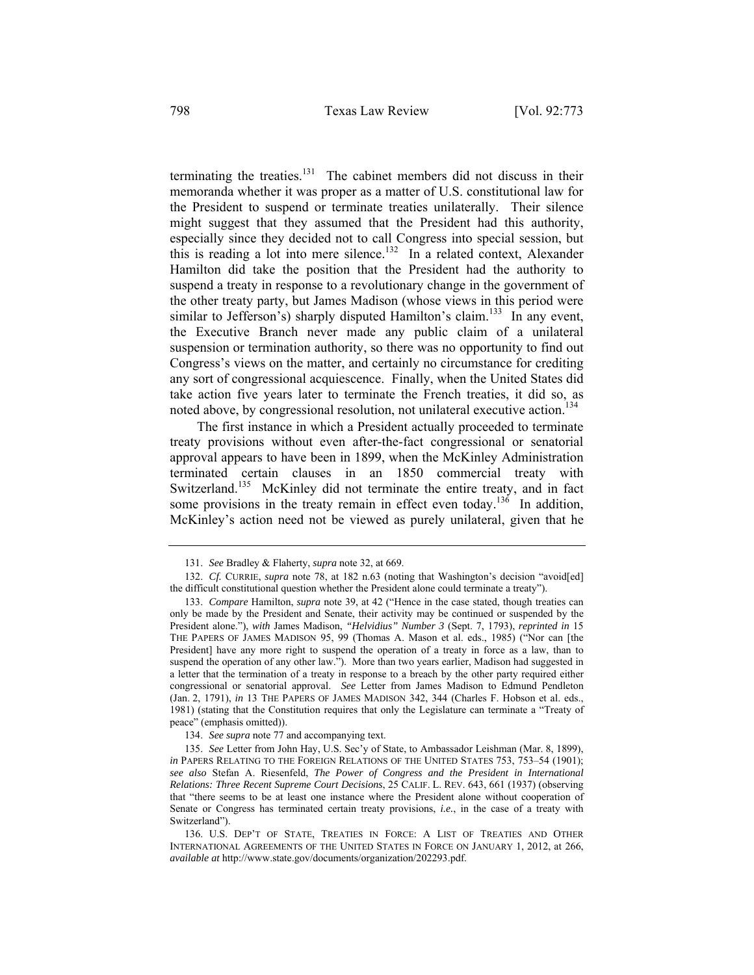terminating the treaties.<sup>131</sup> The cabinet members did not discuss in their memoranda whether it was proper as a matter of U.S. constitutional law for the President to suspend or terminate treaties unilaterally. Their silence might suggest that they assumed that the President had this authority, especially since they decided not to call Congress into special session, but this is reading a lot into mere silence.132 In a related context, Alexander Hamilton did take the position that the President had the authority to suspend a treaty in response to a revolutionary change in the government of the other treaty party, but James Madison (whose views in this period were similar to Jefferson's) sharply disputed Hamilton's claim.<sup>133</sup> In any event, the Executive Branch never made any public claim of a unilateral suspension or termination authority, so there was no opportunity to find out Congress's views on the matter, and certainly no circumstance for crediting any sort of congressional acquiescence. Finally, when the United States did take action five years later to terminate the French treaties, it did so, as noted above, by congressional resolution, not unilateral executive action.<sup>134</sup>

The first instance in which a President actually proceeded to terminate treaty provisions without even after-the-fact congressional or senatorial approval appears to have been in 1899, when the McKinley Administration terminated certain clauses in an 1850 commercial treaty with Switzerland.<sup>135</sup> McKinley did not terminate the entire treaty, and in fact some provisions in the treaty remain in effect even today.<sup>136</sup> In addition, McKinley's action need not be viewed as purely unilateral, given that he

134. *See supra* note 77 and accompanying text.

<sup>131.</sup> *See* Bradley & Flaherty, *supra* note 32, at 669.

<sup>132.</sup> *Cf.* CURRIE, *supra* note 78, at 182 n.63 (noting that Washington's decision "avoid[ed] the difficult constitutional question whether the President alone could terminate a treaty").

<sup>133.</sup> *Compare* Hamilton, *supra* note 39, at 42 ("Hence in the case stated, though treaties can only be made by the President and Senate, their activity may be continued or suspended by the President alone."), *with* James Madison, *"Helvidius" Number 3* (Sept. 7, 1793), *reprinted in* 15 THE PAPERS OF JAMES MADISON 95, 99 (Thomas A. Mason et al. eds., 1985) ("Nor can [the President] have any more right to suspend the operation of a treaty in force as a law, than to suspend the operation of any other law."). More than two years earlier, Madison had suggested in a letter that the termination of a treaty in response to a breach by the other party required either congressional or senatorial approval. *See* Letter from James Madison to Edmund Pendleton (Jan. 2, 1791), *in* 13 THE PAPERS OF JAMES MADISON 342, 344 (Charles F. Hobson et al. eds., 1981) (stating that the Constitution requires that only the Legislature can terminate a "Treaty of peace" (emphasis omitted)).

<sup>135.</sup> *See* Letter from John Hay, U.S. Sec'y of State, to Ambassador Leishman (Mar. 8, 1899), *in* PAPERS RELATING TO THE FOREIGN RELATIONS OF THE UNITED STATES 753, 753-54 (1901); *see also* Stefan A. Riesenfeld, *The Power of Congress and the President in International Relations: Three Recent Supreme Court Decisions*, 25 CALIF. L. REV. 643, 661 (1937) (observing that "there seems to be at least one instance where the President alone without cooperation of Senate or Congress has terminated certain treaty provisions, *i.e.*, in the case of a treaty with Switzerland").

<sup>136.</sup> U.S. DEP'T OF STATE, TREATIES IN FORCE: A LIST OF TREATIES AND OTHER INTERNATIONAL AGREEMENTS OF THE UNITED STATES IN FORCE ON JANUARY 1, 2012, at 266, *available at* http://www.state.gov/documents/organization/202293.pdf.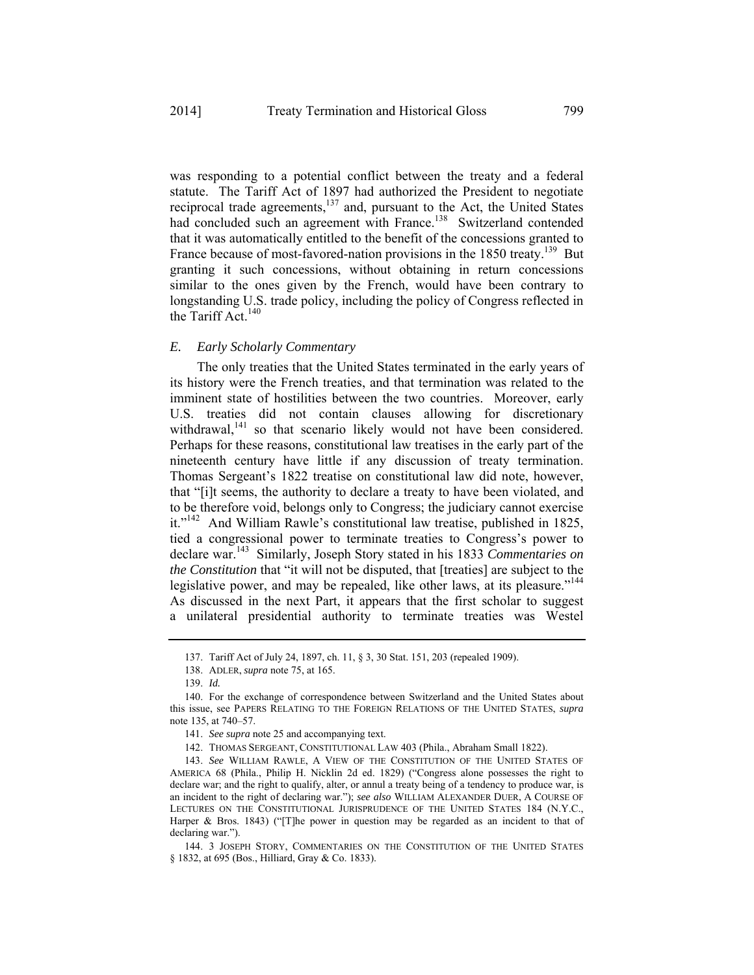was responding to a potential conflict between the treaty and a federal statute. The Tariff Act of 1897 had authorized the President to negotiate reciprocal trade agreements,<sup>137</sup> and, pursuant to the Act, the United States had concluded such an agreement with France.<sup>138</sup> Switzerland contended that it was automatically entitled to the benefit of the concessions granted to France because of most-favored-nation provisions in the 1850 treaty.<sup>139</sup> But granting it such concessions, without obtaining in return concessions similar to the ones given by the French, would have been contrary to longstanding U.S. trade policy, including the policy of Congress reflected in the Tariff  $Act$ <sup>140</sup>

#### *E. Early Scholarly Commentary*

The only treaties that the United States terminated in the early years of its history were the French treaties, and that termination was related to the imminent state of hostilities between the two countries. Moreover, early U.S. treaties did not contain clauses allowing for discretionary withdrawal, $^{141}$  so that scenario likely would not have been considered. Perhaps for these reasons, constitutional law treatises in the early part of the nineteenth century have little if any discussion of treaty termination. Thomas Sergeant's 1822 treatise on constitutional law did note, however, that "[i]t seems, the authority to declare a treaty to have been violated, and to be therefore void, belongs only to Congress; the judiciary cannot exercise it."<sup>142</sup> And William Rawle's constitutional law treatise, published in 1825, tied a congressional power to terminate treaties to Congress's power to declare war.143 Similarly, Joseph Story stated in his 1833 *Commentaries on the Constitution* that "it will not be disputed, that [treaties] are subject to the legislative power, and may be repealed, like other laws, at its pleasure."<sup>144</sup> As discussed in the next Part, it appears that the first scholar to suggest a unilateral presidential authority to terminate treaties was Westel

<sup>137.</sup> Tariff Act of July 24, 1897, ch. 11, § 3, 30 Stat. 151, 203 (repealed 1909).

<sup>138.</sup> ADLER, *supra* note 75, at 165.

<sup>139.</sup> *Id.*

<sup>140.</sup> For the exchange of correspondence between Switzerland and the United States about this issue, see PAPERS RELATING TO THE FOREIGN RELATIONS OF THE UNITED STATES, *supra*  note 135, at 740–57.

<sup>141.</sup> *See supra* note 25 and accompanying text.

<sup>142.</sup> THOMAS SERGEANT, CONSTITUTIONAL LAW 403 (Phila., Abraham Small 1822).

<sup>143.</sup> *See* WILLIAM RAWLE, A VIEW OF THE CONSTITUTION OF THE UNITED STATES OF AMERICA 68 (Phila., Philip H. Nicklin 2d ed. 1829) ("Congress alone possesses the right to declare war; and the right to qualify, alter, or annul a treaty being of a tendency to produce war, is an incident to the right of declaring war."); *see also* WILLIAM ALEXANDER DUER, A COURSE OF LECTURES ON THE CONSTITUTIONAL JURISPRUDENCE OF THE UNITED STATES 184 (N.Y.C., Harper & Bros. 1843) ("[T]he power in question may be regarded as an incident to that of declaring war.").

<sup>144. 3</sup> JOSEPH STORY, COMMENTARIES ON THE CONSTITUTION OF THE UNITED STATES § 1832, at 695 (Bos., Hilliard, Gray & Co. 1833).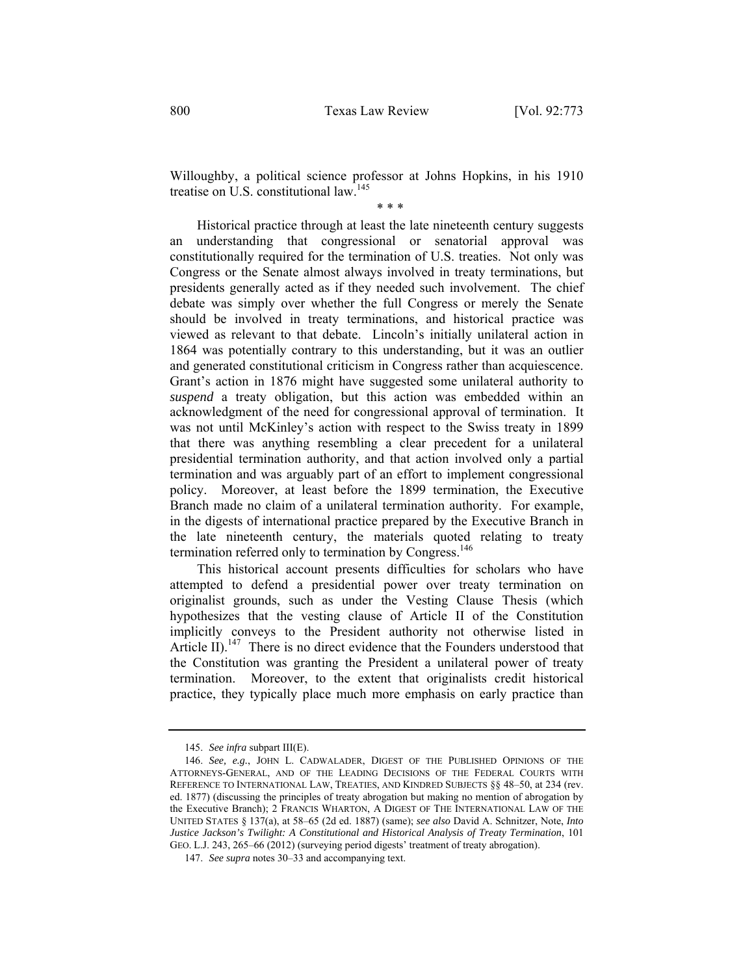Willoughby, a political science professor at Johns Hopkins, in his 1910 treatise on U.S. constitutional law.<sup>145</sup>

\* \* \*

Historical practice through at least the late nineteenth century suggests an understanding that congressional or senatorial approval was constitutionally required for the termination of U.S. treaties. Not only was Congress or the Senate almost always involved in treaty terminations, but presidents generally acted as if they needed such involvement. The chief debate was simply over whether the full Congress or merely the Senate should be involved in treaty terminations, and historical practice was viewed as relevant to that debate. Lincoln's initially unilateral action in 1864 was potentially contrary to this understanding, but it was an outlier and generated constitutional criticism in Congress rather than acquiescence. Grant's action in 1876 might have suggested some unilateral authority to *suspend* a treaty obligation, but this action was embedded within an acknowledgment of the need for congressional approval of termination. It was not until McKinley's action with respect to the Swiss treaty in 1899 that there was anything resembling a clear precedent for a unilateral presidential termination authority, and that action involved only a partial termination and was arguably part of an effort to implement congressional policy. Moreover, at least before the 1899 termination, the Executive Branch made no claim of a unilateral termination authority. For example, in the digests of international practice prepared by the Executive Branch in the late nineteenth century, the materials quoted relating to treaty termination referred only to termination by Congress.<sup>146</sup>

This historical account presents difficulties for scholars who have attempted to defend a presidential power over treaty termination on originalist grounds, such as under the Vesting Clause Thesis (which hypothesizes that the vesting clause of Article II of the Constitution implicitly conveys to the President authority not otherwise listed in Article II).<sup>147</sup> There is no direct evidence that the Founders understood that the Constitution was granting the President a unilateral power of treaty termination. Moreover, to the extent that originalists credit historical practice, they typically place much more emphasis on early practice than

<sup>145.</sup> *See infra* subpart III(E).

<sup>146.</sup> *See, e.g.*, JOHN L. CADWALADER, DIGEST OF THE PUBLISHED OPINIONS OF THE ATTORNEYS-GENERAL, AND OF THE LEADING DECISIONS OF THE FEDERAL COURTS WITH REFERENCE TO INTERNATIONAL LAW, TREATIES, AND KINDRED SUBJECTS §§ 48–50, at 234 (rev. ed. 1877) (discussing the principles of treaty abrogation but making no mention of abrogation by the Executive Branch); 2 FRANCIS WHARTON, A DIGEST OF THE INTERNATIONAL LAW OF THE UNITED STATES § 137(a), at 58–65 (2d ed. 1887) (same); *see also* David A. Schnitzer, Note, *Into Justice Jackson's Twilight: A Constitutional and Historical Analysis of Treaty Termination*, 101 GEO. L.J. 243, 265–66 (2012) (surveying period digests' treatment of treaty abrogation).

<sup>147.</sup> *See supra* notes 30–33 and accompanying text.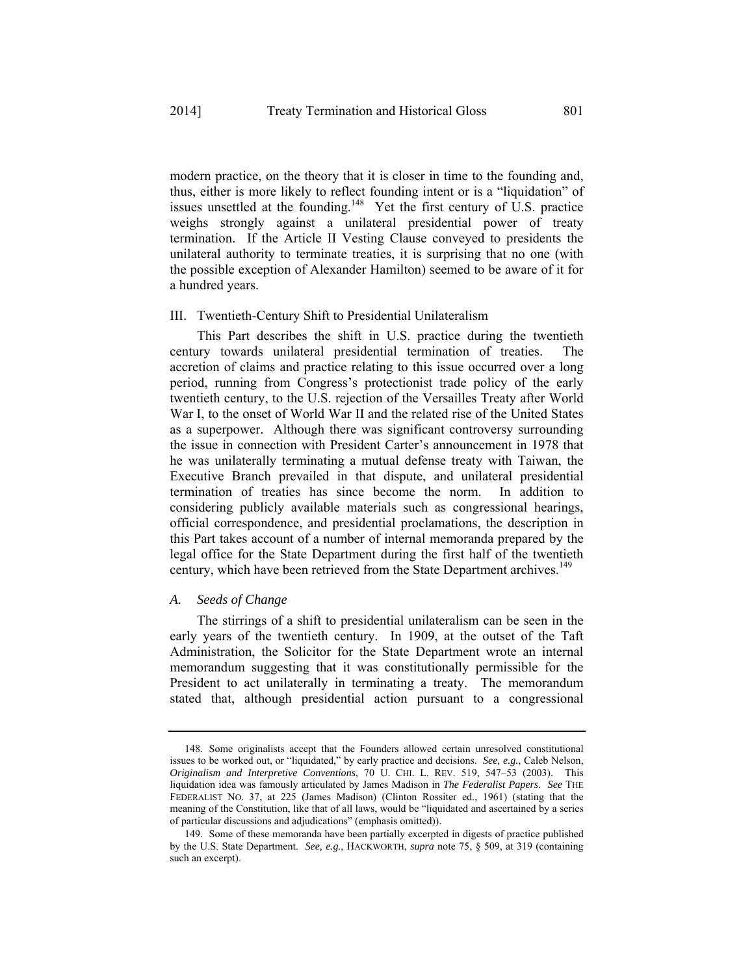modern practice, on the theory that it is closer in time to the founding and, thus, either is more likely to reflect founding intent or is a "liquidation" of issues unsettled at the founding.<sup>148</sup> Yet the first century of  $\dot{\text{U}}$ .S. practice weighs strongly against a unilateral presidential power of treaty termination. If the Article II Vesting Clause conveyed to presidents the unilateral authority to terminate treaties, it is surprising that no one (with the possible exception of Alexander Hamilton) seemed to be aware of it for a hundred years.

#### III. Twentieth-Century Shift to Presidential Unilateralism

This Part describes the shift in U.S. practice during the twentieth century towards unilateral presidential termination of treaties. The accretion of claims and practice relating to this issue occurred over a long period, running from Congress's protectionist trade policy of the early twentieth century, to the U.S. rejection of the Versailles Treaty after World War I, to the onset of World War II and the related rise of the United States as a superpower. Although there was significant controversy surrounding the issue in connection with President Carter's announcement in 1978 that he was unilaterally terminating a mutual defense treaty with Taiwan, the Executive Branch prevailed in that dispute, and unilateral presidential termination of treaties has since become the norm. In addition to considering publicly available materials such as congressional hearings, official correspondence, and presidential proclamations, the description in this Part takes account of a number of internal memoranda prepared by the legal office for the State Department during the first half of the twentieth century, which have been retrieved from the State Department archives.<sup>149</sup>

#### *A. Seeds of Change*

The stirrings of a shift to presidential unilateralism can be seen in the early years of the twentieth century. In 1909, at the outset of the Taft Administration, the Solicitor for the State Department wrote an internal memorandum suggesting that it was constitutionally permissible for the President to act unilaterally in terminating a treaty. The memorandum stated that, although presidential action pursuant to a congressional

<sup>148.</sup> Some originalists accept that the Founders allowed certain unresolved constitutional issues to be worked out, or "liquidated," by early practice and decisions. *See, e.g.*, Caleb Nelson, *Originalism and Interpretive Conventions*, 70 U. CHI. L. REV. 519, 547–53 (2003). This liquidation idea was famously articulated by James Madison in *The Federalist Papers*. *See* THE FEDERALIST NO. 37, at 225 (James Madison) (Clinton Rossiter ed., 1961) (stating that the meaning of the Constitution, like that of all laws, would be "liquidated and ascertained by a series of particular discussions and adjudications" (emphasis omitted)).

<sup>149.</sup> Some of these memoranda have been partially excerpted in digests of practice published by the U.S. State Department. *See, e.g.*, HACKWORTH, *supra* note 75, § 509, at 319 (containing such an excerpt).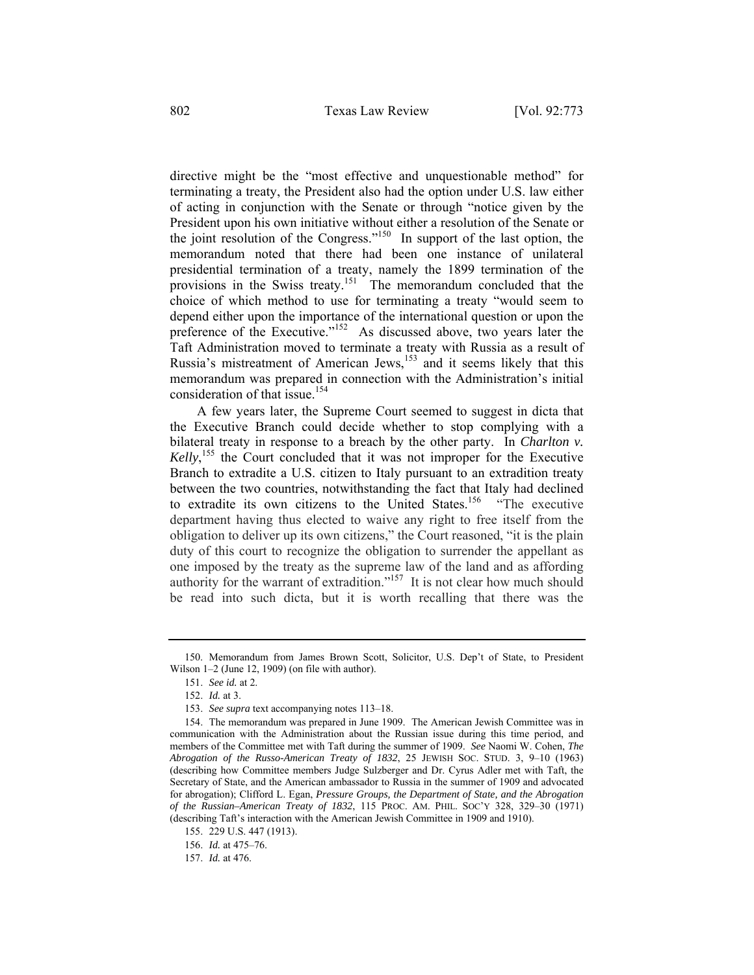directive might be the "most effective and unquestionable method" for terminating a treaty, the President also had the option under U.S. law either of acting in conjunction with the Senate or through "notice given by the President upon his own initiative without either a resolution of the Senate or the joint resolution of the Congress."150 In support of the last option, the memorandum noted that there had been one instance of unilateral presidential termination of a treaty, namely the 1899 termination of the provisions in the Swiss treaty.151 The memorandum concluded that the choice of which method to use for terminating a treaty "would seem to depend either upon the importance of the international question or upon the preference of the Executive."152 As discussed above, two years later the Taft Administration moved to terminate a treaty with Russia as a result of Russia's mistreatment of American Jews, $153$  and it seems likely that this memorandum was prepared in connection with the Administration's initial consideration of that issue.<sup>154</sup>

A few years later, the Supreme Court seemed to suggest in dicta that the Executive Branch could decide whether to stop complying with a bilateral treaty in response to a breach by the other party. In *Charlton v.*  Kelly,<sup>155</sup> the Court concluded that it was not improper for the Executive Branch to extradite a U.S. citizen to Italy pursuant to an extradition treaty between the two countries, notwithstanding the fact that Italy had declined to extradite its own citizens to the United States.<sup>156</sup> "The executive department having thus elected to waive any right to free itself from the obligation to deliver up its own citizens," the Court reasoned, "it is the plain duty of this court to recognize the obligation to surrender the appellant as one imposed by the treaty as the supreme law of the land and as affording authority for the warrant of extradition."<sup>157</sup> It is not clear how much should be read into such dicta, but it is worth recalling that there was the

<sup>150.</sup> Memorandum from James Brown Scott, Solicitor, U.S. Dep't of State, to President Wilson 1–2 (June 12, 1909) (on file with author).

<sup>151.</sup> *See id.* at 2.

<sup>152.</sup> *Id.* at 3.

<sup>153.</sup> *See supra* text accompanying notes 113–18.

<sup>154.</sup> The memorandum was prepared in June 1909. The American Jewish Committee was in communication with the Administration about the Russian issue during this time period, and members of the Committee met with Taft during the summer of 1909. *See* Naomi W. Cohen, *The Abrogation of the Russo-American Treaty of 1832*, 25 JEWISH SOC. STUD. 3, 9–10 (1963) (describing how Committee members Judge Sulzberger and Dr. Cyrus Adler met with Taft, the Secretary of State, and the American ambassador to Russia in the summer of 1909 and advocated for abrogation); Clifford L. Egan, *Pressure Groups, the Department of State, and the Abrogation of the Russian–American Treaty of 1832*, 115 PROC. AM. PHIL. SOC'Y 328, 329–30 (1971) (describing Taft's interaction with the American Jewish Committee in 1909 and 1910).

<sup>155. 229</sup> U.S. 447 (1913).

<sup>156.</sup> *Id.* at 475–76.

<sup>157.</sup> *Id.* at 476.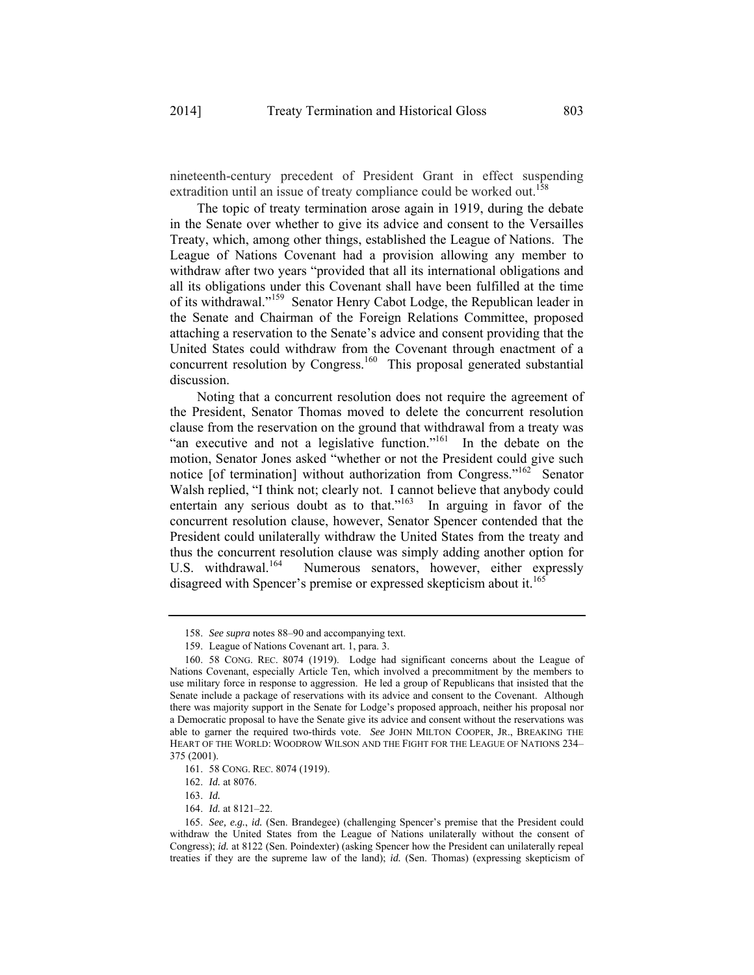nineteenth-century precedent of President Grant in effect suspending extradition until an issue of treaty compliance could be worked out.<sup>158</sup>

The topic of treaty termination arose again in 1919, during the debate in the Senate over whether to give its advice and consent to the Versailles Treaty, which, among other things, established the League of Nations. The League of Nations Covenant had a provision allowing any member to withdraw after two years "provided that all its international obligations and all its obligations under this Covenant shall have been fulfilled at the time of its withdrawal."159 Senator Henry Cabot Lodge, the Republican leader in the Senate and Chairman of the Foreign Relations Committee, proposed attaching a reservation to the Senate's advice and consent providing that the United States could withdraw from the Covenant through enactment of a concurrent resolution by Congress.<sup>160</sup> This proposal generated substantial discussion.

Noting that a concurrent resolution does not require the agreement of the President, Senator Thomas moved to delete the concurrent resolution clause from the reservation on the ground that withdrawal from a treaty was "an executive and not a legislative function."<sup>161</sup> In the debate on the motion, Senator Jones asked "whether or not the President could give such notice [of termination] without authorization from Congress." $162^\circ$  Senator Walsh replied, "I think not; clearly not. I cannot believe that anybody could entertain any serious doubt as to that."<sup>163</sup> In arguing in favor of the concurrent resolution clause, however, Senator Spencer contended that the President could unilaterally withdraw the United States from the treaty and thus the concurrent resolution clause was simply adding another option for U.S. withdrawal.<sup>164</sup> Numerous senators, however, either expressly disagreed with Spencer's premise or expressed skepticism about it.<sup>165</sup>

<sup>158.</sup> *See supra* notes 88–90 and accompanying text.

<sup>159.</sup> League of Nations Covenant art. 1, para. 3.

<sup>160. 58</sup> CONG. REC. 8074 (1919). Lodge had significant concerns about the League of Nations Covenant, especially Article Ten, which involved a precommitment by the members to use military force in response to aggression. He led a group of Republicans that insisted that the Senate include a package of reservations with its advice and consent to the Covenant. Although there was majority support in the Senate for Lodge's proposed approach, neither his proposal nor a Democratic proposal to have the Senate give its advice and consent without the reservations was able to garner the required two-thirds vote. *See* JOHN MILTON COOPER, JR., BREAKING THE HEART OF THE WORLD: WOODROW WILSON AND THE FIGHT FOR THE LEAGUE OF NATIONS 234– 375 (2001).

<sup>161. 58</sup> CONG. REC. 8074 (1919).

<sup>162.</sup> *Id.* at 8076.

<sup>163.</sup> *Id.*

<sup>164.</sup> *Id.* at 8121–22.

<sup>165.</sup> *See, e.g.*, *id.* (Sen. Brandegee) (challenging Spencer's premise that the President could withdraw the United States from the League of Nations unilaterally without the consent of Congress); *id.* at 8122 (Sen. Poindexter) (asking Spencer how the President can unilaterally repeal treaties if they are the supreme law of the land); *id.* (Sen. Thomas) (expressing skepticism of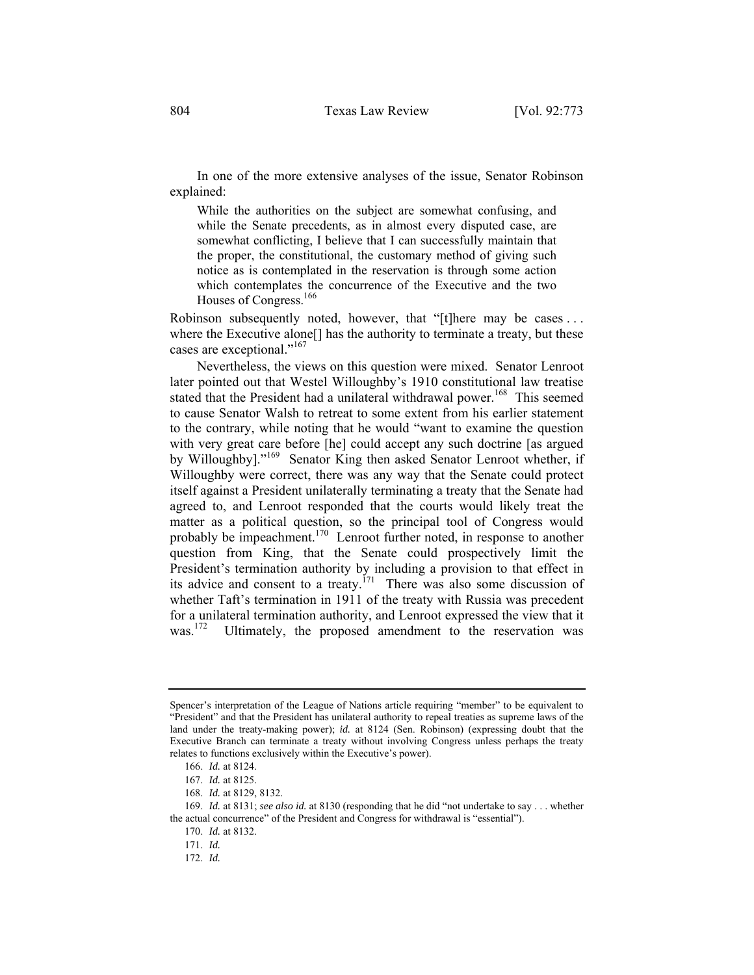In one of the more extensive analyses of the issue, Senator Robinson explained:

While the authorities on the subject are somewhat confusing, and while the Senate precedents, as in almost every disputed case, are somewhat conflicting, I believe that I can successfully maintain that the proper, the constitutional, the customary method of giving such notice as is contemplated in the reservation is through some action which contemplates the concurrence of the Executive and the two Houses of Congress.<sup>166</sup>

Robinson subsequently noted, however, that "[t]here may be cases ... where the Executive alone<sup>[]</sup> has the authority to terminate a treaty, but these cases are exceptional."<sup>167</sup>

Nevertheless, the views on this question were mixed. Senator Lenroot later pointed out that Westel Willoughby's 1910 constitutional law treatise stated that the President had a unilateral withdrawal power.<sup>168</sup> This seemed to cause Senator Walsh to retreat to some extent from his earlier statement to the contrary, while noting that he would "want to examine the question with very great care before [he] could accept any such doctrine [as argued by Willoughby]."<sup>169</sup> Senator King then asked Senator Lenroot whether, if Willoughby were correct, there was any way that the Senate could protect itself against a President unilaterally terminating a treaty that the Senate had agreed to, and Lenroot responded that the courts would likely treat the matter as a political question, so the principal tool of Congress would probably be impeachment.170 Lenroot further noted, in response to another question from King, that the Senate could prospectively limit the President's termination authority by including a provision to that effect in its advice and consent to a treaty.<sup> $171$ </sup> There was also some discussion of whether Taft's termination in 1911 of the treaty with Russia was precedent for a unilateral termination authority, and Lenroot expressed the view that it was.<sup>172</sup> Ultimately, the proposed amendment to the reservation was Ultimately, the proposed amendment to the reservation was

Spencer's interpretation of the League of Nations article requiring "member" to be equivalent to "President" and that the President has unilateral authority to repeal treaties as supreme laws of the land under the treaty-making power); *id.* at 8124 (Sen. Robinson) (expressing doubt that the Executive Branch can terminate a treaty without involving Congress unless perhaps the treaty relates to functions exclusively within the Executive's power).

<sup>166.</sup> *Id.* at 8124.

<sup>167.</sup> *Id.* at 8125.

<sup>168.</sup> *Id.* at 8129, 8132.

<sup>169.</sup> *Id.* at 8131; *see also id.* at 8130 (responding that he did "not undertake to say . . . whether the actual concurrence" of the President and Congress for withdrawal is "essential").

<sup>170.</sup> *Id.* at 8132.

<sup>171.</sup> *Id.*

<sup>172.</sup> *Id.*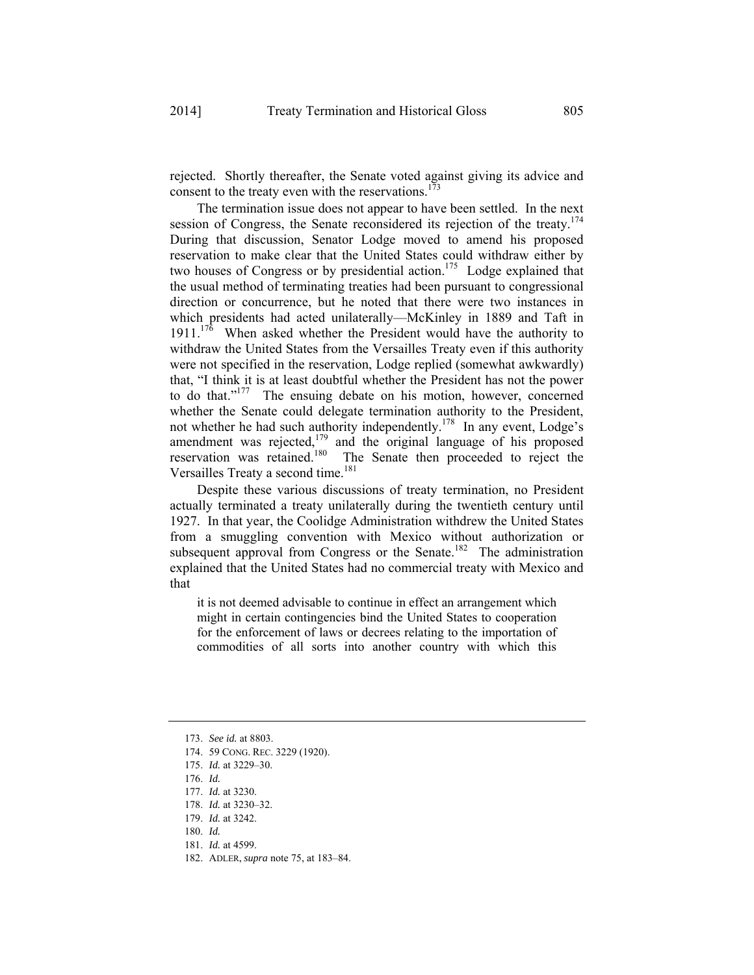rejected. Shortly thereafter, the Senate voted against giving its advice and consent to the treaty even with the reservations.<sup>173</sup>

The termination issue does not appear to have been settled. In the next session of Congress, the Senate reconsidered its rejection of the treaty.<sup>174</sup> During that discussion, Senator Lodge moved to amend his proposed reservation to make clear that the United States could withdraw either by two houses of Congress or by presidential action.<sup>175</sup> Lodge explained that the usual method of terminating treaties had been pursuant to congressional direction or concurrence, but he noted that there were two instances in which presidents had acted unilaterally—McKinley in 1889 and Taft in  $1911$ <sup> $176$ </sup> When asked whether the President would have the authority to withdraw the United States from the Versailles Treaty even if this authority were not specified in the reservation, Lodge replied (somewhat awkwardly) that, "I think it is at least doubtful whether the President has not the power to do that."<sup>177</sup> The ensuing debate on his motion, however, concerned whether the Senate could delegate termination authority to the President, not whether he had such authority independently.<sup>178</sup> In any event, Lodge's amendment was rejected, $179$  and the original language of his proposed reservation was retained.<sup>180</sup> The Senate then proceeded to reject the Versailles Treaty a second time.<sup>181</sup>

Despite these various discussions of treaty termination, no President actually terminated a treaty unilaterally during the twentieth century until 1927. In that year, the Coolidge Administration withdrew the United States from a smuggling convention with Mexico without authorization or subsequent approval from Congress or the Senate.<sup>182</sup> The administration explained that the United States had no commercial treaty with Mexico and that

it is not deemed advisable to continue in effect an arrangement which might in certain contingencies bind the United States to cooperation for the enforcement of laws or decrees relating to the importation of commodities of all sorts into another country with which this

173. *See id.* at 8803.

- 181. *Id.* at 4599.
- 182. ADLER, *supra* note 75, at 183–84.

<sup>174. 59</sup> CONG. REC. 3229 (1920).

<sup>175.</sup> *Id.* at 3229–30.

<sup>176.</sup> *Id.*

<sup>177.</sup> *Id.* at 3230.

<sup>178.</sup> *Id.* at 3230–32.

<sup>179.</sup> *Id.* at 3242.

<sup>180.</sup> *Id.*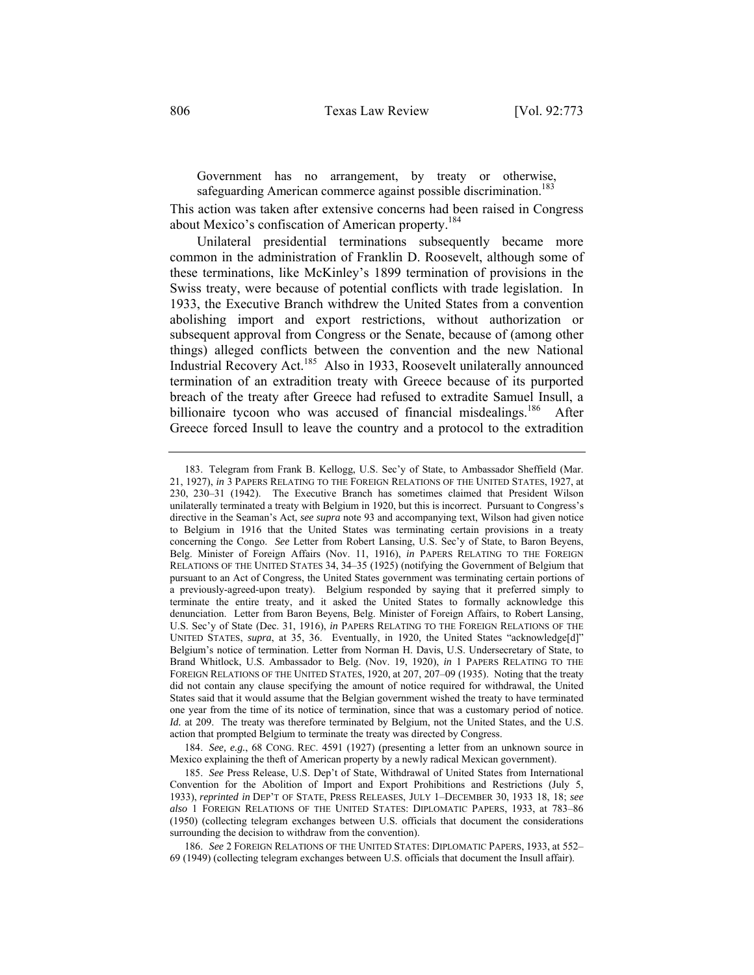Government has no arrangement, by treaty or otherwise, safeguarding American commerce against possible discrimination.<sup>183</sup>

This action was taken after extensive concerns had been raised in Congress about Mexico's confiscation of American property.<sup>184</sup>

Unilateral presidential terminations subsequently became more common in the administration of Franklin D. Roosevelt, although some of these terminations, like McKinley's 1899 termination of provisions in the Swiss treaty, were because of potential conflicts with trade legislation. In 1933, the Executive Branch withdrew the United States from a convention abolishing import and export restrictions, without authorization or subsequent approval from Congress or the Senate, because of (among other things) alleged conflicts between the convention and the new National Industrial Recovery Act.185 Also in 1933, Roosevelt unilaterally announced termination of an extradition treaty with Greece because of its purported breach of the treaty after Greece had refused to extradite Samuel Insull, a billionaire tycoon who was accused of financial misdealings.<sup>186</sup> After Greece forced Insull to leave the country and a protocol to the extradition

184. *See, e.g.*, 68 CONG. REC. 4591 (1927) (presenting a letter from an unknown source in Mexico explaining the theft of American property by a newly radical Mexican government).

<sup>183.</sup> Telegram from Frank B. Kellogg, U.S. Sec'y of State, to Ambassador Sheffield (Mar. 21, 1927), *in* 3 PAPERS RELATING TO THE FOREIGN RELATIONS OF THE UNITED STATES, 1927, at 230, 230–31 (1942). The Executive Branch has sometimes claimed that President Wilson unilaterally terminated a treaty with Belgium in 1920, but this is incorrect. Pursuant to Congress's directive in the Seaman's Act, *see supra* note 93 and accompanying text, Wilson had given notice to Belgium in 1916 that the United States was terminating certain provisions in a treaty concerning the Congo. *See* Letter from Robert Lansing, U.S. Sec'y of State, to Baron Beyens, Belg. Minister of Foreign Affairs (Nov. 11, 1916), *in* PAPERS RELATING TO THE FOREIGN RELATIONS OF THE UNITED STATES 34, 34–35 (1925) (notifying the Government of Belgium that pursuant to an Act of Congress, the United States government was terminating certain portions of a previously-agreed-upon treaty). Belgium responded by saying that it preferred simply to terminate the entire treaty, and it asked the United States to formally acknowledge this denunciation. Letter from Baron Beyens, Belg. Minister of Foreign Affairs, to Robert Lansing, U.S. Sec'y of State (Dec. 31, 1916), *in* PAPERS RELATING TO THE FOREIGN RELATIONS OF THE UNITED STATES, *supra*, at 35, 36. Eventually, in 1920, the United States "acknowledge[d]" Belgium's notice of termination. Letter from Norman H. Davis, U.S. Undersecretary of State, to Brand Whitlock, U.S. Ambassador to Belg. (Nov. 19, 1920), *in* 1 PAPERS RELATING TO THE FOREIGN RELATIONS OF THE UNITED STATES, 1920, at 207, 207–09 (1935). Noting that the treaty did not contain any clause specifying the amount of notice required for withdrawal, the United States said that it would assume that the Belgian government wished the treaty to have terminated one year from the time of its notice of termination, since that was a customary period of notice. *Id.* at 209. The treaty was therefore terminated by Belgium, not the United States, and the U.S. action that prompted Belgium to terminate the treaty was directed by Congress.

<sup>185.</sup> *See* Press Release, U.S. Dep't of State, Withdrawal of United States from International Convention for the Abolition of Import and Export Prohibitions and Restrictions (July 5, 1933), *reprinted in* DEP'T OF STATE, PRESS RELEASES, JULY 1–DECEMBER 30, 1933 18, 18; *see also* 1 FOREIGN RELATIONS OF THE UNITED STATES: DIPLOMATIC PAPERS, 1933, at 783–86 (1950) (collecting telegram exchanges between U.S. officials that document the considerations surrounding the decision to withdraw from the convention).

<sup>186.</sup> *See* 2 FOREIGN RELATIONS OF THE UNITED STATES: DIPLOMATIC PAPERS, 1933, at 552– 69 (1949) (collecting telegram exchanges between U.S. officials that document the Insull affair).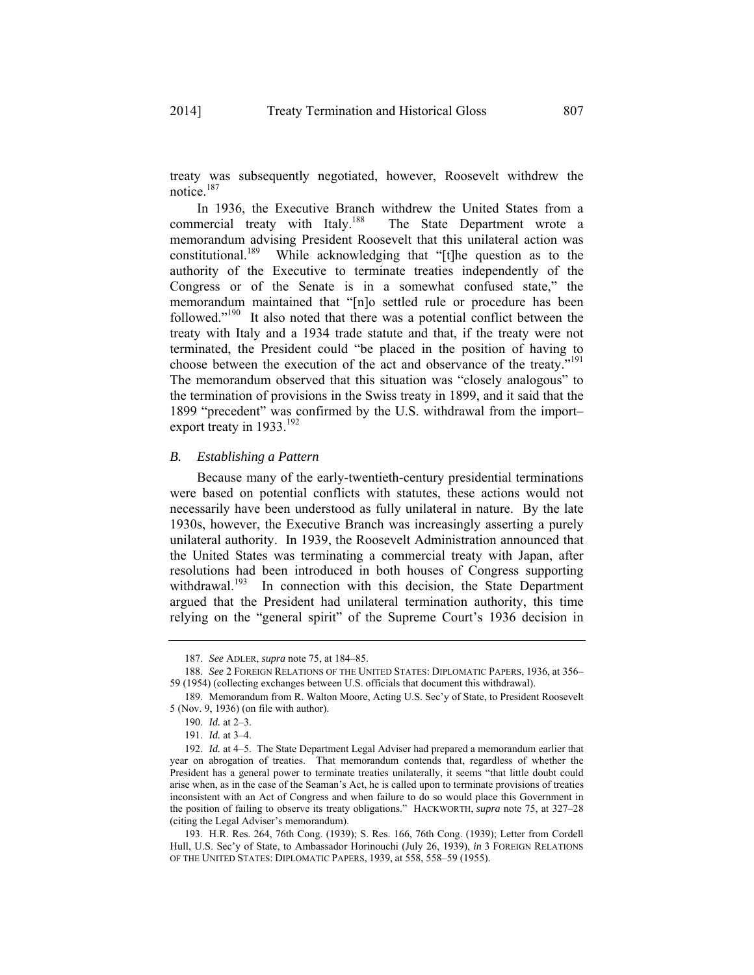treaty was subsequently negotiated, however, Roosevelt withdrew the notice.<sup>187</sup>

In 1936, the Executive Branch withdrew the United States from a commercial treaty with Italy.<sup>188</sup> The State Department wrote a memorandum advising President Roosevelt that this unilateral action was constitutional.<sup>189</sup> While acknowledging that "[t]he question as to the authority of the Executive to terminate treaties independently of the Congress or of the Senate is in a somewhat confused state," the memorandum maintained that "[n]o settled rule or procedure has been followed."190 It also noted that there was a potential conflict between the treaty with Italy and a 1934 trade statute and that, if the treaty were not terminated, the President could "be placed in the position of having to choose between the execution of the act and observance of the treaty."<sup>191</sup> The memorandum observed that this situation was "closely analogous" to the termination of provisions in the Swiss treaty in 1899, and it said that the 1899 "precedent" was confirmed by the U.S. withdrawal from the import– export treaty in  $1933$ .<sup>192</sup>

#### *B. Establishing a Pattern*

Because many of the early-twentieth-century presidential terminations were based on potential conflicts with statutes, these actions would not necessarily have been understood as fully unilateral in nature. By the late 1930s, however, the Executive Branch was increasingly asserting a purely unilateral authority. In 1939, the Roosevelt Administration announced that the United States was terminating a commercial treaty with Japan, after resolutions had been introduced in both houses of Congress supporting withdrawal.<sup>193</sup> In connection with this decision, the State Department argued that the President had unilateral termination authority, this time relying on the "general spirit" of the Supreme Court's 1936 decision in

<sup>187.</sup> *See* ADLER, *supra* note 75, at 184–85.

<sup>188.</sup> *See* 2 FOREIGN RELATIONS OF THE UNITED STATES: DIPLOMATIC PAPERS, 1936, at 356– 59 (1954) (collecting exchanges between U.S. officials that document this withdrawal).

<sup>189.</sup> Memorandum from R. Walton Moore, Acting U.S. Sec'y of State, to President Roosevelt 5 (Nov. 9, 1936) (on file with author).

<sup>190.</sup> *Id.* at 2–3.

<sup>191.</sup> *Id.* at 3–4.

<sup>192.</sup> *Id.* at 4–5. The State Department Legal Adviser had prepared a memorandum earlier that year on abrogation of treaties. That memorandum contends that, regardless of whether the President has a general power to terminate treaties unilaterally, it seems "that little doubt could arise when, as in the case of the Seaman's Act, he is called upon to terminate provisions of treaties inconsistent with an Act of Congress and when failure to do so would place this Government in the position of failing to observe its treaty obligations." HACKWORTH, *supra* note 75, at 327–28 (citing the Legal Adviser's memorandum).

<sup>193.</sup> H.R. Res. 264, 76th Cong. (1939); S. Res. 166, 76th Cong. (1939); Letter from Cordell Hull, U.S. Sec'y of State, to Ambassador Horinouchi (July 26, 1939), *in* 3 FOREIGN RELATIONS OF THE UNITED STATES: DIPLOMATIC PAPERS, 1939, at 558, 558–59 (1955).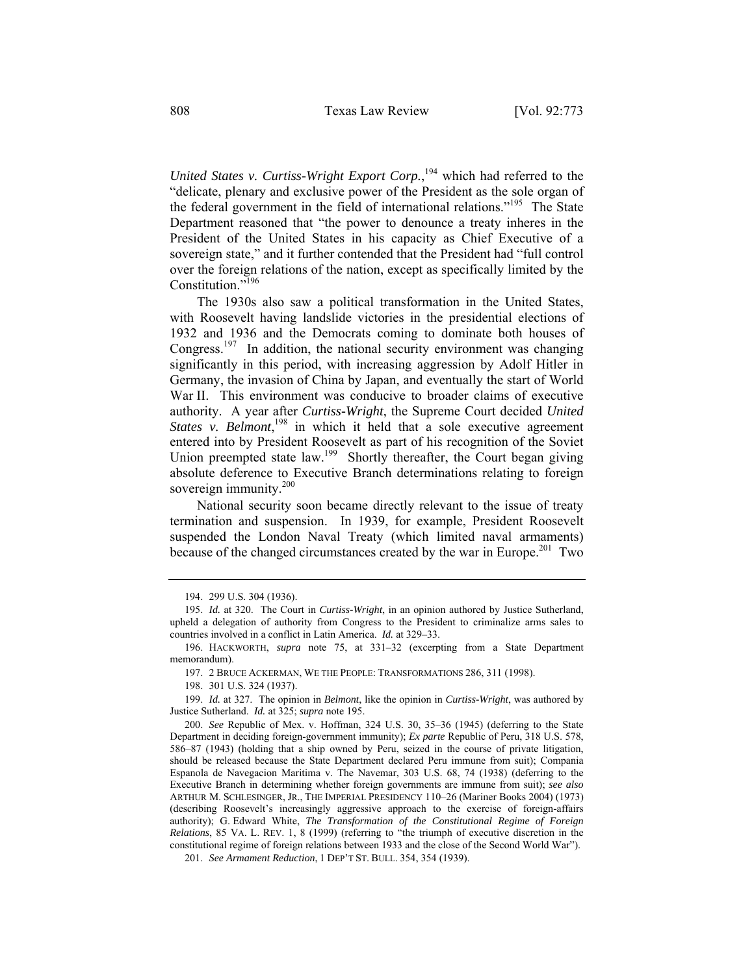United States v. Curtiss-Wright Export Corp.,<sup>194</sup> which had referred to the "delicate, plenary and exclusive power of the President as the sole organ of the federal government in the field of international relations."<sup>195</sup> The State Department reasoned that "the power to denounce a treaty inheres in the President of the United States in his capacity as Chief Executive of a sovereign state," and it further contended that the President had "full control over the foreign relations of the nation, except as specifically limited by the Constitution."<sup>196</sup>

The 1930s also saw a political transformation in the United States, with Roosevelt having landslide victories in the presidential elections of 1932 and 1936 and the Democrats coming to dominate both houses of Congress.<sup>197</sup> In addition, the national security environment was changing significantly in this period, with increasing aggression by Adolf Hitler in Germany, the invasion of China by Japan, and eventually the start of World War II. This environment was conducive to broader claims of executive authority. A year after *Curtiss-Wright*, the Supreme Court decided *United*  States v. Belmont,<sup>198</sup> in which it held that a sole executive agreement entered into by President Roosevelt as part of his recognition of the Soviet Union preempted state  $law<sup>199</sup>$  Shortly thereafter, the Court began giving absolute deference to Executive Branch determinations relating to foreign sovereign immunity.<sup>200</sup>

National security soon became directly relevant to the issue of treaty termination and suspension. In 1939, for example, President Roosevelt suspended the London Naval Treaty (which limited naval armaments) because of the changed circumstances created by the war in Europe.<sup>201</sup> Two

<sup>194. 299</sup> U.S. 304 (1936).

<sup>195.</sup> *Id.* at 320. The Court in *Curtiss-Wright*, in an opinion authored by Justice Sutherland, upheld a delegation of authority from Congress to the President to criminalize arms sales to countries involved in a conflict in Latin America. *Id.* at 329–33.

<sup>196.</sup> HACKWORTH, *supra* note 75, at 331–32 (excerpting from a State Department memorandum).

<sup>197. 2</sup> BRUCE ACKERMAN, WE THE PEOPLE: TRANSFORMATIONS 286, 311 (1998).

<sup>198. 301</sup> U.S. 324 (1937).

<sup>199.</sup> *Id.* at 327. The opinion in *Belmont*, like the opinion in *Curtiss-Wright*, was authored by Justice Sutherland. *Id.* at 325; *supra* note 195.

<sup>200.</sup> *See* Republic of Mex. v. Hoffman, 324 U.S. 30, 35–36 (1945) (deferring to the State Department in deciding foreign-government immunity); *Ex parte* Republic of Peru, 318 U.S. 578, 586–87 (1943) (holding that a ship owned by Peru, seized in the course of private litigation, should be released because the State Department declared Peru immune from suit); Compania Espanola de Navegacion Maritima v. The Navemar, 303 U.S. 68, 74 (1938) (deferring to the Executive Branch in determining whether foreign governments are immune from suit); *see also* ARTHUR M. SCHLESINGER, JR., THE IMPERIAL PRESIDENCY 110–26 (Mariner Books 2004) (1973) (describing Roosevelt's increasingly aggressive approach to the exercise of foreign-affairs authority); G. Edward White, *The Transformation of the Constitutional Regime of Foreign Relations*, 85 VA. L. REV. 1, 8 (1999) (referring to "the triumph of executive discretion in the constitutional regime of foreign relations between 1933 and the close of the Second World War").

<sup>201.</sup> *See Armament Reduction*, 1 DEP'T ST. BULL. 354, 354 (1939).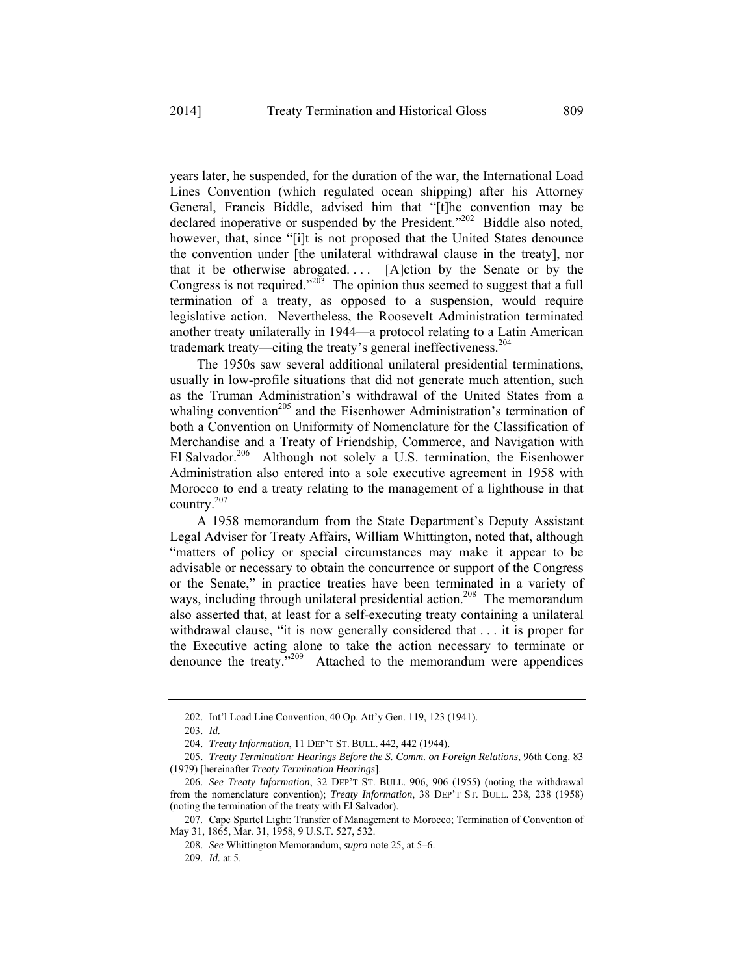years later, he suspended, for the duration of the war, the International Load Lines Convention (which regulated ocean shipping) after his Attorney General, Francis Biddle, advised him that "[t]he convention may be declared inoperative or suspended by the President."<sup>202</sup> Biddle also noted, however, that, since "[i]t is not proposed that the United States denounce the convention under [the unilateral withdrawal clause in the treaty], nor that it be otherwise abrogated.... [A]ction by the Senate or by the Congress is not required." $2^{03}$  The opinion thus seemed to suggest that a full termination of a treaty, as opposed to a suspension, would require legislative action. Nevertheless, the Roosevelt Administration terminated another treaty unilaterally in 1944—a protocol relating to a Latin American trademark treaty—citing the treaty's general ineffectiveness.<sup>204</sup>

The 1950s saw several additional unilateral presidential terminations, usually in low-profile situations that did not generate much attention, such as the Truman Administration's withdrawal of the United States from a whaling convention<sup>205</sup> and the Eisenhower Administration's termination of both a Convention on Uniformity of Nomenclature for the Classification of Merchandise and a Treaty of Friendship, Commerce, and Navigation with El Salvador.<sup>206</sup> Although not solely a U.S. termination, the Eisenhower Administration also entered into a sole executive agreement in 1958 with Morocco to end a treaty relating to the management of a lighthouse in that country.207

A 1958 memorandum from the State Department's Deputy Assistant Legal Adviser for Treaty Affairs, William Whittington, noted that, although "matters of policy or special circumstances may make it appear to be advisable or necessary to obtain the concurrence or support of the Congress or the Senate," in practice treaties have been terminated in a variety of ways, including through unilateral presidential action.<sup>208</sup> The memorandum also asserted that, at least for a self-executing treaty containing a unilateral withdrawal clause, "it is now generally considered that . . . it is proper for the Executive acting alone to take the action necessary to terminate or denounce the treaty."209 Attached to the memorandum were appendices

<sup>202.</sup> Int'l Load Line Convention, 40 Op. Att'y Gen. 119, 123 (1941).

<sup>203.</sup> *Id.*

<sup>204.</sup> *Treaty Information*, 11 DEP'T ST. BULL. 442, 442 (1944).

<sup>205.</sup> *Treaty Termination: Hearings Before the S. Comm. on Foreign Relations*, 96th Cong. 83 (1979) [hereinafter *Treaty Termination Hearings*].

<sup>206.</sup> *See Treaty Information*, 32 DEP'T ST. BULL. 906, 906 (1955) (noting the withdrawal from the nomenclature convention); *Treaty Information*, 38 DEP'T ST. BULL. 238, 238 (1958) (noting the termination of the treaty with El Salvador).

<sup>207.</sup> Cape Spartel Light: Transfer of Management to Morocco; Termination of Convention of May 31, 1865, Mar. 31, 1958, 9 U.S.T. 527, 532.

<sup>208.</sup> *See* Whittington Memorandum, *supra* note 25, at 5–6.

<sup>209.</sup> *Id.* at 5.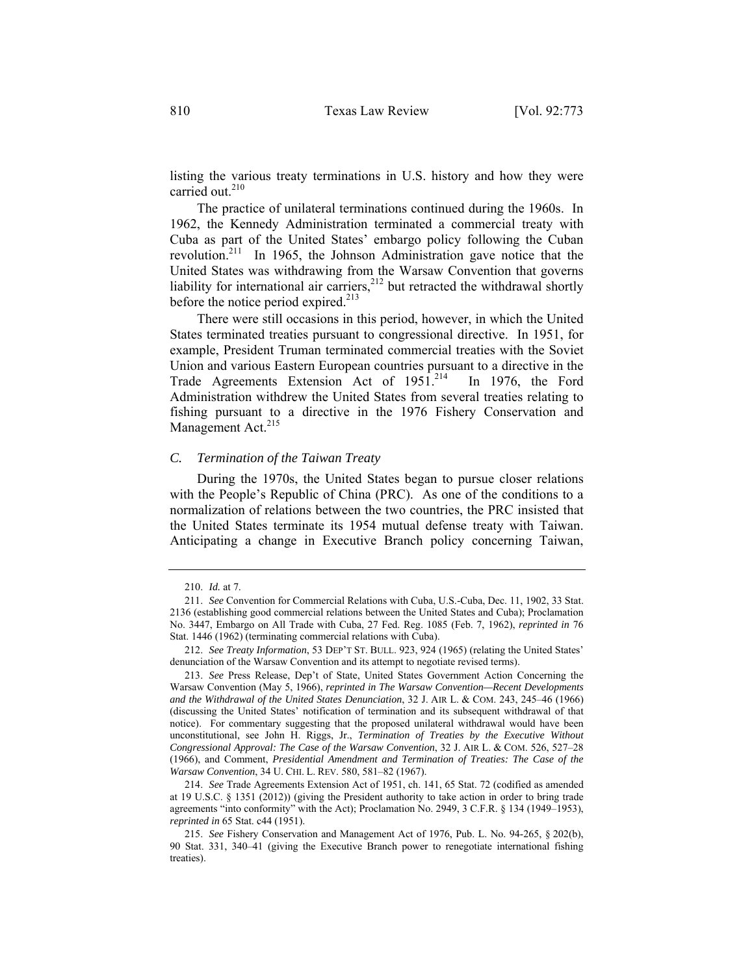listing the various treaty terminations in U.S. history and how they were carried out.<sup>210</sup>

The practice of unilateral terminations continued during the 1960s. In 1962, the Kennedy Administration terminated a commercial treaty with Cuba as part of the United States' embargo policy following the Cuban revolution.<sup>211</sup> In 1965, the Johnson Administration gave notice that the United States was withdrawing from the Warsaw Convention that governs liability for international air carriers, $212$  but retracted the withdrawal shortly before the notice period expired.<sup>213</sup>

There were still occasions in this period, however, in which the United States terminated treaties pursuant to congressional directive. In 1951, for example, President Truman terminated commercial treaties with the Soviet Union and various Eastern European countries pursuant to a directive in the Trade Agreements Extension Act of 1951.<sup>214</sup> In 1976, the Ford Administration withdrew the United States from several treaties relating to fishing pursuant to a directive in the 1976 Fishery Conservation and Management Act.<sup>215</sup>

#### *C. Termination of the Taiwan Treaty*

During the 1970s, the United States began to pursue closer relations with the People's Republic of China (PRC). As one of the conditions to a normalization of relations between the two countries, the PRC insisted that the United States terminate its 1954 mutual defense treaty with Taiwan. Anticipating a change in Executive Branch policy concerning Taiwan,

<sup>210.</sup> *Id.* at 7.

<sup>211.</sup> *See* Convention for Commercial Relations with Cuba, U.S.-Cuba, Dec. 11, 1902, 33 Stat. 2136 (establishing good commercial relations between the United States and Cuba); Proclamation No. 3447, Embargo on All Trade with Cuba, 27 Fed. Reg. 1085 (Feb. 7, 1962), *reprinted in* 76 Stat. 1446 (1962) (terminating commercial relations with Cuba).

<sup>212.</sup> *See Treaty Information*, 53 DEP'T ST. BULL. 923, 924 (1965) (relating the United States' denunciation of the Warsaw Convention and its attempt to negotiate revised terms).

<sup>213.</sup> *See* Press Release, Dep't of State, United States Government Action Concerning the Warsaw Convention (May 5, 1966), *reprinted in The Warsaw Convention—Recent Developments and the Withdrawal of the United States Denunciation*, 32 J. AIR L. & COM. 243, 245–46 (1966) (discussing the United States' notification of termination and its subsequent withdrawal of that notice). For commentary suggesting that the proposed unilateral withdrawal would have been unconstitutional, see John H. Riggs, Jr., *Termination of Treaties by the Executive Without Congressional Approval: The Case of the Warsaw Convention*, 32 J. AIR L. & COM. 526, 527–28 (1966), and Comment, *Presidential Amendment and Termination of Treaties: The Case of the Warsaw Convention*, 34 U. CHI. L. REV. 580, 581–82 (1967).

<sup>214.</sup> *See* Trade Agreements Extension Act of 1951, ch. 141, 65 Stat. 72 (codified as amended at 19 U.S.C. § 1351 (2012)) (giving the President authority to take action in order to bring trade agreements "into conformity" with the Act); Proclamation No. 2949, 3 C.F.R. § 134 (1949–1953), *reprinted in* 65 Stat. c44 (1951).

<sup>215.</sup> *See* Fishery Conservation and Management Act of 1976, Pub. L. No. 94-265, § 202(b), 90 Stat. 331, 340–41 (giving the Executive Branch power to renegotiate international fishing treaties).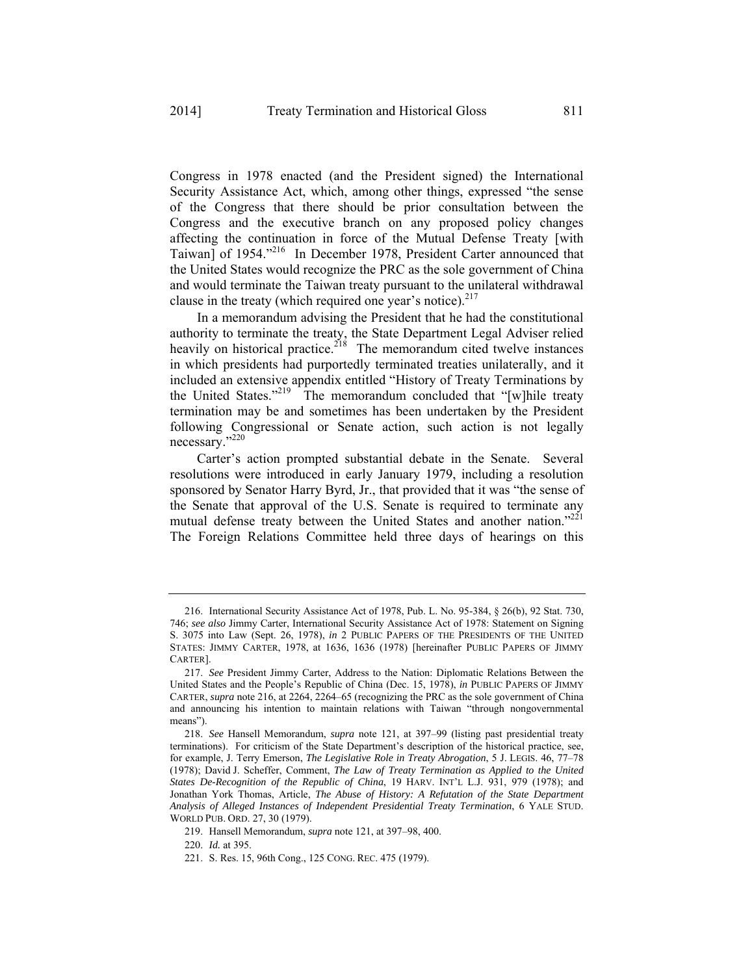Congress in 1978 enacted (and the President signed) the International Security Assistance Act, which, among other things, expressed "the sense of the Congress that there should be prior consultation between the Congress and the executive branch on any proposed policy changes affecting the continuation in force of the Mutual Defense Treaty [with Taiwan<sup>d</sup> of 1954."<sup>216</sup> In December 1978, President Carter announced that the United States would recognize the PRC as the sole government of China and would terminate the Taiwan treaty pursuant to the unilateral withdrawal clause in the treaty (which required one year's notice). $217$ 

In a memorandum advising the President that he had the constitutional authority to terminate the treaty, the State Department Legal Adviser relied heavily on historical practice.<sup>218</sup> The memorandum cited twelve instances in which presidents had purportedly terminated treaties unilaterally, and it included an extensive appendix entitled "History of Treaty Terminations by the United States."<sup>219</sup> The memorandum concluded that "[w]hile treaty termination may be and sometimes has been undertaken by the President following Congressional or Senate action, such action is not legally necessary."220

Carter's action prompted substantial debate in the Senate. Several resolutions were introduced in early January 1979, including a resolution sponsored by Senator Harry Byrd, Jr., that provided that it was "the sense of the Senate that approval of the U.S. Senate is required to terminate any mutual defense treaty between the United States and another nation."<sup>221</sup> The Foreign Relations Committee held three days of hearings on this

219. Hansell Memorandum, *supra* note 121, at 397–98, 400.

220. *Id.* at 395.

<sup>216.</sup> International Security Assistance Act of 1978, Pub. L. No. 95-384, § 26(b), 92 Stat. 730, 746; *see also* Jimmy Carter, International Security Assistance Act of 1978: Statement on Signing S. 3075 into Law (Sept. 26, 1978), *in* 2 PUBLIC PAPERS OF THE PRESIDENTS OF THE UNITED STATES: JIMMY CARTER, 1978, at 1636, 1636 (1978) [hereinafter PUBLIC PAPERS OF JIMMY CARTER].

<sup>217.</sup> *See* President Jimmy Carter, Address to the Nation: Diplomatic Relations Between the United States and the People's Republic of China (Dec. 15, 1978), *in* PUBLIC PAPERS OF JIMMY CARTER, *supra* note 216, at 2264, 2264–65 (recognizing the PRC as the sole government of China and announcing his intention to maintain relations with Taiwan "through nongovernmental means").

<sup>218.</sup> *See* Hansell Memorandum, *supra* note 121, at 397–99 (listing past presidential treaty terminations). For criticism of the State Department's description of the historical practice, see, for example, J. Terry Emerson, *The Legislative Role in Treaty Abrogation*, 5 J. LEGIS. 46, 77–78 (1978); David J. Scheffer, Comment, *The Law of Treaty Termination as Applied to the United States De-Recognition of the Republic of China*, 19 HARV. INT'L L.J. 931, 979 (1978); and Jonathan York Thomas, Article, *The Abuse of History: A Refutation of the State Department Analysis of Alleged Instances of Independent Presidential Treaty Termination*, 6 YALE STUD. WORLD PUB. ORD. 27, 30 (1979).

<sup>221.</sup> S. Res. 15, 96th Cong., 125 CONG. REC. 475 (1979).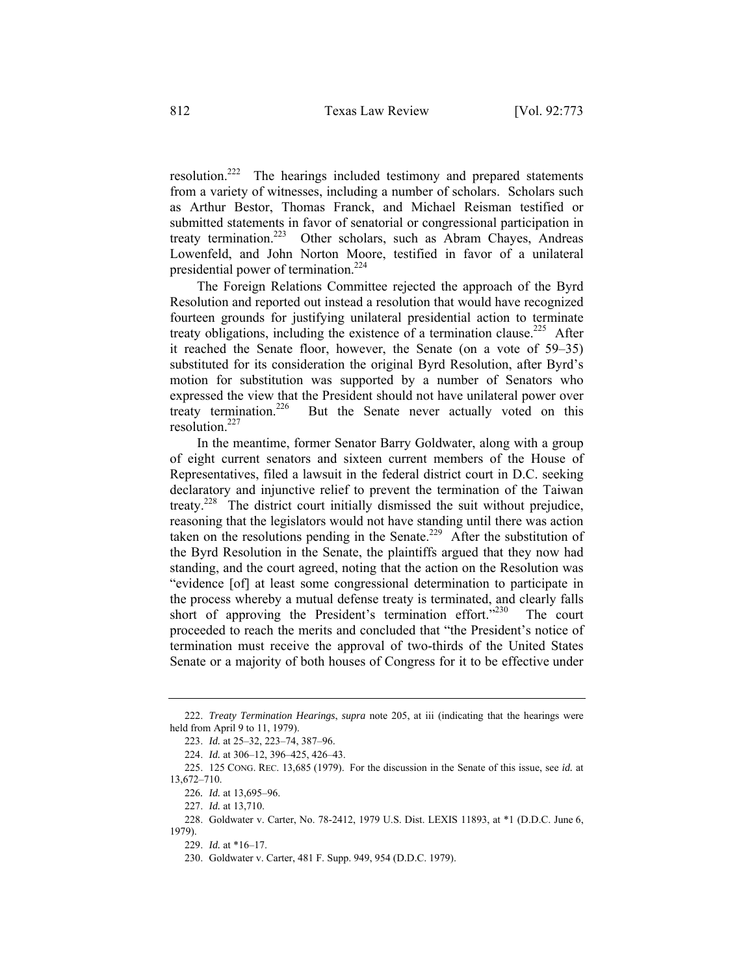resolution.222 The hearings included testimony and prepared statements from a variety of witnesses, including a number of scholars. Scholars such as Arthur Bestor, Thomas Franck, and Michael Reisman testified or submitted statements in favor of senatorial or congressional participation in treaty termination.<sup>223</sup> Other scholars, such as Abram Chayes, Andreas Lowenfeld, and John Norton Moore, testified in favor of a unilateral presidential power of termination.<sup>224</sup>

The Foreign Relations Committee rejected the approach of the Byrd Resolution and reported out instead a resolution that would have recognized fourteen grounds for justifying unilateral presidential action to terminate treaty obligations, including the existence of a termination clause.<sup>225</sup> After it reached the Senate floor, however, the Senate (on a vote of 59–35) substituted for its consideration the original Byrd Resolution, after Byrd's motion for substitution was supported by a number of Senators who expressed the view that the President should not have unilateral power over treaty termination.<sup>226</sup> But the Senate never actually voted on this But the Senate never actually voted on this resolution $227$ 

In the meantime, former Senator Barry Goldwater, along with a group of eight current senators and sixteen current members of the House of Representatives, filed a lawsuit in the federal district court in D.C. seeking declaratory and injunctive relief to prevent the termination of the Taiwan treaty.228 The district court initially dismissed the suit without prejudice, reasoning that the legislators would not have standing until there was action taken on the resolutions pending in the Senate.<sup>229</sup> After the substitution of the Byrd Resolution in the Senate, the plaintiffs argued that they now had standing, and the court agreed, noting that the action on the Resolution was "evidence [of] at least some congressional determination to participate in the process whereby a mutual defense treaty is terminated, and clearly falls short of approving the President's termination effort."<sup>230</sup> The court proceeded to reach the merits and concluded that "the President's notice of termination must receive the approval of two-thirds of the United States Senate or a majority of both houses of Congress for it to be effective under

<sup>222.</sup> *Treaty Termination Hearings*, *supra* note 205, at iii (indicating that the hearings were held from April 9 to 11, 1979).

<sup>223.</sup> *Id.* at 25–32, 223–74, 387–96.

<sup>224.</sup> *Id.* at 306–12, 396–425, 426–43.

<sup>225. 125</sup> CONG. REC. 13,685 (1979). For the discussion in the Senate of this issue, see *id.* at 13,672–710.

<sup>226</sup>*. Id.* at 13,695–96.

<sup>227.</sup> *Id.* at 13,710.

<sup>228.</sup> Goldwater v. Carter, No. 78-2412, 1979 U.S. Dist. LEXIS 11893, at \*1 (D.D.C. June 6, 1979).

<sup>229.</sup> *Id.* at \*16–17.

<sup>230.</sup> Goldwater v. Carter, 481 F. Supp. 949, 954 (D.D.C. 1979).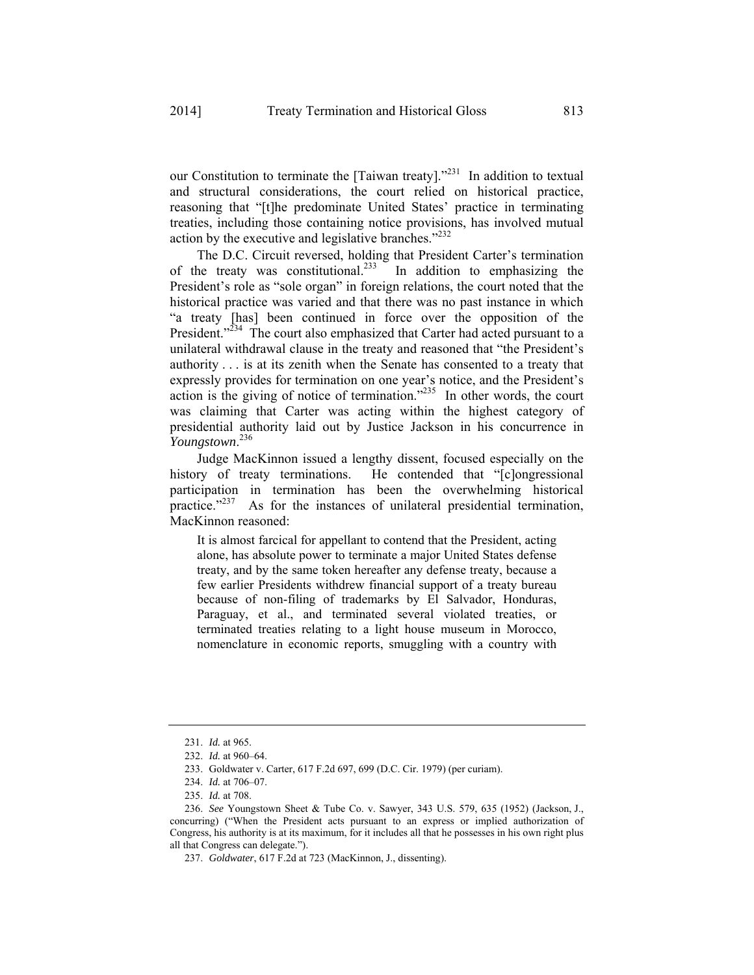our Constitution to terminate the [Taiwan treaty]."<sup>231</sup> In addition to textual and structural considerations, the court relied on historical practice, reasoning that "[t]he predominate United States' practice in terminating treaties, including those containing notice provisions, has involved mutual action by the executive and legislative branches."<sup>232</sup>

The D.C. Circuit reversed, holding that President Carter's termination of the treaty was constitutional. $233$  In addition to emphasizing the President's role as "sole organ" in foreign relations, the court noted that the historical practice was varied and that there was no past instance in which "a treaty [has] been continued in force over the opposition of the President."<sup>234</sup> The court also emphasized that Carter had acted pursuant to a unilateral withdrawal clause in the treaty and reasoned that "the President's authority . . . is at its zenith when the Senate has consented to a treaty that expressly provides for termination on one year's notice, and the President's action is the giving of notice of termination."235 In other words, the court was claiming that Carter was acting within the highest category of presidential authority laid out by Justice Jackson in his concurrence in *Youngstown*. 236

Judge MacKinnon issued a lengthy dissent, focused especially on the history of treaty terminations. He contended that "[c]ongressional participation in termination has been the overwhelming historical practice. $1237$  As for the instances of unilateral presidential termination, MacKinnon reasoned:

It is almost farcical for appellant to contend that the President, acting alone, has absolute power to terminate a major United States defense treaty, and by the same token hereafter any defense treaty, because a few earlier Presidents withdrew financial support of a treaty bureau because of non-filing of trademarks by El Salvador, Honduras, Paraguay, et al., and terminated several violated treaties, or terminated treaties relating to a light house museum in Morocco, nomenclature in economic reports, smuggling with a country with

<sup>231.</sup> *Id.* at 965.

<sup>232.</sup> *Id.* at 960–64.

<sup>233.</sup> Goldwater v. Carter, 617 F.2d 697, 699 (D.C. Cir. 1979) (per curiam).

<sup>234.</sup> *Id.* at 706–07.

<sup>235.</sup> *Id.* at 708.

<sup>236.</sup> *See* Youngstown Sheet & Tube Co. v. Sawyer, 343 U.S. 579, 635 (1952) (Jackson, J., concurring) ("When the President acts pursuant to an express or implied authorization of Congress, his authority is at its maximum, for it includes all that he possesses in his own right plus all that Congress can delegate.").

<sup>237.</sup> *Goldwater*, 617 F.2d at 723 (MacKinnon, J., dissenting).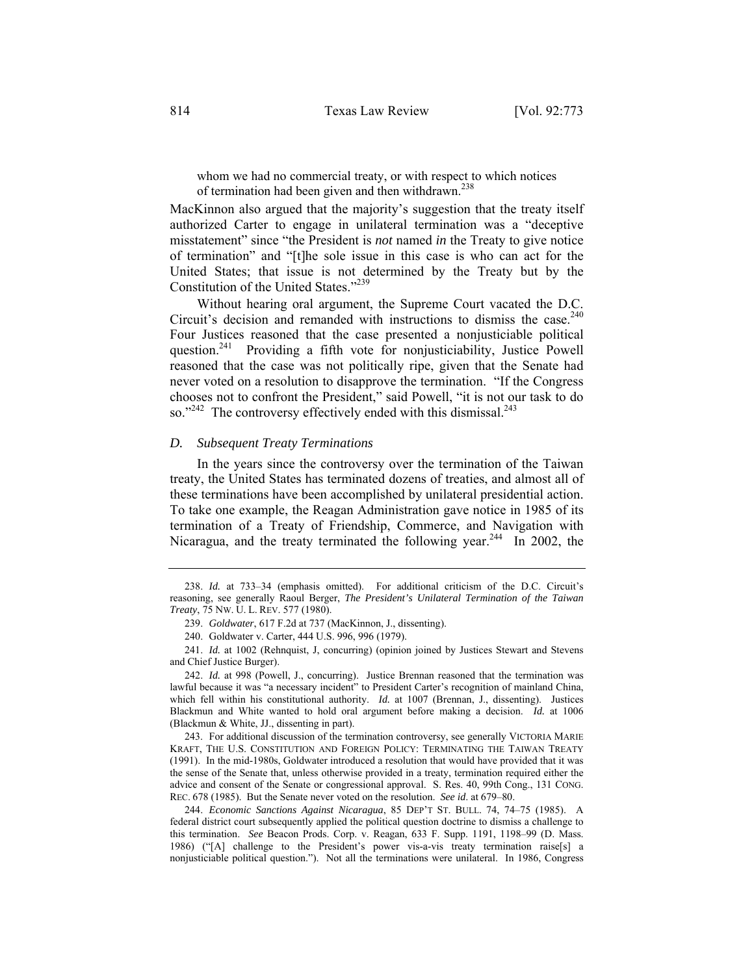whom we had no commercial treaty, or with respect to which notices of termination had been given and then withdrawn.<sup>238</sup>

MacKinnon also argued that the majority's suggestion that the treaty itself authorized Carter to engage in unilateral termination was a "deceptive misstatement" since "the President is *not* named *in* the Treaty to give notice of termination" and "[t]he sole issue in this case is who can act for the United States; that issue is not determined by the Treaty but by the Constitution of the United States."<sup>239</sup>

Without hearing oral argument, the Supreme Court vacated the D.C. Circuit's decision and remanded with instructions to dismiss the case.<sup>240</sup> Four Justices reasoned that the case presented a nonjusticiable political question.<sup>241</sup> Providing a fifth vote for nonjusticiability, Justice Powell reasoned that the case was not politically ripe, given that the Senate had never voted on a resolution to disapprove the termination. "If the Congress chooses not to confront the President," said Powell, "it is not our task to do so." $^{242}$  The controversy effectively ended with this dismissal. $^{243}$ 

### *D. Subsequent Treaty Terminations*

In the years since the controversy over the termination of the Taiwan treaty, the United States has terminated dozens of treaties, and almost all of these terminations have been accomplished by unilateral presidential action. To take one example, the Reagan Administration gave notice in 1985 of its termination of a Treaty of Friendship, Commerce, and Navigation with Nicaragua, and the treaty terminated the following year.<sup>244</sup> In 2002, the

243. For additional discussion of the termination controversy, see generally VICTORIA MARIE KRAFT, THE U.S. CONSTITUTION AND FOREIGN POLICY: TERMINATING THE TAIWAN TREATY (1991). In the mid-1980s, Goldwater introduced a resolution that would have provided that it was the sense of the Senate that, unless otherwise provided in a treaty, termination required either the advice and consent of the Senate or congressional approval. S. Res. 40, 99th Cong., 131 CONG. REC. 678 (1985). But the Senate never voted on the resolution. *See id*. at 679–80.

244. *Economic Sanctions Against Nicaragua*, 85 DEP'T ST. BULL. 74, 74–75 (1985). A federal district court subsequently applied the political question doctrine to dismiss a challenge to this termination. *See* Beacon Prods. Corp. v. Reagan, 633 F. Supp. 1191, 1198–99 (D. Mass. 1986) ("[A] challenge to the President's power vis-a-vis treaty termination raise[s] a nonjusticiable political question."). Not all the terminations were unilateral. In 1986, Congress

<sup>238.</sup> *Id.* at 733–34 (emphasis omitted). For additional criticism of the D.C. Circuit's reasoning, see generally Raoul Berger, *The President's Unilateral Termination of the Taiwan Treaty*, 75 NW. U. L. REV. 577 (1980).

<sup>239.</sup> *Goldwater*, 617 F.2d at 737 (MacKinnon, J., dissenting).

<sup>240.</sup> Goldwater v. Carter, 444 U.S. 996, 996 (1979).

<sup>241.</sup> *Id.* at 1002 (Rehnquist, J, concurring) (opinion joined by Justices Stewart and Stevens and Chief Justice Burger).

<sup>242.</sup> *Id.* at 998 (Powell, J., concurring). Justice Brennan reasoned that the termination was lawful because it was "a necessary incident" to President Carter's recognition of mainland China, which fell within his constitutional authority. *Id.* at 1007 (Brennan, J., dissenting). Justices Blackmun and White wanted to hold oral argument before making a decision. *Id.* at 1006 (Blackmun & White, JJ., dissenting in part).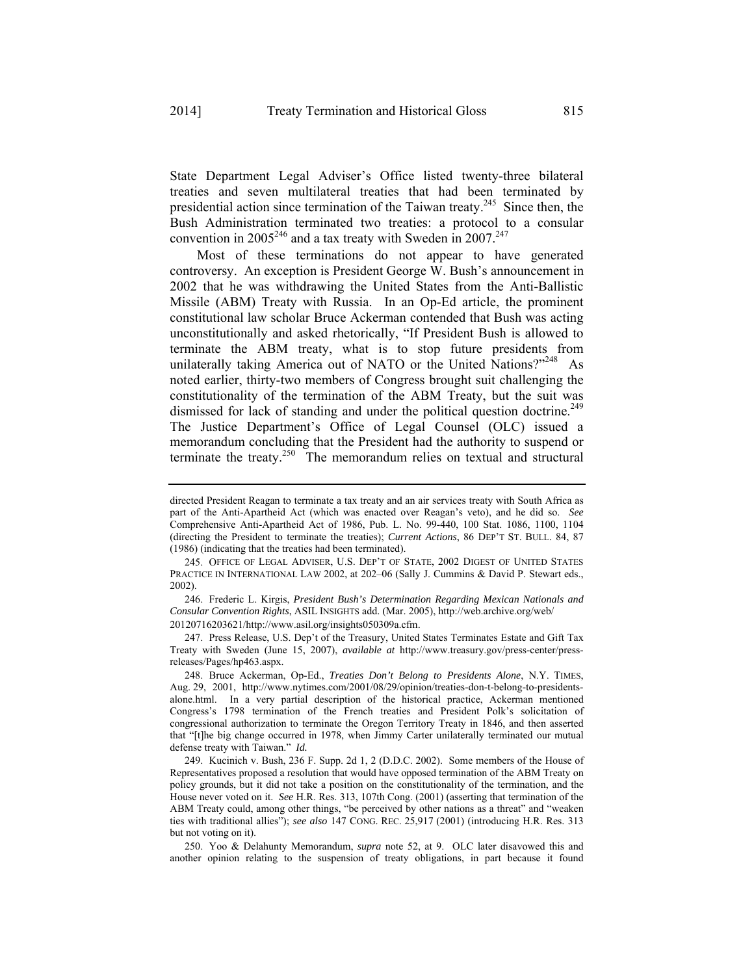State Department Legal Adviser's Office listed twenty-three bilateral treaties and seven multilateral treaties that had been terminated by presidential action since termination of the Taiwan treaty.<sup>245</sup> Since then, the Bush Administration terminated two treaties: a protocol to a consular convention in 2005<sup>246</sup> and a tax treaty with Sweden in 2007.<sup>247</sup>

Most of these terminations do not appear to have generated controversy. An exception is President George W. Bush's announcement in 2002 that he was withdrawing the United States from the Anti-Ballistic Missile (ABM) Treaty with Russia. In an Op-Ed article, the prominent constitutional law scholar Bruce Ackerman contended that Bush was acting unconstitutionally and asked rhetorically, "If President Bush is allowed to terminate the ABM treaty, what is to stop future presidents from unilaterally taking America out of NATO or the United Nations?"<sup>248</sup> As noted earlier, thirty-two members of Congress brought suit challenging the constitutionality of the termination of the ABM Treaty, but the suit was dismissed for lack of standing and under the political question doctrine.<sup>249</sup> The Justice Department's Office of Legal Counsel (OLC) issued a memorandum concluding that the President had the authority to suspend or terminate the treaty. $250$  The memorandum relies on textual and structural

246. Frederic L. Kirgis, *President Bush's Determination Regarding Mexican Nationals and Consular Convention Rights*, ASIL INSIGHTS add. (Mar. 2005), http://web.archive.org/web/ 20120716203621/http://www.asil.org/insights050309a.cfm.

247. Press Release, U.S. Dep't of the Treasury, United States Terminates Estate and Gift Tax Treaty with Sweden (June 15, 2007), *available at* http://www.treasury.gov/press-center/pressreleases/Pages/hp463.aspx.

248. Bruce Ackerman, Op-Ed., *Treaties Don't Belong to Presidents Alone*, N.Y. TIMES, Aug. 29, 2001, http://www.nytimes.com/2001/08/29/opinion/treaties-don-t-belong-to-presidentsalone.html. In a very partial description of the historical practice, Ackerman mentioned Congress's 1798 termination of the French treaties and President Polk's solicitation of congressional authorization to terminate the Oregon Territory Treaty in 1846, and then asserted that "[t]he big change occurred in 1978, when Jimmy Carter unilaterally terminated our mutual defense treaty with Taiwan." *Id.*

249. Kucinich v. Bush, 236 F. Supp. 2d 1, 2 (D.D.C. 2002). Some members of the House of Representatives proposed a resolution that would have opposed termination of the ABM Treaty on policy grounds, but it did not take a position on the constitutionality of the termination, and the House never voted on it. *See* H.R. Res. 313, 107th Cong. (2001) (asserting that termination of the ABM Treaty could, among other things, "be perceived by other nations as a threat" and "weaken ties with traditional allies"); *see also* 147 CONG. REC. 25,917 (2001) (introducing H.R. Res. 313 but not voting on it).

250. Yoo & Delahunty Memorandum, *supra* note 52, at 9. OLC later disavowed this and another opinion relating to the suspension of treaty obligations, in part because it found

directed President Reagan to terminate a tax treaty and an air services treaty with South Africa as part of the Anti-Apartheid Act (which was enacted over Reagan's veto), and he did so. *See* Comprehensive Anti-Apartheid Act of 1986, Pub. L. No. 99-440, 100 Stat. 1086, 1100, 1104 (directing the President to terminate the treaties); *Current Actions*, 86 DEP'T ST. BULL. 84, 87 (1986) (indicating that the treaties had been terminated).

<sup>245.</sup> OFFICE OF LEGAL ADVISER, U.S. DEP'T OF STATE, 2002 DIGEST OF UNITED STATES PRACTICE IN INTERNATIONAL LAW 2002, at 202–06 (Sally J. Cummins & David P. Stewart eds., 2002).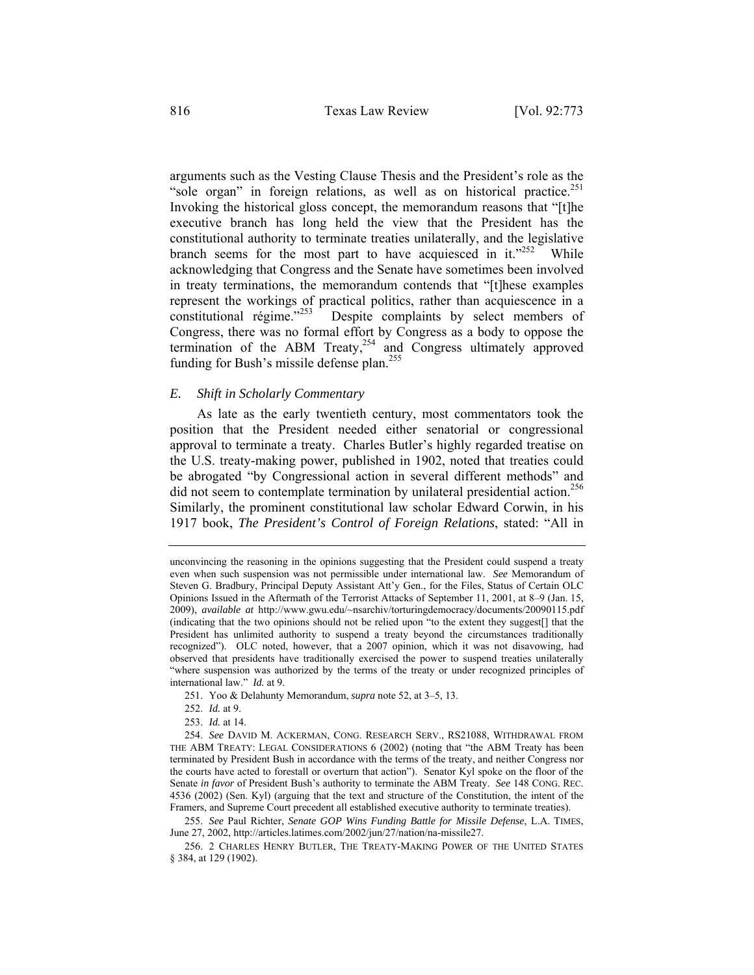arguments such as the Vesting Clause Thesis and the President's role as the "sole organ" in foreign relations, as well as on historical practice.<sup>251</sup> Invoking the historical gloss concept, the memorandum reasons that "[t]he executive branch has long held the view that the President has the constitutional authority to terminate treaties unilaterally, and the legislative branch seems for the most part to have acquiesced in it." $252$  While acknowledging that Congress and the Senate have sometimes been involved in treaty terminations, the memorandum contends that "[t]hese examples represent the workings of practical politics, rather than acquiescence in a constitutional régime. $n^{253}$  Despite complaints by select members of Despite complaints by select members of Congress, there was no formal effort by Congress as a body to oppose the termination of the ABM Treaty,<sup>254</sup> and Congress ultimately approved funding for Bush's missile defense plan.<sup>255</sup>

### *E. Shift in Scholarly Commentary*

As late as the early twentieth century, most commentators took the position that the President needed either senatorial or congressional approval to terminate a treaty. Charles Butler's highly regarded treatise on the U.S. treaty-making power, published in 1902, noted that treaties could be abrogated "by Congressional action in several different methods" and did not seem to contemplate termination by unilateral presidential action.<sup>256</sup> Similarly, the prominent constitutional law scholar Edward Corwin, in his 1917 book, *The President's Control of Foreign Relations*, stated: "All in

- 251. Yoo & Delahunty Memorandum, *supra* note 52, at 3–5, 13.
- 252. *Id.* at 9.
- 253. *Id.* at 14.

255. *See* Paul Richter, *Senate GOP Wins Funding Battle for Missile Defense*, L.A. TIMES, June 27, 2002, http://articles.latimes.com/2002/jun/27/nation/na-missile27.

unconvincing the reasoning in the opinions suggesting that the President could suspend a treaty even when such suspension was not permissible under international law. *See* Memorandum of Steven G. Bradbury, Principal Deputy Assistant Att'y Gen., for the Files, Status of Certain OLC Opinions Issued in the Aftermath of the Terrorist Attacks of September 11, 2001, at 8–9 (Jan. 15, 2009), *available at* http://www.gwu.edu/~nsarchiv/torturingdemocracy/documents/20090115.pdf (indicating that the two opinions should not be relied upon "to the extent they suggest[] that the President has unlimited authority to suspend a treaty beyond the circumstances traditionally recognized"). OLC noted, however, that a 2007 opinion, which it was not disavowing, had observed that presidents have traditionally exercised the power to suspend treaties unilaterally "where suspension was authorized by the terms of the treaty or under recognized principles of international law." *Id.* at 9.

<sup>254.</sup> *See* DAVID M. ACKERMAN, CONG. RESEARCH SERV., RS21088, WITHDRAWAL FROM THE ABM TREATY: LEGAL CONSIDERATIONS 6 (2002) (noting that "the ABM Treaty has been terminated by President Bush in accordance with the terms of the treaty, and neither Congress nor the courts have acted to forestall or overturn that action"). Senator Kyl spoke on the floor of the Senate *in favor* of President Bush's authority to terminate the ABM Treaty. *See* 148 CONG. REC. 4536 (2002) (Sen. Kyl) (arguing that the text and structure of the Constitution, the intent of the Framers, and Supreme Court precedent all established executive authority to terminate treaties).

<sup>256. 2</sup> CHARLES HENRY BUTLER, THE TREATY-MAKING POWER OF THE UNITED STATES § 384, at 129 (1902).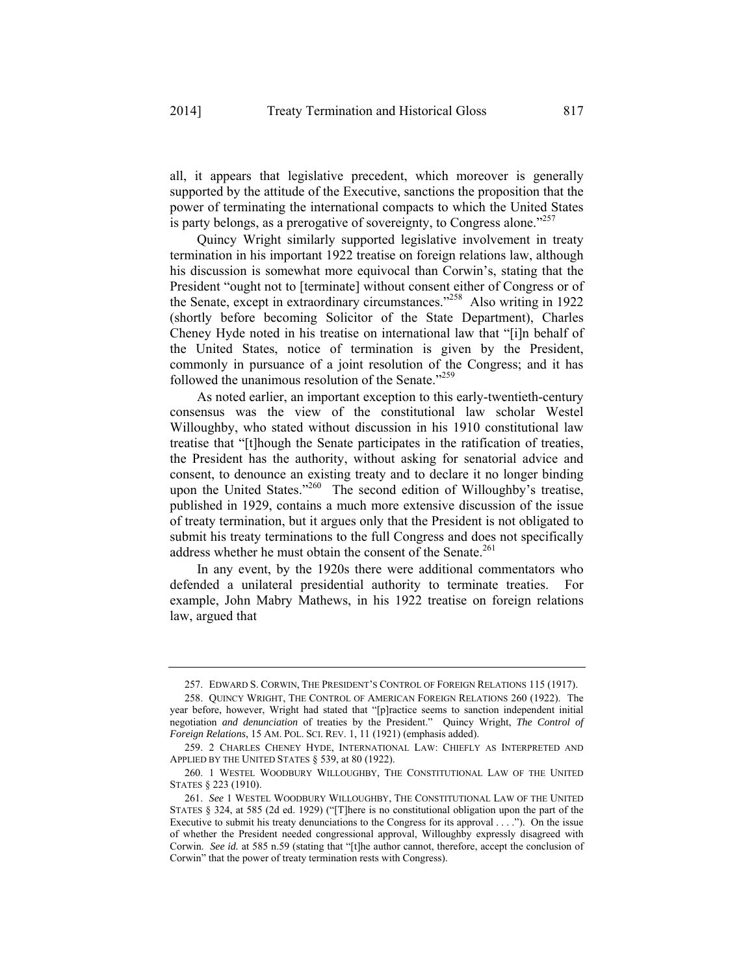all, it appears that legislative precedent, which moreover is generally supported by the attitude of the Executive, sanctions the proposition that the power of terminating the international compacts to which the United States is party belongs, as a prerogative of sovereignty, to Congress alone.<sup>"257</sup>

Quincy Wright similarly supported legislative involvement in treaty termination in his important 1922 treatise on foreign relations law, although his discussion is somewhat more equivocal than Corwin's, stating that the President "ought not to [terminate] without consent either of Congress or of the Senate, except in extraordinary circumstances."258 Also writing in 1922 (shortly before becoming Solicitor of the State Department), Charles Cheney Hyde noted in his treatise on international law that "[i]n behalf of the United States, notice of termination is given by the President, commonly in pursuance of a joint resolution of the Congress; and it has followed the unanimous resolution of the Senate."<sup>259</sup>

As noted earlier, an important exception to this early-twentieth-century consensus was the view of the constitutional law scholar Westel Willoughby, who stated without discussion in his 1910 constitutional law treatise that "[t]hough the Senate participates in the ratification of treaties, the President has the authority, without asking for senatorial advice and consent, to denounce an existing treaty and to declare it no longer binding upon the United States."<sup>260</sup> The second edition of Willoughby's treatise, published in 1929, contains a much more extensive discussion of the issue of treaty termination, but it argues only that the President is not obligated to submit his treaty terminations to the full Congress and does not specifically address whether he must obtain the consent of the Senate.<sup>261</sup>

In any event, by the 1920s there were additional commentators who defended a unilateral presidential authority to terminate treaties. For example, John Mabry Mathews, in his 1922 treatise on foreign relations law, argued that

<sup>257.</sup> EDWARD S. CORWIN, THE PRESIDENT'S CONTROL OF FOREIGN RELATIONS 115 (1917).

<sup>258.</sup> QUINCY WRIGHT, THE CONTROL OF AMERICAN FOREIGN RELATIONS 260 (1922). The year before, however, Wright had stated that "[p]ractice seems to sanction independent initial negotiation *and denunciation* of treaties by the President." Quincy Wright, *The Control of Foreign Relations*, 15 AM. POL. SCI. REV. 1, 11 (1921) (emphasis added).

<sup>259. 2</sup> CHARLES CHENEY HYDE, INTERNATIONAL LAW: CHIEFLY AS INTERPRETED AND APPLIED BY THE UNITED STATES § 539, at 80 (1922).

<sup>260. 1</sup> WESTEL WOODBURY WILLOUGHBY, THE CONSTITUTIONAL LAW OF THE UNITED STATES § 223 (1910).

<sup>261.</sup> *See* 1 WESTEL WOODBURY WILLOUGHBY, THE CONSTITUTIONAL LAW OF THE UNITED STATES § 324, at 585 (2d ed. 1929) ("[T]here is no constitutional obligation upon the part of the Executive to submit his treaty denunciations to the Congress for its approval  $\dots$ ."). On the issue of whether the President needed congressional approval, Willoughby expressly disagreed with Corwin. *See id.* at 585 n.59 (stating that "[t]he author cannot, therefore, accept the conclusion of Corwin" that the power of treaty termination rests with Congress).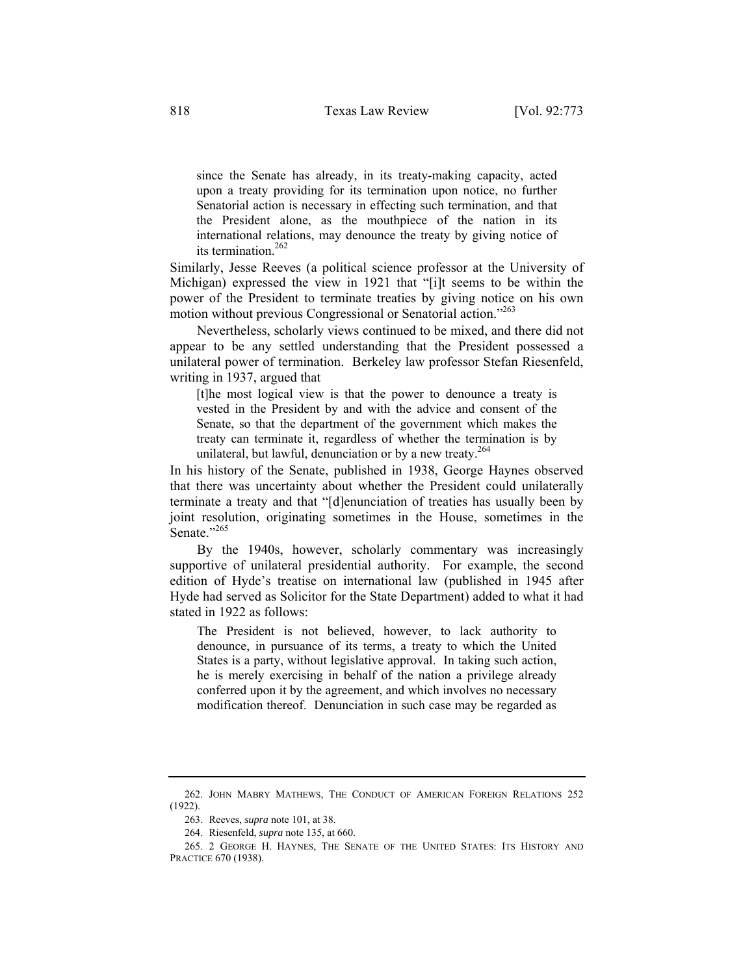since the Senate has already, in its treaty-making capacity, acted upon a treaty providing for its termination upon notice, no further Senatorial action is necessary in effecting such termination, and that the President alone, as the mouthpiece of the nation in its international relations, may denounce the treaty by giving notice of its termination.262

Similarly, Jesse Reeves (a political science professor at the University of Michigan) expressed the view in 1921 that "[i]t seems to be within the power of the President to terminate treaties by giving notice on his own motion without previous Congressional or Senatorial action."<sup>263</sup>

Nevertheless, scholarly views continued to be mixed, and there did not appear to be any settled understanding that the President possessed a unilateral power of termination. Berkeley law professor Stefan Riesenfeld, writing in 1937, argued that

[t]he most logical view is that the power to denounce a treaty is vested in the President by and with the advice and consent of the Senate, so that the department of the government which makes the treaty can terminate it, regardless of whether the termination is by unilateral, but lawful, denunciation or by a new treaty. $264$ 

In his history of the Senate, published in 1938, George Haynes observed that there was uncertainty about whether the President could unilaterally terminate a treaty and that "[d]enunciation of treaties has usually been by joint resolution, originating sometimes in the House, sometimes in the Senate<sup>"265</sup>

By the 1940s, however, scholarly commentary was increasingly supportive of unilateral presidential authority. For example, the second edition of Hyde's treatise on international law (published in 1945 after Hyde had served as Solicitor for the State Department) added to what it had stated in 1922 as follows:

The President is not believed, however, to lack authority to denounce, in pursuance of its terms, a treaty to which the United States is a party, without legislative approval. In taking such action, he is merely exercising in behalf of the nation a privilege already conferred upon it by the agreement, and which involves no necessary modification thereof. Denunciation in such case may be regarded as

<sup>262.</sup> JOHN MABRY MATHEWS, THE CONDUCT OF AMERICAN FOREIGN RELATIONS 252 (1922).

<sup>263.</sup> Reeves, *supra* note 101, at 38.

<sup>264.</sup> Riesenfeld, *supra* note 135, at 660.

<sup>265. 2</sup> GEORGE H. HAYNES, THE SENATE OF THE UNITED STATES: ITS HISTORY AND PRACTICE 670 (1938).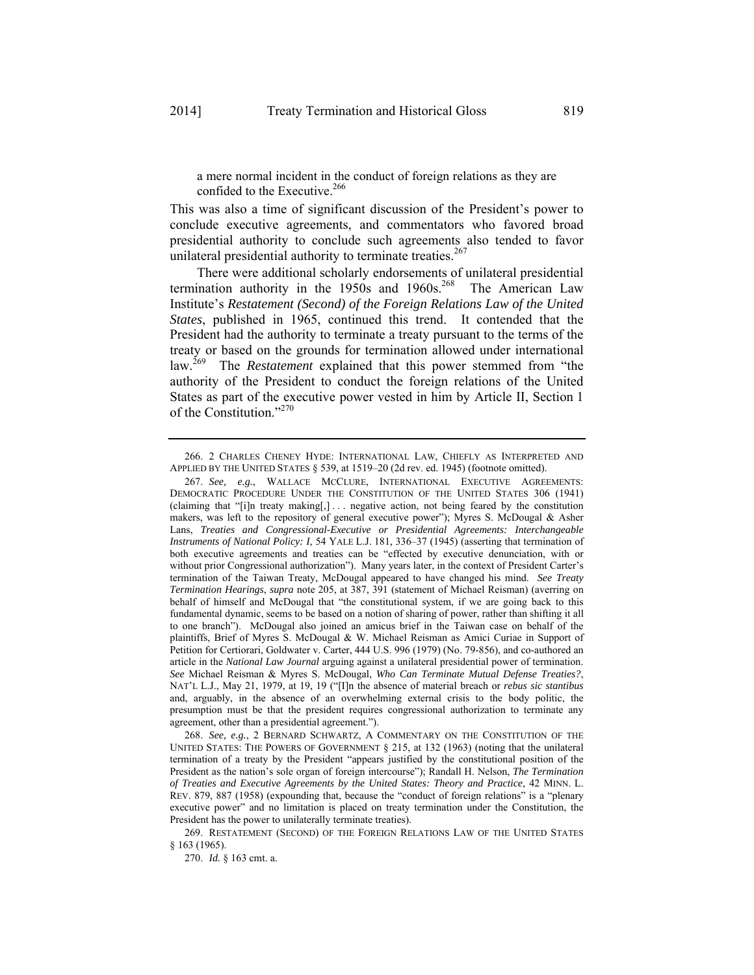a mere normal incident in the conduct of foreign relations as they are confided to the Executive.<sup>266</sup>

This was also a time of significant discussion of the President's power to conclude executive agreements, and commentators who favored broad presidential authority to conclude such agreements also tended to favor unilateral presidential authority to terminate treaties.<sup>267</sup>

There were additional scholarly endorsements of unilateral presidential termination authority in the 1950s and  $1960s$ <sup>268</sup> The American Law Institute's *Restatement (Second) of the Foreign Relations Law of the United States*, published in 1965, continued this trend. It contended that the President had the authority to terminate a treaty pursuant to the terms of the treaty or based on the grounds for termination allowed under international law.269 The *Restatement* explained that this power stemmed from "the authority of the President to conduct the foreign relations of the United States as part of the executive power vested in him by Article II, Section 1 of the Constitution."<sup>270</sup>

268. *See, e.g.*, 2 BERNARD SCHWARTZ, A COMMENTARY ON THE CONSTITUTION OF THE UNITED STATES: THE POWERS OF GOVERNMENT  $\S$  215, at 132 (1963) (noting that the unilateral termination of a treaty by the President "appears justified by the constitutional position of the President as the nation's sole organ of foreign intercourse"); Randall H. Nelson, *The Termination of Treaties and Executive Agreements by the United States: Theory and Practice*, 42 MINN. L. REV. 879, 887 (1958) (expounding that, because the "conduct of foreign relations" is a "plenary executive power" and no limitation is placed on treaty termination under the Constitution, the President has the power to unilaterally terminate treaties).

269. RESTATEMENT (SECOND) OF THE FOREIGN RELATIONS LAW OF THE UNITED STATES § 163 (1965).

270. *Id.* § 163 cmt. a.

<sup>266. 2</sup> CHARLES CHENEY HYDE: INTERNATIONAL LAW, CHIEFLY AS INTERPRETED AND APPLIED BY THE UNITED STATES § 539, at 1519–20 (2d rev. ed. 1945) (footnote omitted).

<sup>267.</sup> *See, e.g.*, WALLACE MCCLURE, INTERNATIONAL EXECUTIVE AGREEMENTS: DEMOCRATIC PROCEDURE UNDER THE CONSTITUTION OF THE UNITED STATES 306 (1941) (claiming that "[i]n treaty making[,] . . . negative action, not being feared by the constitution makers, was left to the repository of general executive power"); Myres S. McDougal & Asher Lans, *Treaties and Congressional-Executive or Presidential Agreements: Interchangeable Instruments of National Policy: I*, 54 YALE L.J. 181, 336–37 (1945) (asserting that termination of both executive agreements and treaties can be "effected by executive denunciation, with or without prior Congressional authorization"). Many years later, in the context of President Carter's termination of the Taiwan Treaty, McDougal appeared to have changed his mind. *See Treaty Termination Hearings*, *supra* note 205, at 387, 391 (statement of Michael Reisman) (averring on behalf of himself and McDougal that "the constitutional system, if we are going back to this fundamental dynamic, seems to be based on a notion of sharing of power, rather than shifting it all to one branch"). McDougal also joined an amicus brief in the Taiwan case on behalf of the plaintiffs, Brief of Myres S. McDougal & W. Michael Reisman as Amici Curiae in Support of Petition for Certiorari, Goldwater v. Carter, 444 U.S. 996 (1979) (No. 79-856), and co-authored an article in the *National Law Journal* arguing against a unilateral presidential power of termination. *See* Michael Reisman & Myres S. McDougal, *Who Can Terminate Mutual Defense Treaties?*, NAT'L L.J., May 21, 1979, at 19, 19 ("[I]n the absence of material breach or *rebus sic stantibus* and, arguably, in the absence of an overwhelming external crisis to the body politic, the presumption must be that the president requires congressional authorization to terminate any agreement, other than a presidential agreement.").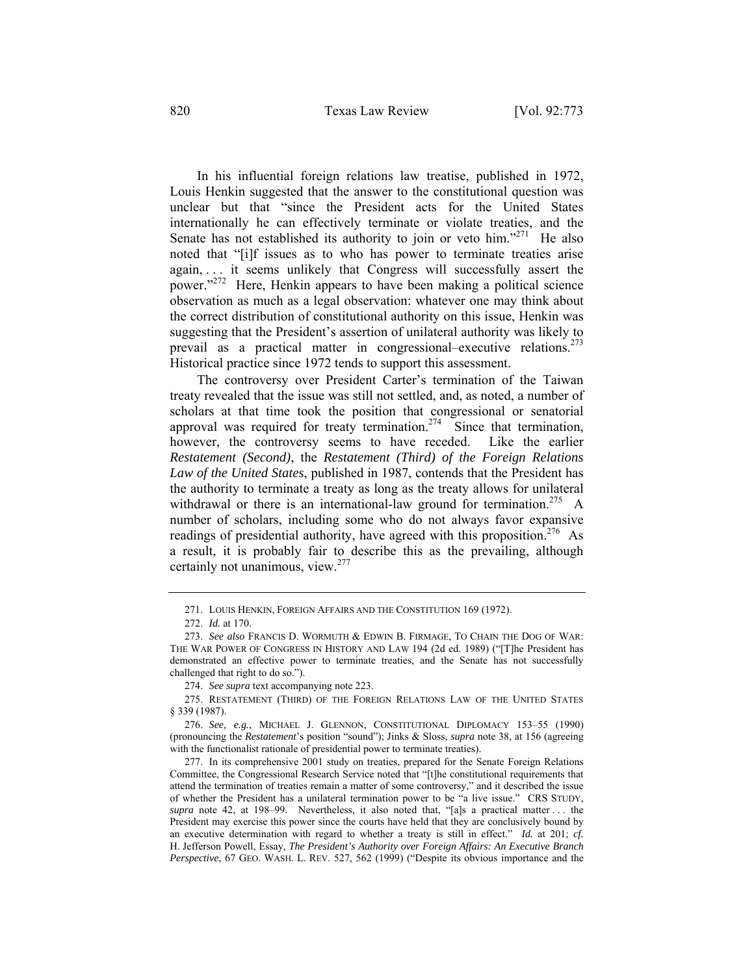In his influential foreign relations law treatise, published in 1972, Louis Henkin suggested that the answer to the constitutional question was unclear but that "since the President acts for the United States internationally he can effectively terminate or violate treaties, and the Senate has not established its authority to join or veto him." $271$  He also noted that "[i]f issues as to who has power to terminate treaties arise again, . . . it seems unlikely that Congress will successfully assert the power."272 Here, Henkin appears to have been making a political science observation as much as a legal observation: whatever one may think about the correct distribution of constitutional authority on this issue, Henkin was suggesting that the President's assertion of unilateral authority was likely to prevail as a practical matter in congressional–executive relations.<sup>273</sup> Historical practice since 1972 tends to support this assessment.

The controversy over President Carter's termination of the Taiwan treaty revealed that the issue was still not settled, and, as noted, a number of scholars at that time took the position that congressional or senatorial approval was required for treaty termination.<sup>274</sup> Since that termination, however, the controversy seems to have receded. Like the earlier *Restatement (Second)*, the *Restatement (Third) of the Foreign Relations Law of the United States*, published in 1987, contends that the President has the authority to terminate a treaty as long as the treaty allows for unilateral withdrawal or there is an international-law ground for termination.<sup>275</sup> A number of scholars, including some who do not always favor expansive readings of presidential authority, have agreed with this proposition.<sup>276</sup> As a result, it is probably fair to describe this as the prevailing, although certainly not unanimous, view.<sup>277</sup>

<sup>271.</sup> LOUIS HENKIN, FOREIGN AFFAIRS AND THE CONSTITUTION 169 (1972).

<sup>272.</sup> *Id.* at 170.

<sup>273.</sup> *See also* FRANCIS D. WORMUTH & EDWIN B. FIRMAGE, TO CHAIN THE DOG OF WAR: THE WAR POWER OF CONGRESS IN HISTORY AND LAW 194 (2d ed. 1989) ("[T]he President has demonstrated an effective power to terminate treaties, and the Senate has not successfully challenged that right to do so.").

<sup>274.</sup> *See supra* text accompanying note 223.

<sup>275.</sup> RESTATEMENT (THIRD) OF THE FOREIGN RELATIONS LAW OF THE UNITED STATES § 339 (1987).

<sup>276.</sup> *See, e.g.*, MICHAEL J. GLENNON, CONSTITUTIONAL DIPLOMACY 153–55 (1990) (pronouncing the *Restatement*'s position "sound"); Jinks & Sloss, *supra* note 38, at 156 (agreeing with the functionalist rationale of presidential power to terminate treaties).

<sup>277.</sup> In its comprehensive 2001 study on treaties, prepared for the Senate Foreign Relations Committee, the Congressional Research Service noted that "[t]he constitutional requirements that attend the termination of treaties remain a matter of some controversy," and it described the issue of whether the President has a unilateral termination power to be "a live issue." CRS STUDY, *supra* note 42, at 198–99. Nevertheless, it also noted that, "[a]s a practical matter ... the President may exercise this power since the courts have held that they are conclusively bound by an executive determination with regard to whether a treaty is still in effect." *Id.* at 201; *cf.* H. Jefferson Powell, Essay, *The President's Authority over Foreign Affairs: An Executive Branch Perspective*, 67 GEO. WASH. L. REV. 527, 562 (1999) ("Despite its obvious importance and the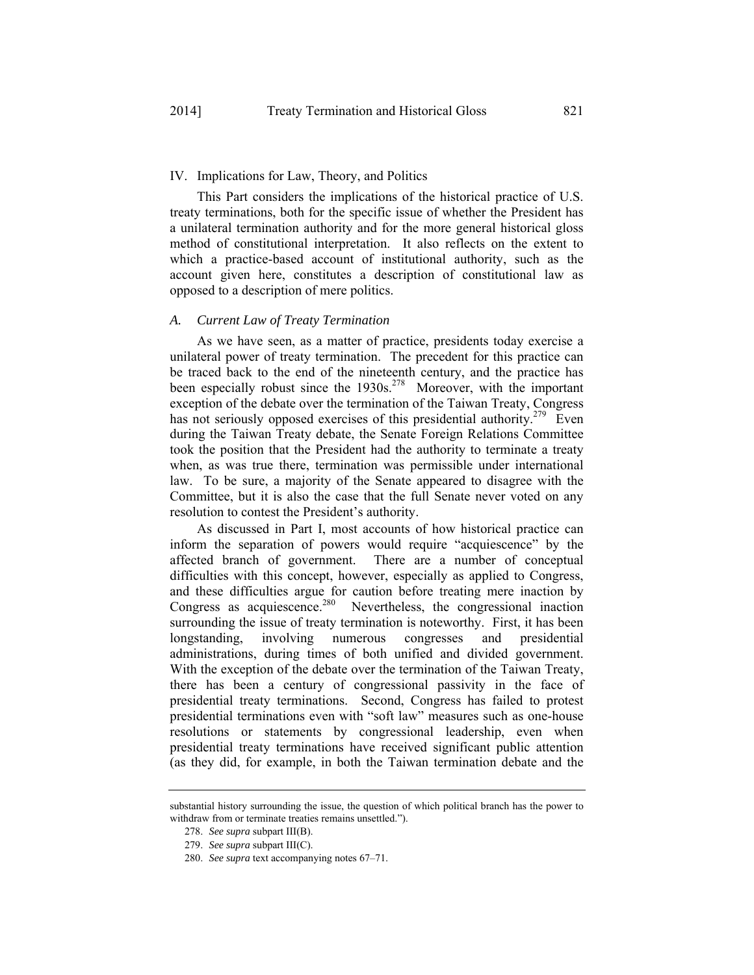## IV. Implications for Law, Theory, and Politics

This Part considers the implications of the historical practice of U.S. treaty terminations, both for the specific issue of whether the President has a unilateral termination authority and for the more general historical gloss method of constitutional interpretation. It also reflects on the extent to which a practice-based account of institutional authority, such as the account given here, constitutes a description of constitutional law as opposed to a description of mere politics.

## *A. Current Law of Treaty Termination*

As we have seen, as a matter of practice, presidents today exercise a unilateral power of treaty termination. The precedent for this practice can be traced back to the end of the nineteenth century, and the practice has been especially robust since the  $1930s<sup>278</sup>$  Moreover, with the important exception of the debate over the termination of the Taiwan Treaty, Congress has not seriously opposed exercises of this presidential authority.<sup>279</sup> Even during the Taiwan Treaty debate, the Senate Foreign Relations Committee took the position that the President had the authority to terminate a treaty when, as was true there, termination was permissible under international law. To be sure, a majority of the Senate appeared to disagree with the Committee, but it is also the case that the full Senate never voted on any resolution to contest the President's authority.

As discussed in Part I, most accounts of how historical practice can inform the separation of powers would require "acquiescence" by the affected branch of government. There are a number of conceptual difficulties with this concept, however, especially as applied to Congress, and these difficulties argue for caution before treating mere inaction by Congress as acquiescence. $280$  Nevertheless, the congressional inaction surrounding the issue of treaty termination is noteworthy. First, it has been longstanding, involving numerous congresses and presidential administrations, during times of both unified and divided government. With the exception of the debate over the termination of the Taiwan Treaty, there has been a century of congressional passivity in the face of presidential treaty terminations. Second, Congress has failed to protest presidential terminations even with "soft law" measures such as one-house resolutions or statements by congressional leadership, even when presidential treaty terminations have received significant public attention (as they did, for example, in both the Taiwan termination debate and the

substantial history surrounding the issue, the question of which political branch has the power to withdraw from or terminate treaties remains unsettled.").

<sup>278.</sup> *See supra* subpart III(B).

<sup>279.</sup> *See supra* subpart III(C).

<sup>280.</sup> *See supra* text accompanying notes 67–71.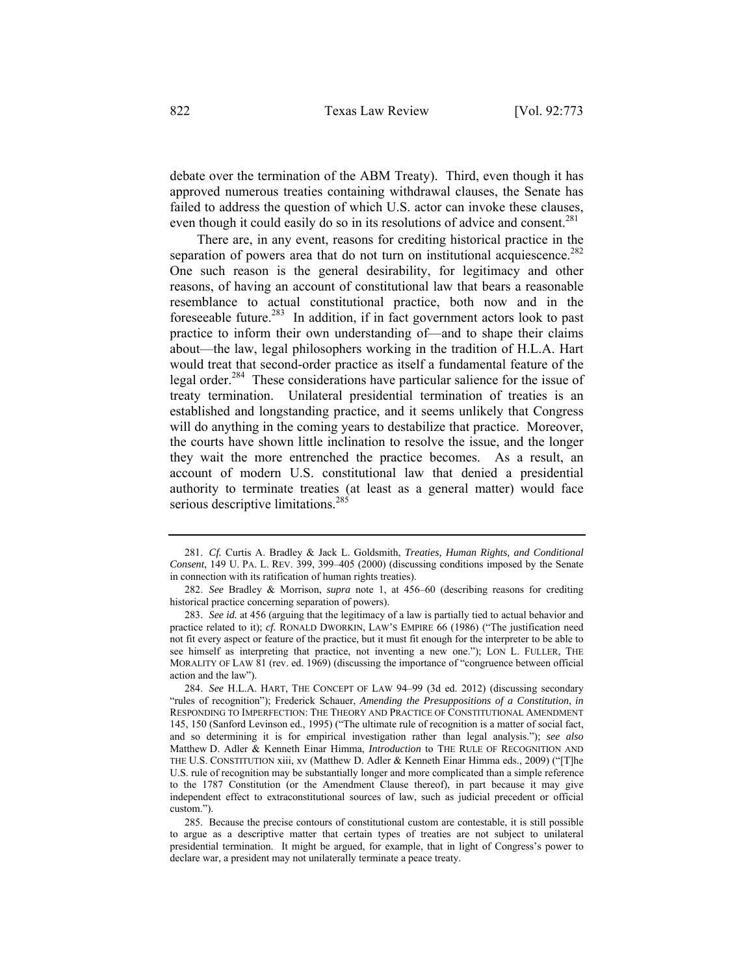debate over the termination of the ABM Treaty). Third, even though it has approved numerous treaties containing withdrawal clauses, the Senate has failed to address the question of which U.S. actor can invoke these clauses, even though it could easily do so in its resolutions of advice and consent.<sup>281</sup>

There are, in any event, reasons for crediting historical practice in the separation of powers area that do not turn on institutional acquiescence.<sup>282</sup> One such reason is the general desirability, for legitimacy and other reasons, of having an account of constitutional law that bears a reasonable resemblance to actual constitutional practice, both now and in the foreseeable future.<sup>283</sup> In addition, if in fact government actors look to past practice to inform their own understanding of—and to shape their claims about—the law, legal philosophers working in the tradition of H.L.A. Hart would treat that second-order practice as itself a fundamental feature of the legal order.284 These considerations have particular salience for the issue of treaty termination. Unilateral presidential termination of treaties is an established and longstanding practice, and it seems unlikely that Congress will do anything in the coming years to destabilize that practice. Moreover, the courts have shown little inclination to resolve the issue, and the longer they wait the more entrenched the practice becomes. As a result, an account of modern U.S. constitutional law that denied a presidential authority to terminate treaties (at least as a general matter) would face serious descriptive limitations.<sup>285</sup>

<sup>281.</sup> *Cf.* Curtis A. Bradley & Jack L. Goldsmith, *Treaties, Human Rights, and Conditional Consent*, 149 U. PA. L. REV. 399, 399–405 (2000) (discussing conditions imposed by the Senate in connection with its ratification of human rights treaties).

<sup>282.</sup> *See* Bradley & Morrison, *supra* note 1, at 456–60 (describing reasons for crediting historical practice concerning separation of powers).

<sup>283.</sup> *See id.* at 456 (arguing that the legitimacy of a law is partially tied to actual behavior and practice related to it); *cf.* RONALD DWORKIN, LAW'S EMPIRE 66 (1986) ("The justification need not fit every aspect or feature of the practice, but it must fit enough for the interpreter to be able to see himself as interpreting that practice, not inventing a new one."); LON L. FULLER, THE MORALITY OF LAW 81 (rev. ed. 1969) (discussing the importance of "congruence between official action and the law").

<sup>284.</sup> *See* H.L.A. HART, THE CONCEPT OF LAW 94–99 (3d ed. 2012) (discussing secondary "rules of recognition"); Frederick Schauer, *Amending the Presuppositions of a Constitution*, *in* RESPONDING TO IMPERFECTION: THE THEORY AND PRACTICE OF CONSTITUTIONAL AMENDMENT 145, 150 (Sanford Levinson ed., 1995) ("The ultimate rule of recognition is a matter of social fact, and so determining it is for empirical investigation rather than legal analysis."); *see also* Matthew D. Adler & Kenneth Einar Himma, *Introduction* to THE RULE OF RECOGNITION AND THE U.S. CONSTITUTION xiii, xv (Matthew D. Adler & Kenneth Einar Himma eds., 2009) ("[T]he U.S. rule of recognition may be substantially longer and more complicated than a simple reference to the 1787 Constitution (or the Amendment Clause thereof), in part because it may give independent effect to extraconstitutional sources of law, such as judicial precedent or official custom.").

<sup>285.</sup> Because the precise contours of constitutional custom are contestable, it is still possible to argue as a descriptive matter that certain types of treaties are not subject to unilateral presidential termination. It might be argued, for example, that in light of Congress's power to declare war, a president may not unilaterally terminate a peace treaty.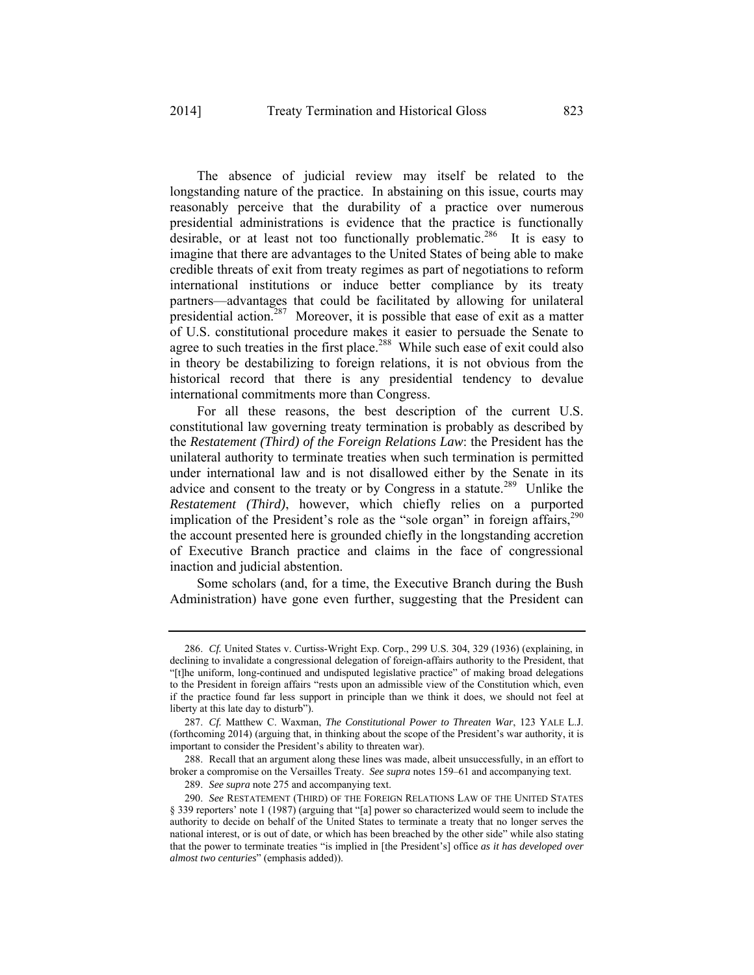The absence of judicial review may itself be related to the longstanding nature of the practice. In abstaining on this issue, courts may reasonably perceive that the durability of a practice over numerous presidential administrations is evidence that the practice is functionally desirable, or at least not too functionally problematic.<sup>286</sup> It is easy to imagine that there are advantages to the United States of being able to make credible threats of exit from treaty regimes as part of negotiations to reform international institutions or induce better compliance by its treaty partners—advantages that could be facilitated by allowing for unilateral presidential action.<sup>287</sup> Moreover, it is possible that ease of exit as a matter of U.S. constitutional procedure makes it easier to persuade the Senate to agree to such treaties in the first place.<sup>288</sup> While such ease of exit could also in theory be destabilizing to foreign relations, it is not obvious from the historical record that there is any presidential tendency to devalue international commitments more than Congress.

For all these reasons, the best description of the current U.S. constitutional law governing treaty termination is probably as described by the *Restatement (Third) of the Foreign Relations Law*: the President has the unilateral authority to terminate treaties when such termination is permitted under international law and is not disallowed either by the Senate in its advice and consent to the treaty or by Congress in a statute.<sup>289</sup> Unlike the *Restatement (Third)*, however, which chiefly relies on a purported implication of the President's role as the "sole organ" in foreign affairs,  $290$ the account presented here is grounded chiefly in the longstanding accretion of Executive Branch practice and claims in the face of congressional inaction and judicial abstention.

Some scholars (and, for a time, the Executive Branch during the Bush Administration) have gone even further, suggesting that the President can

<sup>286.</sup> *Cf.* United States v. Curtiss-Wright Exp. Corp., 299 U.S. 304, 329 (1936) (explaining, in declining to invalidate a congressional delegation of foreign-affairs authority to the President, that "[t]he uniform, long-continued and undisputed legislative practice" of making broad delegations to the President in foreign affairs "rests upon an admissible view of the Constitution which, even if the practice found far less support in principle than we think it does, we should not feel at liberty at this late day to disturb").

<sup>287.</sup> *Cf.* Matthew C. Waxman, *The Constitutional Power to Threaten War*, 123 YALE L.J. (forthcoming 2014) (arguing that, in thinking about the scope of the President's war authority, it is important to consider the President's ability to threaten war).

<sup>288.</sup> Recall that an argument along these lines was made, albeit unsuccessfully, in an effort to broker a compromise on the Versailles Treaty. *See supra* notes 159–61 and accompanying text.

<sup>289.</sup> *See supra* note 275 and accompanying text.

<sup>290.</sup> *See* RESTATEMENT (THIRD) OF THE FOREIGN RELATIONS LAW OF THE UNITED STATES § 339 reporters' note 1 (1987) (arguing that "[a] power so characterized would seem to include the authority to decide on behalf of the United States to terminate a treaty that no longer serves the national interest, or is out of date, or which has been breached by the other side" while also stating that the power to terminate treaties "is implied in [the President's] office *as it has developed over almost two centuries*" (emphasis added)).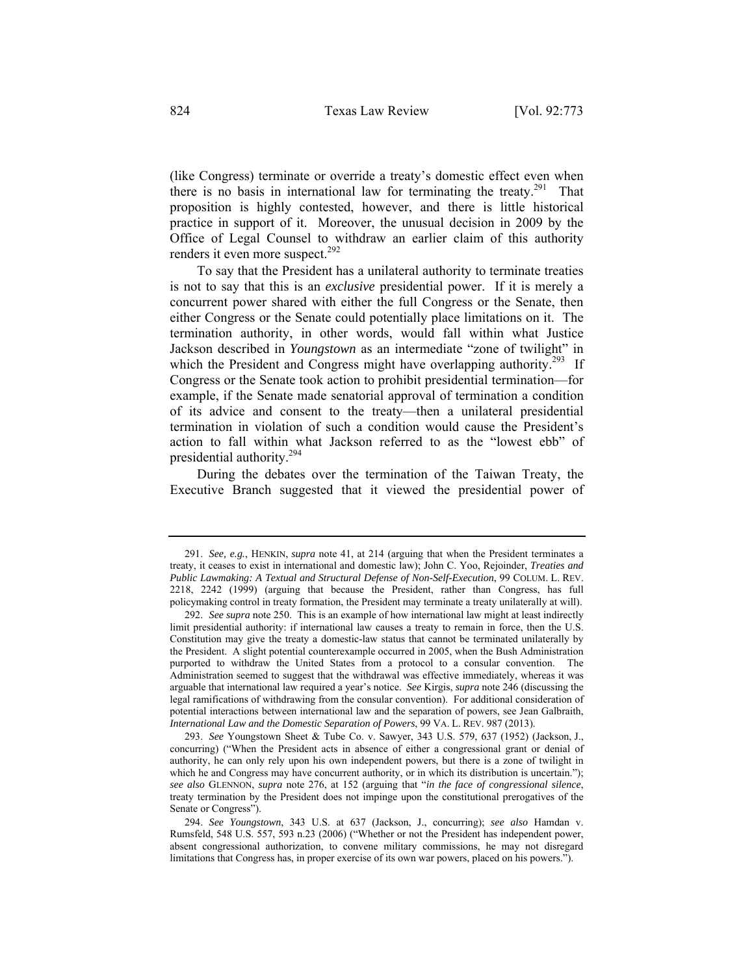(like Congress) terminate or override a treaty's domestic effect even when there is no basis in international law for terminating the treaty.<sup>291</sup> That proposition is highly contested, however, and there is little historical practice in support of it. Moreover, the unusual decision in 2009 by the Office of Legal Counsel to withdraw an earlier claim of this authority renders it even more suspect.<sup>292</sup>

To say that the President has a unilateral authority to terminate treaties is not to say that this is an *exclusive* presidential power. If it is merely a concurrent power shared with either the full Congress or the Senate, then either Congress or the Senate could potentially place limitations on it. The termination authority, in other words, would fall within what Justice Jackson described in *Youngstown* as an intermediate "zone of twilight" in which the President and Congress might have overlapping authority.<sup>293</sup> If Congress or the Senate took action to prohibit presidential termination—for example, if the Senate made senatorial approval of termination a condition of its advice and consent to the treaty—then a unilateral presidential termination in violation of such a condition would cause the President's action to fall within what Jackson referred to as the "lowest ebb" of presidential authority.294

During the debates over the termination of the Taiwan Treaty, the Executive Branch suggested that it viewed the presidential power of

<sup>291.</sup> *See, e.g.*, HENKIN, *supra* note 41, at 214 (arguing that when the President terminates a treaty, it ceases to exist in international and domestic law); John C. Yoo, Rejoinder, *Treaties and Public Lawmaking: A Textual and Structural Defense of Non-Self-Execution*, 99 COLUM. L. REV. 2218, 2242 (1999) (arguing that because the President, rather than Congress, has full policymaking control in treaty formation, the President may terminate a treaty unilaterally at will).

<sup>292.</sup> *See supra* note 250. This is an example of how international law might at least indirectly limit presidential authority: if international law causes a treaty to remain in force, then the U.S. Constitution may give the treaty a domestic-law status that cannot be terminated unilaterally by the President. A slight potential counterexample occurred in 2005, when the Bush Administration purported to withdraw the United States from a protocol to a consular convention. The Administration seemed to suggest that the withdrawal was effective immediately, whereas it was arguable that international law required a year's notice. *See* Kirgis, *supra* note 246 (discussing the legal ramifications of withdrawing from the consular convention). For additional consideration of potential interactions between international law and the separation of powers, see Jean Galbraith, *International Law and the Domestic Separation of Powers*, 99 VA. L. REV. 987 (2013).

<sup>293.</sup> *See* Youngstown Sheet & Tube Co. v. Sawyer, 343 U.S. 579, 637 (1952) (Jackson, J., concurring) ("When the President acts in absence of either a congressional grant or denial of authority, he can only rely upon his own independent powers, but there is a zone of twilight in which he and Congress may have concurrent authority, or in which its distribution is uncertain."); *see also* GLENNON, *supra* note 276, at 152 (arguing that "*in the face of congressional silence*, treaty termination by the President does not impinge upon the constitutional prerogatives of the Senate or Congress").

<sup>294.</sup> *See Youngstown*, 343 U.S. at 637 (Jackson, J., concurring); *see also* Hamdan v. Rumsfeld, 548 U.S. 557, 593 n.23 (2006) ("Whether or not the President has independent power, absent congressional authorization, to convene military commissions, he may not disregard limitations that Congress has, in proper exercise of its own war powers, placed on his powers.").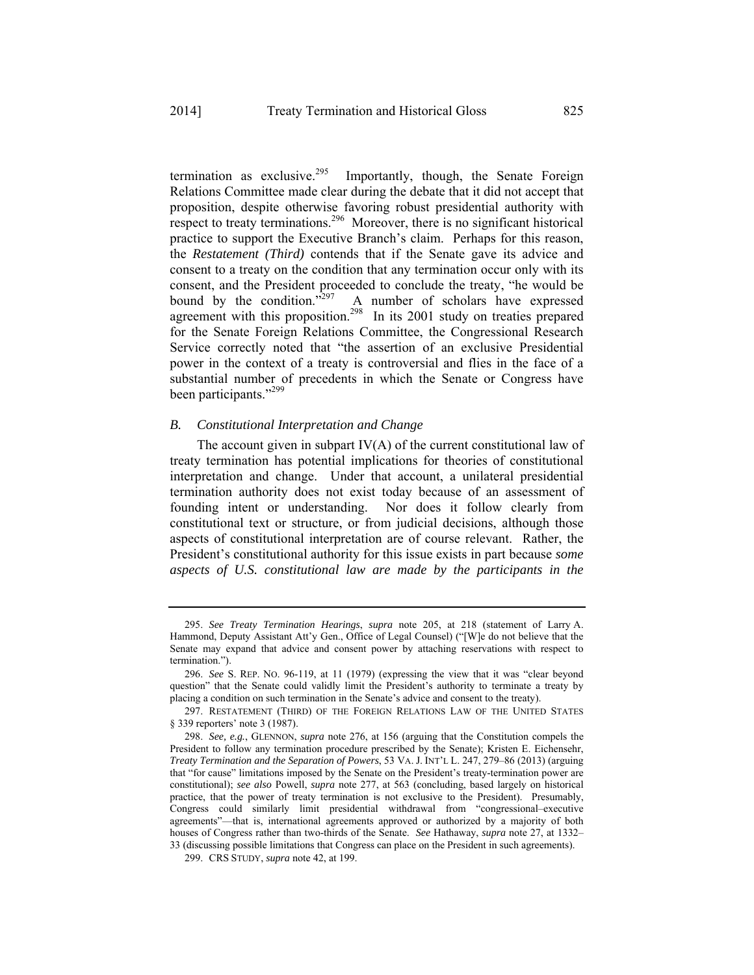termination as exclusive. $295$  Importantly, though, the Senate Foreign Relations Committee made clear during the debate that it did not accept that proposition, despite otherwise favoring robust presidential authority with respect to treaty terminations.<sup>296</sup> Moreover, there is no significant historical practice to support the Executive Branch's claim. Perhaps for this reason, the *Restatement (Third)* contends that if the Senate gave its advice and consent to a treaty on the condition that any termination occur only with its consent, and the President proceeded to conclude the treaty, "he would be bound by the condition. $^{3297}$  A number of scholars have expressed agreement with this proposition.<sup>298</sup> In its 2001 study on treaties prepared for the Senate Foreign Relations Committee, the Congressional Research Service correctly noted that "the assertion of an exclusive Presidential power in the context of a treaty is controversial and flies in the face of a substantial number of precedents in which the Senate or Congress have been participants."<sup>299</sup>

#### *B. Constitutional Interpretation and Change*

The account given in subpart  $IV(A)$  of the current constitutional law of treaty termination has potential implications for theories of constitutional interpretation and change. Under that account, a unilateral presidential termination authority does not exist today because of an assessment of founding intent or understanding. Nor does it follow clearly from constitutional text or structure, or from judicial decisions, although those aspects of constitutional interpretation are of course relevant. Rather, the President's constitutional authority for this issue exists in part because *some aspects of U.S. constitutional law are made by the participants in the* 

<sup>295.</sup> *See Treaty Termination Hearings*, *supra* note 205, at 218 (statement of Larry A. Hammond, Deputy Assistant Att'y Gen., Office of Legal Counsel) ("[W]e do not believe that the Senate may expand that advice and consent power by attaching reservations with respect to termination.").

<sup>296.</sup> *See* S. REP. NO. 96-119, at 11 (1979) (expressing the view that it was "clear beyond question" that the Senate could validly limit the President's authority to terminate a treaty by placing a condition on such termination in the Senate's advice and consent to the treaty).

<sup>297.</sup> RESTATEMENT (THIRD) OF THE FOREIGN RELATIONS LAW OF THE UNITED STATES § 339 reporters' note 3 (1987).

<sup>298.</sup> *See, e.g.*, GLENNON, *supra* note 276, at 156 (arguing that the Constitution compels the President to follow any termination procedure prescribed by the Senate); Kristen E. Eichensehr, *Treaty Termination and the Separation of Powers*, 53 VA. J. INT'L L. 247, 279–86 (2013) (arguing that "for cause" limitations imposed by the Senate on the President's treaty-termination power are constitutional); *see also* Powell, *supra* note 277, at 563 (concluding, based largely on historical practice, that the power of treaty termination is not exclusive to the President). Presumably, Congress could similarly limit presidential withdrawal from "congressional–executive agreements"—that is, international agreements approved or authorized by a majority of both houses of Congress rather than two-thirds of the Senate. *See* Hathaway, *supra* note 27, at 1332– 33 (discussing possible limitations that Congress can place on the President in such agreements).

<sup>299.</sup> CRS STUDY, *supra* note 42, at 199.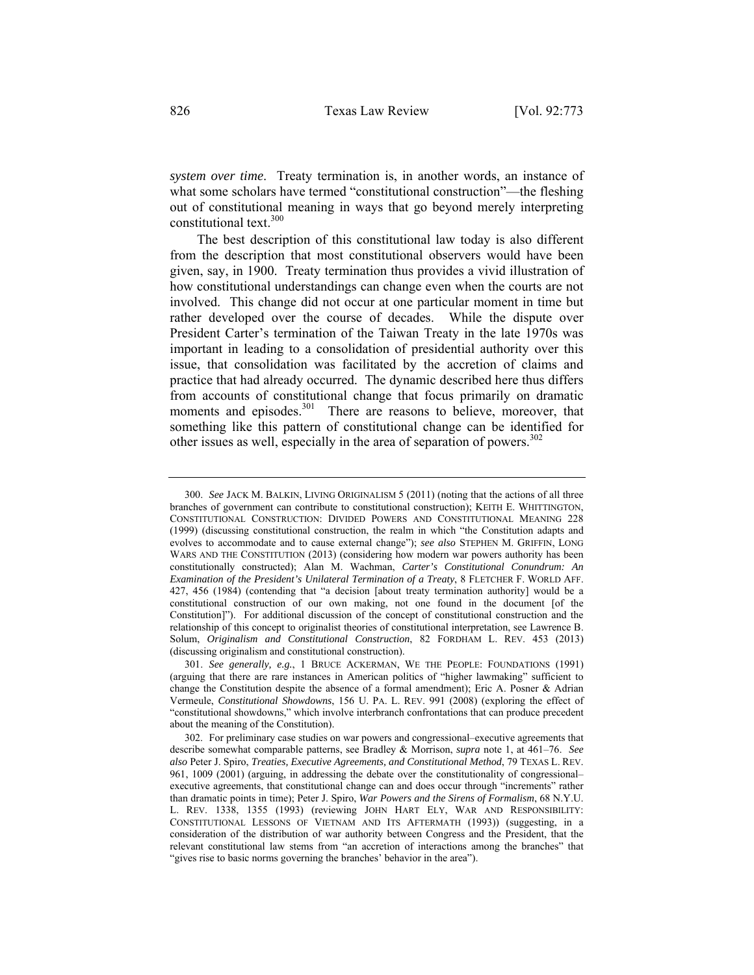*system over time*. Treaty termination is, in another words, an instance of what some scholars have termed "constitutional construction"—the fleshing out of constitutional meaning in ways that go beyond merely interpreting constitutional text.<sup>300</sup>

The best description of this constitutional law today is also different from the description that most constitutional observers would have been given, say, in 1900. Treaty termination thus provides a vivid illustration of how constitutional understandings can change even when the courts are not involved. This change did not occur at one particular moment in time but rather developed over the course of decades. While the dispute over President Carter's termination of the Taiwan Treaty in the late 1970s was important in leading to a consolidation of presidential authority over this issue, that consolidation was facilitated by the accretion of claims and practice that had already occurred. The dynamic described here thus differs from accounts of constitutional change that focus primarily on dramatic moments and episodes.<sup>301</sup> There are reasons to believe, moreover, that something like this pattern of constitutional change can be identified for other issues as well, especially in the area of separation of powers.<sup>302</sup>

<sup>300.</sup> *See* JACK M. BALKIN, LIVING ORIGINALISM 5 (2011) (noting that the actions of all three branches of government can contribute to constitutional construction); KEITH E. WHITTINGTON, CONSTITUTIONAL CONSTRUCTION: DIVIDED POWERS AND CONSTITUTIONAL MEANING 228 (1999) (discussing constitutional construction, the realm in which "the Constitution adapts and evolves to accommodate and to cause external change"); *see also* STEPHEN M. GRIFFIN, LONG WARS AND THE CONSTITUTION (2013) (considering how modern war powers authority has been constitutionally constructed); Alan M. Wachman, *Carter's Constitutional Conundrum: An Examination of the President's Unilateral Termination of a Treaty*, 8 FLETCHER F. WORLD AFF. 427, 456 (1984) (contending that "a decision [about treaty termination authority] would be a constitutional construction of our own making, not one found in the document [of the Constitution]"). For additional discussion of the concept of constitutional construction and the relationship of this concept to originalist theories of constitutional interpretation, see Lawrence B. Solum, *Originalism and Constitutional Construction*, 82 FORDHAM L. REV. 453 (2013) (discussing originalism and constitutional construction).

<sup>301.</sup> *See generally, e.g.*, 1 BRUCE ACKERMAN, WE THE PEOPLE: FOUNDATIONS (1991) (arguing that there are rare instances in American politics of "higher lawmaking" sufficient to change the Constitution despite the absence of a formal amendment); Eric A. Posner & Adrian Vermeule, *Constitutional Showdowns*, 156 U. PA. L. REV. 991 (2008) (exploring the effect of "constitutional showdowns," which involve interbranch confrontations that can produce precedent about the meaning of the Constitution).

<sup>302.</sup> For preliminary case studies on war powers and congressional–executive agreements that describe somewhat comparable patterns, see Bradley & Morrison, *supra* note 1, at 461–76. *See also* Peter J. Spiro, *Treaties, Executive Agreements, and Constitutional Method*, 79 TEXAS L. REV. 961, 1009 (2001) (arguing, in addressing the debate over the constitutionality of congressional– executive agreements, that constitutional change can and does occur through "increments" rather than dramatic points in time); Peter J. Spiro, *War Powers and the Sirens of Formalism*, 68 N.Y.U. L. REV. 1338, 1355 (1993) (reviewing JOHN HART ELY, WAR AND RESPONSIBILITY: CONSTITUTIONAL LESSONS OF VIETNAM AND ITS AFTERMATH (1993)) (suggesting, in a consideration of the distribution of war authority between Congress and the President, that the relevant constitutional law stems from "an accretion of interactions among the branches" that "gives rise to basic norms governing the branches' behavior in the area").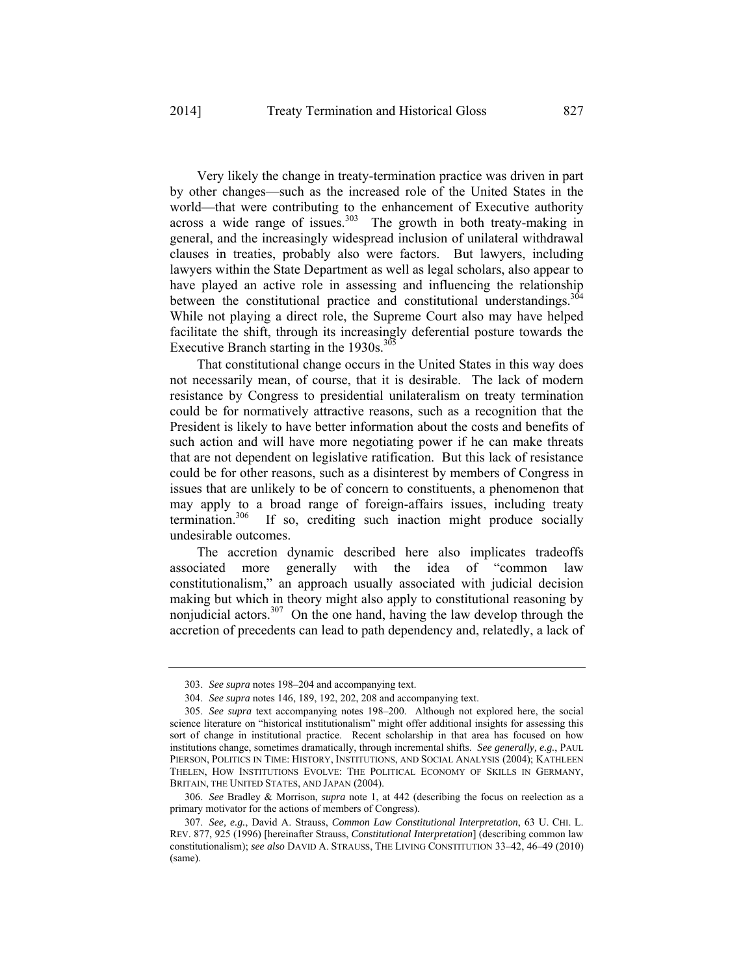Very likely the change in treaty-termination practice was driven in part by other changes—such as the increased role of the United States in the world—that were contributing to the enhancement of Executive authority  $\arccos$  a wide range of issues.<sup>303</sup> The growth in both treaty-making in general, and the increasingly widespread inclusion of unilateral withdrawal clauses in treaties, probably also were factors. But lawyers, including lawyers within the State Department as well as legal scholars, also appear to have played an active role in assessing and influencing the relationship between the constitutional practice and constitutional understandings.<sup>304</sup> While not playing a direct role, the Supreme Court also may have helped facilitate the shift, through its increasingly deferential posture towards the Executive Branch starting in the  $1930s$ .<sup>305</sup>

That constitutional change occurs in the United States in this way does not necessarily mean, of course, that it is desirable. The lack of modern resistance by Congress to presidential unilateralism on treaty termination could be for normatively attractive reasons, such as a recognition that the President is likely to have better information about the costs and benefits of such action and will have more negotiating power if he can make threats that are not dependent on legislative ratification. But this lack of resistance could be for other reasons, such as a disinterest by members of Congress in issues that are unlikely to be of concern to constituents, a phenomenon that may apply to a broad range of foreign-affairs issues, including treaty<br>termination.<sup>306</sup> If so, crediting such inaction might produce socially If so, crediting such inaction might produce socially undesirable outcomes.

The accretion dynamic described here also implicates tradeoffs associated more generally with the idea of "common law constitutionalism," an approach usually associated with judicial decision making but which in theory might also apply to constitutional reasoning by nonjudicial actors.<sup>307</sup> On the one hand, having the law develop through the accretion of precedents can lead to path dependency and, relatedly, a lack of

<sup>303.</sup> *See supra* notes 198–204 and accompanying text.

<sup>304.</sup> *See supra* notes 146, 189, 192, 202, 208 and accompanying text.

<sup>305.</sup> *See supra* text accompanying notes 198–200. Although not explored here, the social science literature on "historical institutionalism" might offer additional insights for assessing this sort of change in institutional practice. Recent scholarship in that area has focused on how institutions change, sometimes dramatically, through incremental shifts. *See generally, e.g.*, PAUL PIERSON, POLITICS IN TIME: HISTORY, INSTITUTIONS, AND SOCIAL ANALYSIS (2004); KATHLEEN THELEN, HOW INSTITUTIONS EVOLVE: THE POLITICAL ECONOMY OF SKILLS IN GERMANY, BRITAIN, THE UNITED STATES, AND JAPAN (2004).

<sup>306.</sup> *See* Bradley & Morrison, *supra* note 1, at 442 (describing the focus on reelection as a primary motivator for the actions of members of Congress).

<sup>307.</sup> *See, e.g.*, David A. Strauss, *Common Law Constitutional Interpretation*, 63 U. CHI. L. REV. 877, 925 (1996) [hereinafter Strauss, *Constitutional Interpretation*] (describing common law constitutionalism); *see also* DAVID A. STRAUSS, THE LIVING CONSTITUTION 33–42, 46–49 (2010) (same).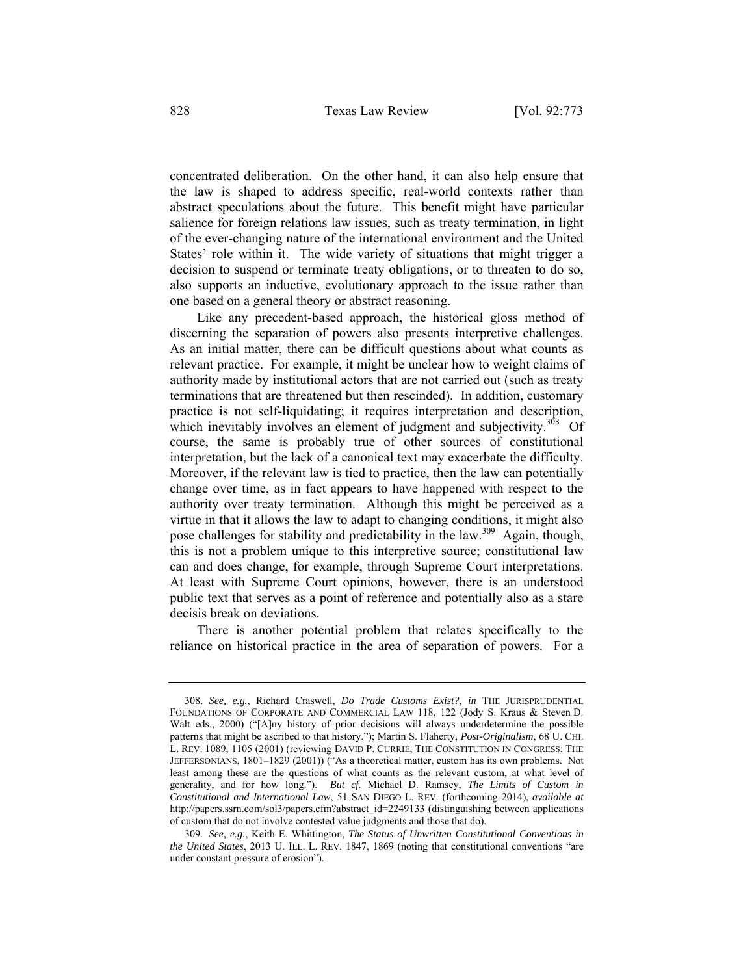concentrated deliberation. On the other hand, it can also help ensure that the law is shaped to address specific, real-world contexts rather than abstract speculations about the future. This benefit might have particular salience for foreign relations law issues, such as treaty termination, in light of the ever-changing nature of the international environment and the United States' role within it. The wide variety of situations that might trigger a decision to suspend or terminate treaty obligations, or to threaten to do so, also supports an inductive, evolutionary approach to the issue rather than one based on a general theory or abstract reasoning.

Like any precedent-based approach, the historical gloss method of discerning the separation of powers also presents interpretive challenges. As an initial matter, there can be difficult questions about what counts as relevant practice. For example, it might be unclear how to weight claims of authority made by institutional actors that are not carried out (such as treaty terminations that are threatened but then rescinded). In addition, customary practice is not self-liquidating; it requires interpretation and description, which inevitably involves an element of judgment and subjectivity.<sup>308</sup> Of course, the same is probably true of other sources of constitutional interpretation, but the lack of a canonical text may exacerbate the difficulty. Moreover, if the relevant law is tied to practice, then the law can potentially change over time, as in fact appears to have happened with respect to the authority over treaty termination. Although this might be perceived as a virtue in that it allows the law to adapt to changing conditions, it might also pose challenges for stability and predictability in the law.<sup>309</sup> Again, though, this is not a problem unique to this interpretive source; constitutional law can and does change, for example, through Supreme Court interpretations. At least with Supreme Court opinions, however, there is an understood public text that serves as a point of reference and potentially also as a stare decisis break on deviations.

There is another potential problem that relates specifically to the reliance on historical practice in the area of separation of powers. For a

<sup>308.</sup> *See, e.g.*, Richard Craswell, *Do Trade Customs Exist?*, *in* THE JURISPRUDENTIAL FOUNDATIONS OF CORPORATE AND COMMERCIAL LAW 118, 122 (Jody S. Kraus & Steven D. Walt eds., 2000) ("[A]ny history of prior decisions will always underdetermine the possible patterns that might be ascribed to that history."); Martin S. Flaherty, *Post-Originalism*, 68 U. CHI. L. REV. 1089, 1105 (2001) (reviewing DAVID P. CURRIE, THE CONSTITUTION IN CONGRESS: THE JEFFERSONIANS, 1801–1829 (2001)) ("As a theoretical matter, custom has its own problems. Not least among these are the questions of what counts as the relevant custom, at what level of generality, and for how long."). *But cf.* Michael D. Ramsey, *The Limits of Custom in Constitutional and International Law*, 51 SAN DIEGO L. REV. (forthcoming 2014), *available at*  http://papers.ssrn.com/sol3/papers.cfm?abstract\_id=2249133 (distinguishing between applications of custom that do not involve contested value judgments and those that do).

<sup>309.</sup> *See, e.g.*, Keith E. Whittington, *The Status of Unwritten Constitutional Conventions in the United States*, 2013 U. ILL. L. REV. 1847, 1869 (noting that constitutional conventions "are under constant pressure of erosion").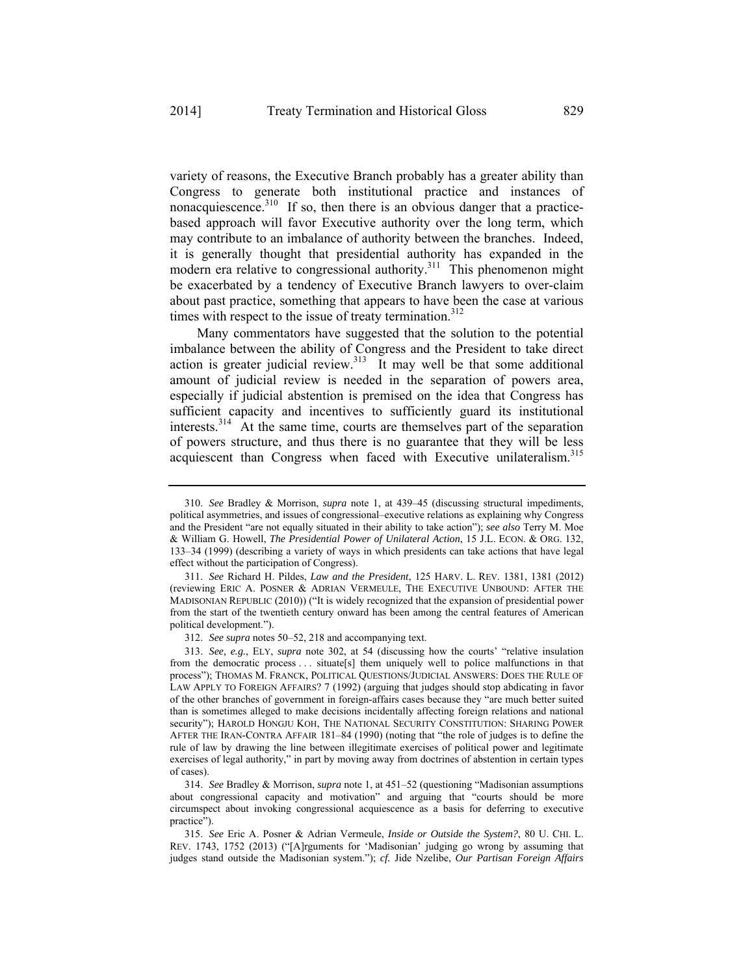variety of reasons, the Executive Branch probably has a greater ability than Congress to generate both institutional practice and instances of nonacquiescence.<sup>310</sup> If so, then there is an obvious danger that a practicebased approach will favor Executive authority over the long term, which may contribute to an imbalance of authority between the branches. Indeed, it is generally thought that presidential authority has expanded in the modern era relative to congressional authority.<sup>311</sup> This phenomenon might be exacerbated by a tendency of Executive Branch lawyers to over-claim about past practice, something that appears to have been the case at various times with respect to the issue of treaty termination. $312$ 

Many commentators have suggested that the solution to the potential imbalance between the ability of Congress and the President to take direct action is greater judicial review.<sup>313</sup> It may well be that some additional amount of judicial review is needed in the separation of powers area, especially if judicial abstention is premised on the idea that Congress has sufficient capacity and incentives to sufficiently guard its institutional interests.314 At the same time, courts are themselves part of the separation of powers structure, and thus there is no guarantee that they will be less acquiescent than Congress when faced with Executive unilateralism.<sup>315</sup>

<sup>310.</sup> *See* Bradley & Morrison, *supra* note 1, at 439–45 (discussing structural impediments, political asymmetries, and issues of congressional–executive relations as explaining why Congress and the President "are not equally situated in their ability to take action"); *see also* Terry M. Moe & William G. Howell, *The Presidential Power of Unilateral Action*, 15 J.L. ECON. & ORG. 132, 133–34 (1999) (describing a variety of ways in which presidents can take actions that have legal effect without the participation of Congress).

<sup>311.</sup> *See* Richard H. Pildes, *Law and the President*, 125 HARV. L. REV. 1381, 1381 (2012) (reviewing ERIC A. POSNER & ADRIAN VERMEULE, THE EXECUTIVE UNBOUND: AFTER THE MADISONIAN REPUBLIC (2010)) ("It is widely recognized that the expansion of presidential power from the start of the twentieth century onward has been among the central features of American political development.").

<sup>312.</sup> *See supra* notes 50–52, 218 and accompanying text.

<sup>313.</sup> *See, e.g.*, ELY, *supra* note 302, at 54 (discussing how the courts' "relative insulation from the democratic process . . . situate[s] them uniquely well to police malfunctions in that process"); THOMAS M. FRANCK, POLITICAL QUESTIONS/JUDICIAL ANSWERS: DOES THE RULE OF LAW APPLY TO FOREIGN AFFAIRS? 7 (1992) (arguing that judges should stop abdicating in favor of the other branches of government in foreign-affairs cases because they "are much better suited than is sometimes alleged to make decisions incidentally affecting foreign relations and national security"); HAROLD HONGJU KOH, THE NATIONAL SECURITY CONSTITUTION: SHARING POWER AFTER THE IRAN-CONTRA AFFAIR 181–84 (1990) (noting that "the role of judges is to define the rule of law by drawing the line between illegitimate exercises of political power and legitimate exercises of legal authority," in part by moving away from doctrines of abstention in certain types of cases).

<sup>314.</sup> *See* Bradley & Morrison, *supra* note 1, at 451–52 (questioning "Madisonian assumptions about congressional capacity and motivation" and arguing that "courts should be more circumspect about invoking congressional acquiescence as a basis for deferring to executive practice").

<sup>315.</sup> *See* Eric A. Posner & Adrian Vermeule, *Inside or Outside the System?*, 80 U. CHI. L. REV. 1743, 1752 (2013) ("[A]rguments for 'Madisonian' judging go wrong by assuming that judges stand outside the Madisonian system."); *cf.* Jide Nzelibe, *Our Partisan Foreign Affairs*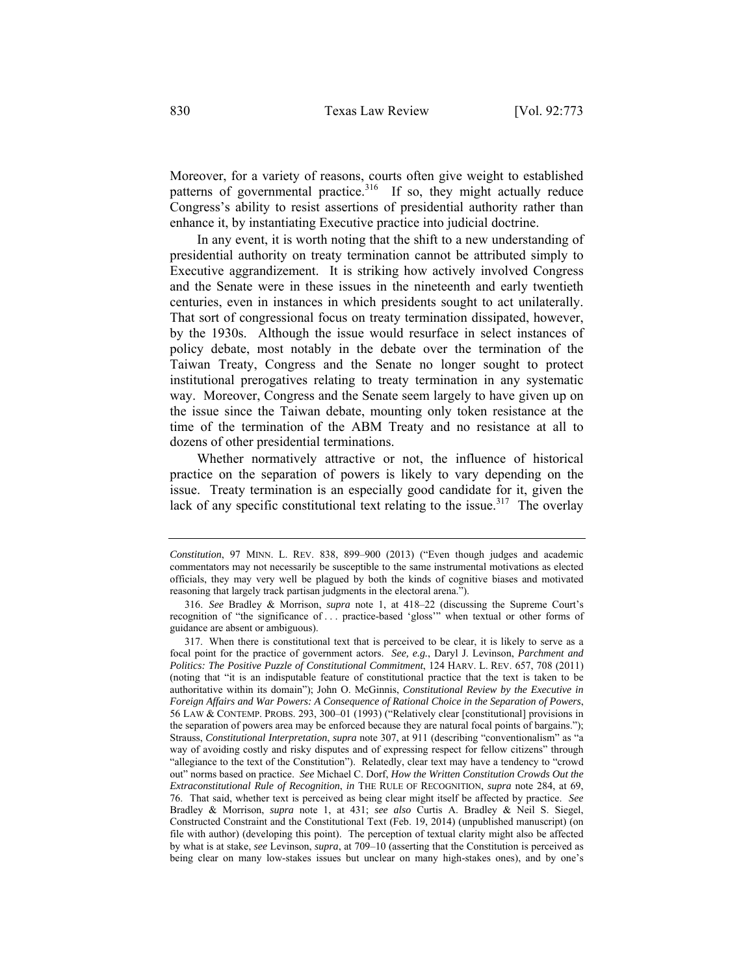Moreover, for a variety of reasons, courts often give weight to established patterns of governmental practice.<sup>316</sup> If so, they might actually reduce Congress's ability to resist assertions of presidential authority rather than enhance it, by instantiating Executive practice into judicial doctrine.

In any event, it is worth noting that the shift to a new understanding of presidential authority on treaty termination cannot be attributed simply to Executive aggrandizement. It is striking how actively involved Congress and the Senate were in these issues in the nineteenth and early twentieth centuries, even in instances in which presidents sought to act unilaterally. That sort of congressional focus on treaty termination dissipated, however, by the 1930s. Although the issue would resurface in select instances of policy debate, most notably in the debate over the termination of the Taiwan Treaty, Congress and the Senate no longer sought to protect institutional prerogatives relating to treaty termination in any systematic way. Moreover, Congress and the Senate seem largely to have given up on the issue since the Taiwan debate, mounting only token resistance at the time of the termination of the ABM Treaty and no resistance at all to dozens of other presidential terminations.

Whether normatively attractive or not, the influence of historical practice on the separation of powers is likely to vary depending on the issue. Treaty termination is an especially good candidate for it, given the lack of any specific constitutional text relating to the issue.<sup>317</sup> The overlay

*Constitution*, 97 MINN. L. REV. 838, 899–900 (2013) ("Even though judges and academic commentators may not necessarily be susceptible to the same instrumental motivations as elected officials, they may very well be plagued by both the kinds of cognitive biases and motivated reasoning that largely track partisan judgments in the electoral arena.").

<sup>316.</sup> *See* Bradley & Morrison, *supra* note 1, at 418–22 (discussing the Supreme Court's recognition of "the significance of ... practice-based 'gloss'" when textual or other forms of guidance are absent or ambiguous).

<sup>317.</sup> When there is constitutional text that is perceived to be clear, it is likely to serve as a focal point for the practice of government actors. *See, e.g.*, Daryl J. Levinson, *Parchment and Politics: The Positive Puzzle of Constitutional Commitment*, 124 HARV. L. REV. 657, 708 (2011) (noting that "it is an indisputable feature of constitutional practice that the text is taken to be authoritative within its domain"); John O. McGinnis, *Constitutional Review by the Executive in Foreign Affairs and War Powers: A Consequence of Rational Choice in the Separation of Powers*, 56 LAW & CONTEMP. PROBS. 293, 300–01 (1993) ("Relatively clear [constitutional] provisions in the separation of powers area may be enforced because they are natural focal points of bargains."); Strauss, *Constitutional Interpretation*, *supra* note 307, at 911 (describing "conventionalism" as "a way of avoiding costly and risky disputes and of expressing respect for fellow citizens" through "allegiance to the text of the Constitution"). Relatedly, clear text may have a tendency to "crowd out" norms based on practice. *See* Michael C. Dorf, *How the Written Constitution Crowds Out the Extraconstitutional Rule of Recognition*, *in* THE RULE OF RECOGNITION, *supra* note 284, at 69, 76. That said, whether text is perceived as being clear might itself be affected by practice. *See* Bradley & Morrison, *supra* note 1, at 431; *see also* Curtis A. Bradley & Neil S. Siegel, Constructed Constraint and the Constitutional Text (Feb. 19, 2014) (unpublished manuscript) (on file with author) (developing this point). The perception of textual clarity might also be affected by what is at stake, *see* Levinson, *supra*, at 709–10 (asserting that the Constitution is perceived as being clear on many low-stakes issues but unclear on many high-stakes ones), and by one's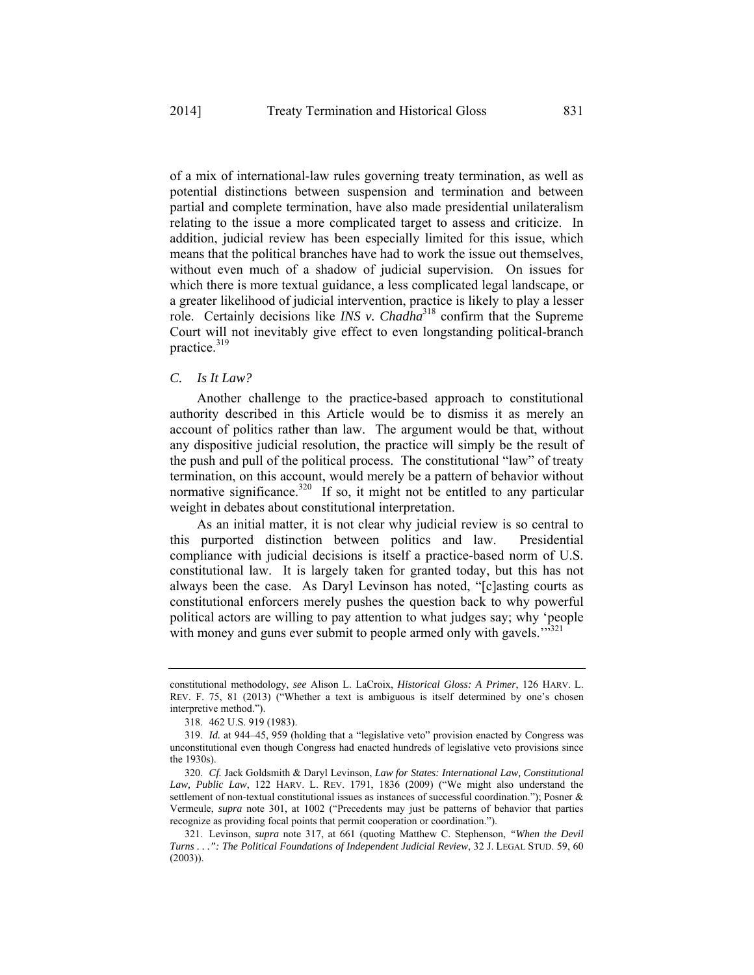of a mix of international-law rules governing treaty termination, as well as potential distinctions between suspension and termination and between partial and complete termination, have also made presidential unilateralism relating to the issue a more complicated target to assess and criticize. In addition, judicial review has been especially limited for this issue, which means that the political branches have had to work the issue out themselves, without even much of a shadow of judicial supervision. On issues for which there is more textual guidance, a less complicated legal landscape, or a greater likelihood of judicial intervention, practice is likely to play a lesser role. Certainly decisions like *INS v. Chadha*<sup>318</sup> confirm that the Supreme Court will not inevitably give effect to even longstanding political-branch practice.<sup>319</sup>

### *C. Is It Law?*

Another challenge to the practice-based approach to constitutional authority described in this Article would be to dismiss it as merely an account of politics rather than law. The argument would be that, without any dispositive judicial resolution, the practice will simply be the result of the push and pull of the political process. The constitutional "law" of treaty termination, on this account, would merely be a pattern of behavior without normative significance. $320$  If so, it might not be entitled to any particular weight in debates about constitutional interpretation.

As an initial matter, it is not clear why judicial review is so central to this purported distinction between politics and law. Presidential compliance with judicial decisions is itself a practice-based norm of U.S. constitutional law. It is largely taken for granted today, but this has not always been the case. As Daryl Levinson has noted, "[c]asting courts as constitutional enforcers merely pushes the question back to why powerful political actors are willing to pay attention to what judges say; why 'people with money and guns ever submit to people armed only with gavels."<sup>321</sup>

constitutional methodology, *see* Alison L. LaCroix, *Historical Gloss: A Primer*, 126 HARV. L. REV. F. 75, 81 (2013) ("Whether a text is ambiguous is itself determined by one's chosen interpretive method.").

<sup>318. 462</sup> U.S. 919 (1983).

<sup>319.</sup> *Id.* at 944–45, 959 (holding that a "legislative veto" provision enacted by Congress was unconstitutional even though Congress had enacted hundreds of legislative veto provisions since the 1930s).

<sup>320.</sup> *Cf.* Jack Goldsmith & Daryl Levinson, *Law for States: International Law, Constitutional Law, Public Law*, 122 HARV. L. REV. 1791, 1836 (2009) ("We might also understand the settlement of non-textual constitutional issues as instances of successful coordination."); Posner & Vermeule, *supra* note 301, at 1002 ("Precedents may just be patterns of behavior that parties recognize as providing focal points that permit cooperation or coordination.").

<sup>321.</sup> Levinson, *supra* note 317, at 661 (quoting Matthew C. Stephenson, *"When the Devil Turns . . .": The Political Foundations of Independent Judicial Review*, 32 J. LEGAL STUD. 59, 60 (2003)).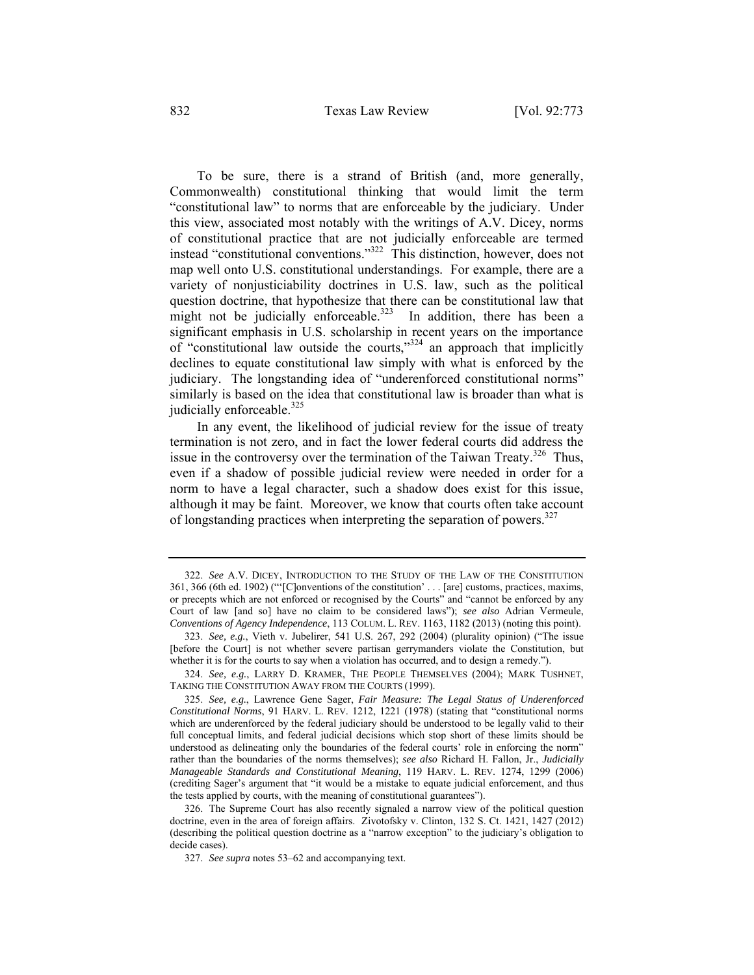To be sure, there is a strand of British (and, more generally, Commonwealth) constitutional thinking that would limit the term "constitutional law" to norms that are enforceable by the judiciary. Under this view, associated most notably with the writings of A.V. Dicey, norms of constitutional practice that are not judicially enforceable are termed instead "constitutional conventions."322 This distinction, however, does not map well onto U.S. constitutional understandings. For example, there are a variety of nonjusticiability doctrines in U.S. law, such as the political question doctrine, that hypothesize that there can be constitutional law that might not be judicially enforceable.<sup>323</sup> In addition, there has been a significant emphasis in U.S. scholarship in recent years on the importance of "constitutional law outside the courts," $324$  an approach that implicitly declines to equate constitutional law simply with what is enforced by the judiciary. The longstanding idea of "underenforced constitutional norms" similarly is based on the idea that constitutional law is broader than what is judicially enforceable.<sup>325</sup>

In any event, the likelihood of judicial review for the issue of treaty termination is not zero, and in fact the lower federal courts did address the issue in the controversy over the termination of the Taiwan Treaty.<sup>326</sup> Thus, even if a shadow of possible judicial review were needed in order for a norm to have a legal character, such a shadow does exist for this issue, although it may be faint. Moreover, we know that courts often take account of longstanding practices when interpreting the separation of powers.<sup>327</sup>

<sup>322.</sup> *See* A.V. DICEY, INTRODUCTION TO THE STUDY OF THE LAW OF THE CONSTITUTION 361, 366 (6th ed. 1902) ("'[C]onventions of the constitution' . . . [are] customs, practices, maxims, or precepts which are not enforced or recognised by the Courts" and "cannot be enforced by any Court of law [and so] have no claim to be considered laws"); *see also* Adrian Vermeule, *Conventions of Agency Independence*, 113 COLUM. L. REV. 1163, 1182 (2013) (noting this point).

<sup>323.</sup> *See, e.g.*, Vieth v. Jubelirer, 541 U.S. 267, 292 (2004) (plurality opinion) ("The issue [before the Court] is not whether severe partisan gerrymanders violate the Constitution, but whether it is for the courts to say when a violation has occurred, and to design a remedy.").

<sup>324.</sup> *See, e.g.*, LARRY D. KRAMER, THE PEOPLE THEMSELVES (2004); MARK TUSHNET, TAKING THE CONSTITUTION AWAY FROM THE COURTS (1999).

<sup>325.</sup> *See, e.g.*, Lawrence Gene Sager, *Fair Measure: The Legal Status of Underenforced Constitutional Norms*, 91 HARV. L. REV. 1212, 1221 (1978) (stating that "constitutional norms which are underenforced by the federal judiciary should be understood to be legally valid to their full conceptual limits, and federal judicial decisions which stop short of these limits should be understood as delineating only the boundaries of the federal courts' role in enforcing the norm" rather than the boundaries of the norms themselves); *see also* Richard H. Fallon, Jr., *Judicially Manageable Standards and Constitutional Meaning*, 119 HARV. L. REV. 1274, 1299 (2006) (crediting Sager's argument that "it would be a mistake to equate judicial enforcement, and thus the tests applied by courts, with the meaning of constitutional guarantees").

<sup>326.</sup> The Supreme Court has also recently signaled a narrow view of the political question doctrine, even in the area of foreign affairs. Zivotofsky v. Clinton, 132 S. Ct. 1421, 1427 (2012) (describing the political question doctrine as a "narrow exception" to the judiciary's obligation to decide cases).

<sup>327.</sup> *See supra* notes 53–62 and accompanying text.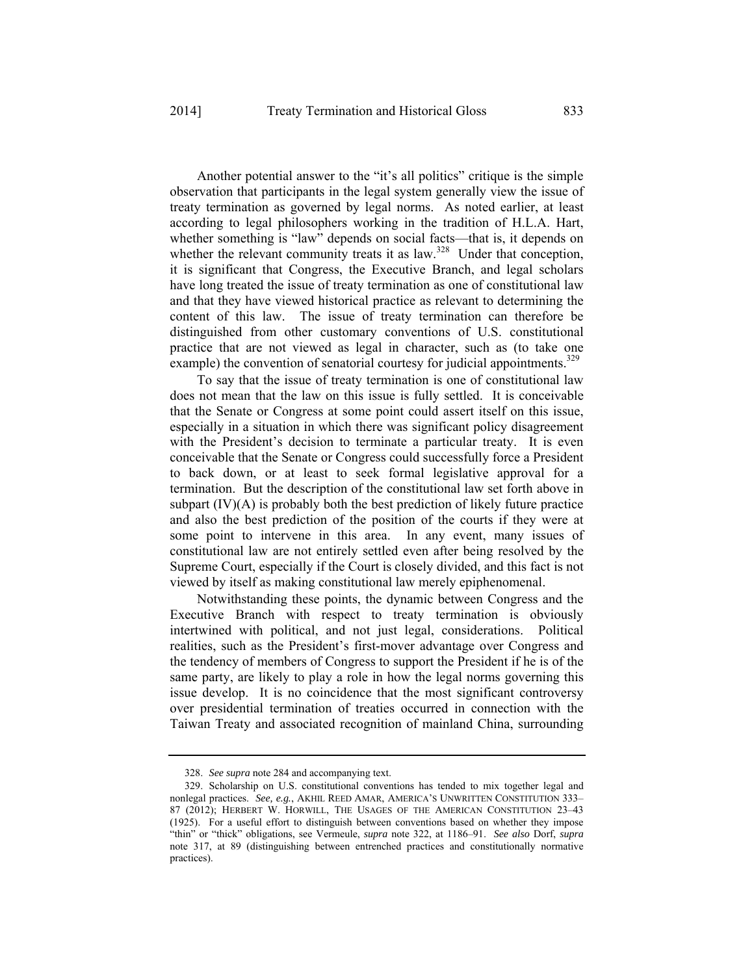Another potential answer to the "it's all politics" critique is the simple observation that participants in the legal system generally view the issue of treaty termination as governed by legal norms. As noted earlier, at least according to legal philosophers working in the tradition of H.L.A. Hart, whether something is "law" depends on social facts—that is, it depends on whether the relevant community treats it as law.<sup>328</sup> Under that conception, it is significant that Congress, the Executive Branch, and legal scholars have long treated the issue of treaty termination as one of constitutional law and that they have viewed historical practice as relevant to determining the content of this law. The issue of treaty termination can therefore be distinguished from other customary conventions of U.S. constitutional practice that are not viewed as legal in character, such as (to take one example) the convention of senatorial courtesy for judicial appointments.<sup>329</sup>

To say that the issue of treaty termination is one of constitutional law does not mean that the law on this issue is fully settled. It is conceivable that the Senate or Congress at some point could assert itself on this issue, especially in a situation in which there was significant policy disagreement with the President's decision to terminate a particular treaty. It is even conceivable that the Senate or Congress could successfully force a President to back down, or at least to seek formal legislative approval for a termination. But the description of the constitutional law set forth above in subpart  $(IV)(A)$  is probably both the best prediction of likely future practice and also the best prediction of the position of the courts if they were at some point to intervene in this area. In any event, many issues of constitutional law are not entirely settled even after being resolved by the Supreme Court, especially if the Court is closely divided, and this fact is not viewed by itself as making constitutional law merely epiphenomenal.

Notwithstanding these points, the dynamic between Congress and the Executive Branch with respect to treaty termination is obviously intertwined with political, and not just legal, considerations. Political realities, such as the President's first-mover advantage over Congress and the tendency of members of Congress to support the President if he is of the same party, are likely to play a role in how the legal norms governing this issue develop. It is no coincidence that the most significant controversy over presidential termination of treaties occurred in connection with the Taiwan Treaty and associated recognition of mainland China, surrounding

<sup>328.</sup> *See supra* note 284 and accompanying text.

<sup>329.</sup> Scholarship on U.S. constitutional conventions has tended to mix together legal and nonlegal practices. *See, e.g.*, AKHIL REED AMAR, AMERICA'S UNWRITTEN CONSTITUTION 333– 87 (2012); HERBERT W. HORWILL, THE USAGES OF THE AMERICAN CONSTITUTION 23–43 (1925). For a useful effort to distinguish between conventions based on whether they impose "thin" or "thick" obligations, see Vermeule, *supra* note 322, at 1186–91. *See also* Dorf, *supra* note 317, at 89 (distinguishing between entrenched practices and constitutionally normative practices).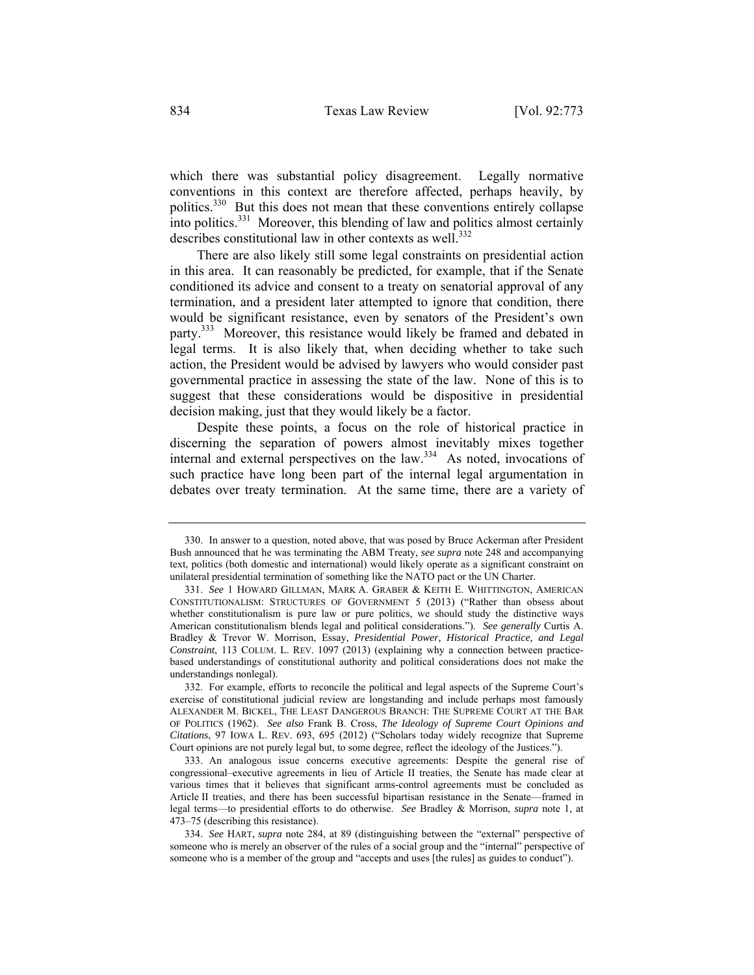which there was substantial policy disagreement. Legally normative conventions in this context are therefore affected, perhaps heavily, by politics.<sup>330</sup> But this does not mean that these conventions entirely collapse into politics.331 Moreover, this blending of law and politics almost certainly describes constitutional law in other contexts as well.<sup>332</sup>

There are also likely still some legal constraints on presidential action in this area. It can reasonably be predicted, for example, that if the Senate conditioned its advice and consent to a treaty on senatorial approval of any termination, and a president later attempted to ignore that condition, there would be significant resistance, even by senators of the President's own party.<sup>333</sup> Moreover, this resistance would likely be framed and debated in legal terms. It is also likely that, when deciding whether to take such action, the President would be advised by lawyers who would consider past governmental practice in assessing the state of the law. None of this is to suggest that these considerations would be dispositive in presidential decision making, just that they would likely be a factor.

Despite these points, a focus on the role of historical practice in discerning the separation of powers almost inevitably mixes together internal and external perspectives on the law.<sup>334</sup> As noted, invocations of such practice have long been part of the internal legal argumentation in debates over treaty termination. At the same time, there are a variety of

<sup>330.</sup> In answer to a question, noted above, that was posed by Bruce Ackerman after President Bush announced that he was terminating the ABM Treaty, *see supra* note 248 and accompanying text, politics (both domestic and international) would likely operate as a significant constraint on unilateral presidential termination of something like the NATO pact or the UN Charter.

<sup>331.</sup> *See* 1 HOWARD GILLMAN, MARK A. GRABER & KEITH E. WHITTINGTON, AMERICAN CONSTITUTIONALISM: STRUCTURES OF GOVERNMENT 5 (2013) ("Rather than obsess about whether constitutionalism is pure law or pure politics, we should study the distinctive ways American constitutionalism blends legal and political considerations."). *See generally* Curtis A. Bradley & Trevor W. Morrison, Essay, *Presidential Power, Historical Practice, and Legal Constraint*, 113 COLUM. L. REV. 1097 (2013) (explaining why a connection between practicebased understandings of constitutional authority and political considerations does not make the understandings nonlegal).

<sup>332.</sup> For example, efforts to reconcile the political and legal aspects of the Supreme Court's exercise of constitutional judicial review are longstanding and include perhaps most famously ALEXANDER M. BICKEL, THE LEAST DANGEROUS BRANCH: THE SUPREME COURT AT THE BAR OF POLITICS (1962). *See also* Frank B. Cross, *The Ideology of Supreme Court Opinions and Citations*, 97 IOWA L. REV. 693, 695 (2012) ("Scholars today widely recognize that Supreme Court opinions are not purely legal but, to some degree, reflect the ideology of the Justices.").

<sup>333.</sup> An analogous issue concerns executive agreements: Despite the general rise of congressional–executive agreements in lieu of Article II treaties, the Senate has made clear at various times that it believes that significant arms-control agreements must be concluded as Article II treaties, and there has been successful bipartisan resistance in the Senate—framed in legal terms—to presidential efforts to do otherwise. *See* Bradley & Morrison, *supra* note 1, at 473–75 (describing this resistance).

<sup>334.</sup> *See* HART, *supra* note 284, at 89 (distinguishing between the "external" perspective of someone who is merely an observer of the rules of a social group and the "internal" perspective of someone who is a member of the group and "accepts and uses [the rules] as guides to conduct").